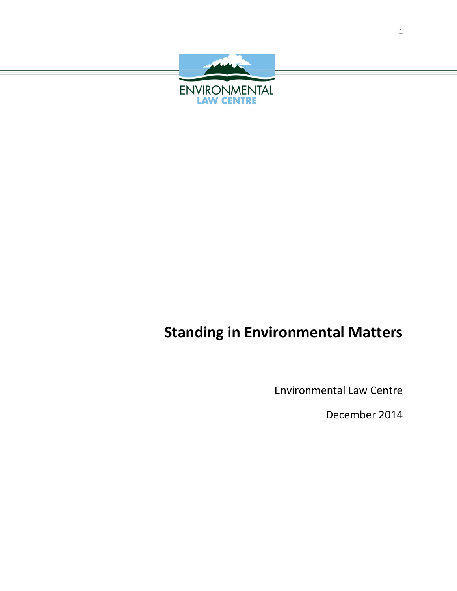

# **Standing in Environmental Matters**

Environmental Law Centre

December 2014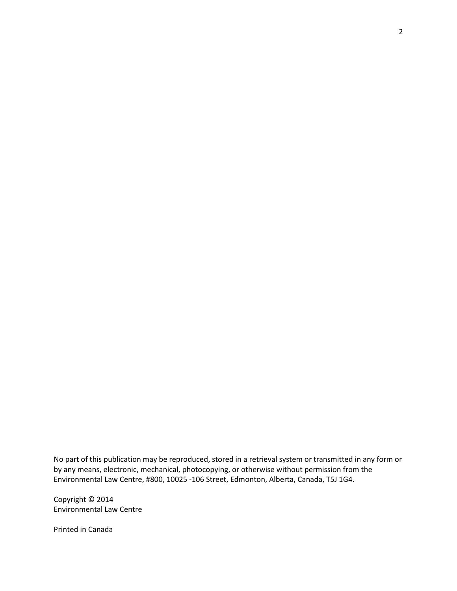No part of this publication may be reproduced, stored in a retrieval system or transmitted in any form or by any means, electronic, mechanical, photocopying, or otherwise without permission from the Environmental Law Centre, #800, 10025 -106 Street, Edmonton, Alberta, Canada, T5J 1G4.

Copyright © 2014 Environmental Law Centre

Printed in Canada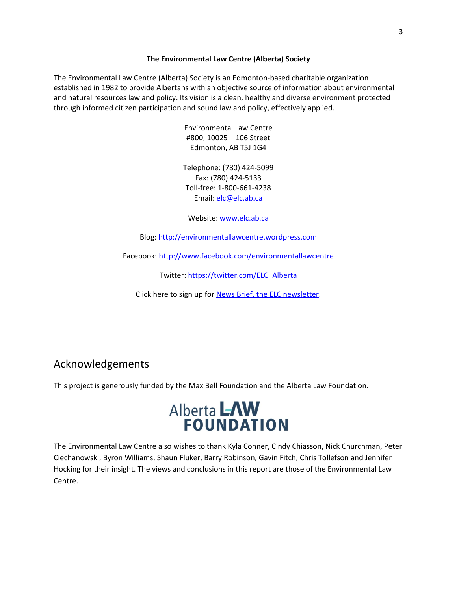# **The Environmental Law Centre (Alberta) Society**

The Environmental Law Centre (Alberta) Society is an Edmonton-based charitable organization established in 1982 to provide Albertans with an objective source of information about environmental and natural resources law and policy. Its vision is a clean, healthy and diverse environment protected through informed citizen participation and sound law and policy, effectively applied.

> Environmental Law Centre #800, 10025 – 106 Street Edmonton, AB T5J 1G4

Telephone: (780) 424-5099 Fax: (780) 424-5133 Toll-free: 1-800-661-4238 Email: [elc@elc.ab.ca](mailto:elc@elc.ab.ca)

Website[: www.elc.ab.ca](http://www.elc.ab.ca/)

Blog: [http://environmentallawcentre.wordpress.com](http://environmentallawcentre.wordpress.com/)

Facebook:<http://www.facebook.com/environmentallawcentre>

Twitter: [https://twitter.com/ELC\\_Alberta](https://twitter.com/ELC_Alberta)

Click here to sign up for [News Brief, the ELC newsletter.](http://visitor.r20.constantcontact.com/manage/optin?v=001koX7hBqMlR8dewz26n9VCgJp_dWEGbhFSUD3KTj3BVi2eOTNZy3aj7RoRAS4QPocerIBeH5Y0vXWjJl4jHt9SvL7VhYPD1diro9wDZAHzKAyIqPF-zz0Ve65bFCG6zb_0PfdvxTokPPcoMI2PKbDAx3CXVnl8Vm9pToco3absRq_Kx-hXec6OMX4L524kiQE)

# Acknowledgements

This project is generously funded by the Max Bell Foundation and the Alberta Law Foundation.



The Environmental Law Centre also wishes to thank Kyla Conner, Cindy Chiasson, Nick Churchman, Peter Ciechanowski, Byron Williams, Shaun Fluker, Barry Robinson, Gavin Fitch, Chris Tollefson and Jennifer Hocking for their insight. The views and conclusions in this report are those of the Environmental Law Centre.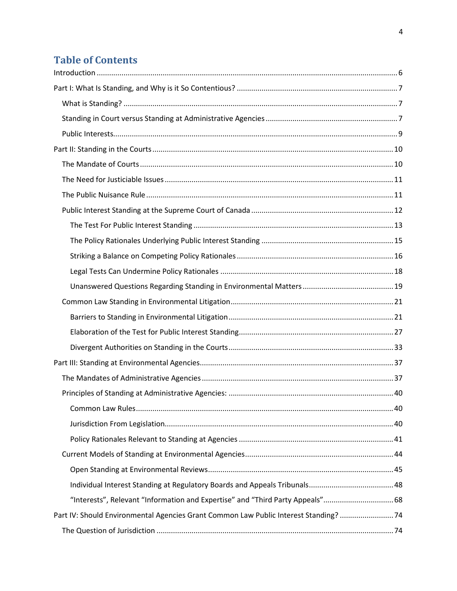# **Table of Contents**

| "Interests", Relevant "Information and Expertise" and "Third Party Appeals" 68        |  |
|---------------------------------------------------------------------------------------|--|
| Part IV: Should Environmental Agencies Grant Common Law Public Interest Standing?  74 |  |
|                                                                                       |  |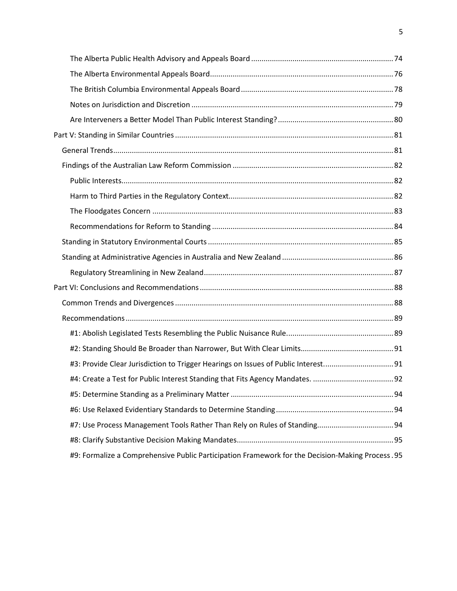| #3: Provide Clear Jurisdiction to Trigger Hearings on Issues of Public Interest91                |  |
|--------------------------------------------------------------------------------------------------|--|
|                                                                                                  |  |
|                                                                                                  |  |
|                                                                                                  |  |
|                                                                                                  |  |
|                                                                                                  |  |
| #9: Formalize a Comprehensive Public Participation Framework for the Decision-Making Process. 95 |  |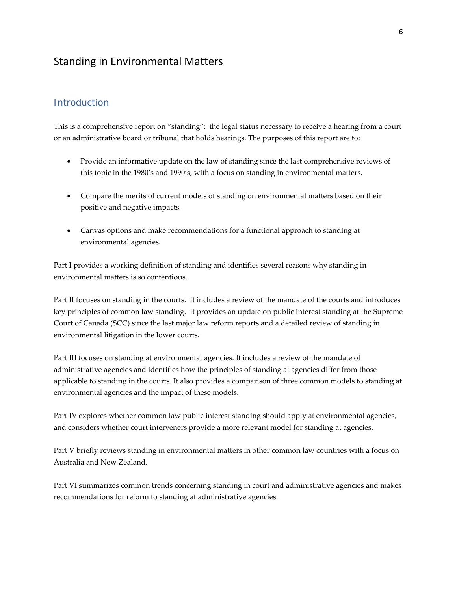# Standing in Environmental Matters

# <span id="page-5-0"></span>Introduction

This is a comprehensive report on "standing": the legal status necessary to receive a hearing from a court or an administrative board or tribunal that holds hearings. The purposes of this report are to:

- Provide an informative update on the law of standing since the last comprehensive reviews of this topic in the 1980's and 1990's, with a focus on standing in environmental matters.
- Compare the merits of current models of standing on environmental matters based on their positive and negative impacts.
- Canvas options and make recommendations for a functional approach to standing at environmental agencies.

Part I provides a working definition of standing and identifies several reasons why standing in environmental matters is so contentious.

Part II focuses on standing in the courts. It includes a review of the mandate of the courts and introduces key principles of common law standing. It provides an update on public interest standing at the Supreme Court of Canada (SCC) since the last major law reform reports and a detailed review of standing in environmental litigation in the lower courts.

Part III focuses on standing at environmental agencies. It includes a review of the mandate of administrative agencies and identifies how the principles of standing at agencies differ from those applicable to standing in the courts. It also provides a comparison of three common models to standing at environmental agencies and the impact of these models.

Part IV explores whether common law public interest standing should apply at environmental agencies, and considers whether court interveners provide a more relevant model for standing at agencies.

Part V briefly reviews standing in environmental matters in other common law countries with a focus on Australia and New Zealand.

Part VI summarizes common trends concerning standing in court and administrative agencies and makes recommendations for reform to standing at administrative agencies.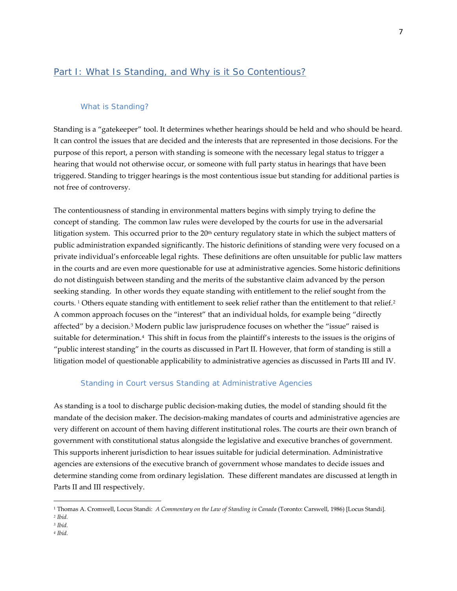# <span id="page-6-0"></span>Part I: What Is Standing, and Why is it So Contentious?

### What is Standing?

<span id="page-6-1"></span>Standing is a "gatekeeper" tool. It determines whether hearings should be held and who should be heard. It can control the issues that are decided and the interests that are represented in those decisions. For the purpose of this report, a person with standing is someone with the necessary legal status to trigger a hearing that would not otherwise occur, or someone with full party status in hearings that have been triggered. Standing to trigger hearings is the most contentious issue but standing for additional parties is not free of controversy.

The contentiousness of standing in environmental matters begins with simply trying to define the concept of standing. The common law rules were developed by the courts for use in the adversarial litigation system. This occurred prior to the 20<sup>th</sup> century regulatory state in which the subject matters of public administration expanded significantly. The historic definitions of standing were very focused on a private individual's enforceable legal rights. These definitions are often unsuitable for public law matters in the courts and are even more questionable for use at administrative agencies. Some historic definitions do not distinguish between standing and the merits of the substantive claim advanced by the person seeking standing. In other words they equate standing with entitlement to the relief sought from the courts. <sup>[1](#page-6-3)</sup> Others equate standing with entitlement to seek relief rather than the entitlement to that relief.<sup>[2](#page-6-4)</sup> A common approach focuses on the "interest" that an individual holds, for example being "directly affected" by a decision.[3](#page-6-5) Modern public law jurisprudence focuses on whether the "issue" raised is suitable for determination.[4](#page-6-6) This shift in focus from the plaintiff's interests to the issues is the origins of "public interest standing" in the courts as discussed in Part II. However, that form of standing is still a litigation model of questionable applicability to administrative agencies as discussed in Parts III and IV.

#### Standing in Court versus Standing at Administrative Agencies

<span id="page-6-2"></span>As standing is a tool to discharge public decision-making duties, the model of standing should fit the mandate of the decision maker. The decision-making mandates of courts and administrative agencies are very different on account of them having different institutional roles. The courts are their own branch of government with constitutional status alongside the legislative and executive branches of government. This supports inherent jurisdiction to hear issues suitable for judicial determination. Administrative agencies are extensions of the executive branch of government whose mandates to decide issues and determine standing come from ordinary legislation. These different mandates are discussed at length in Parts II and III respectively.

 $\overline{\phantom{a}}$ 

<span id="page-6-6"></span>*<sup>4</sup> Ibid.*

<span id="page-6-3"></span><sup>1</sup> Thomas A. Cromwell, Locus Standi: *A Commentary on the Law of Standing in Canada* (Toronto: Carswell, 1986) [Locus Standi].

<span id="page-6-4"></span>*<sup>2</sup> Ibid.*

<span id="page-6-5"></span>*<sup>3</sup> Ibid.*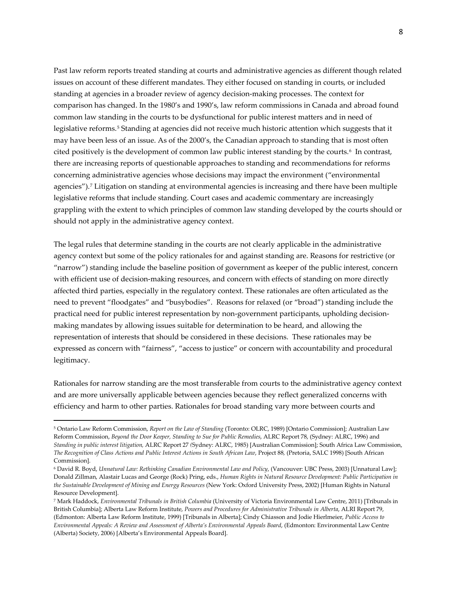Past law reform reports treated standing at courts and administrative agencies as different though related issues on account of these different mandates. They either focused on standing in courts, or included standing at agencies in a broader review of agency decision-making processes. The context for comparison has changed. In the 1980's and 1990's, law reform commissions in Canada and abroad found common law standing in the courts to be dysfunctional for public interest matters and in need of legislative reforms.<sup>[5](#page-7-0)</sup> Standing at agencies did not receive much historic attention which suggests that it may have been less of an issue. As of the 2000's, the Canadian approach to standing that is most often cited positively is the development of common law public interest standing by the courts.<sup>[6](#page-7-1)</sup> In contrast, there are increasing reports of questionable approaches to standing and recommendations for reforms concerning administrative agencies whose decisions may impact the environment ("environmental agencies").[7](#page-7-2) Litigation on standing at environmental agencies is increasing and there have been multiple legislative reforms that include standing. Court cases and academic commentary are increasingly grappling with the extent to which principles of common law standing developed by the courts should or should not apply in the administrative agency context.

The legal rules that determine standing in the courts are not clearly applicable in the administrative agency context but some of the policy rationales for and against standing are. Reasons for restrictive (or "narrow") standing include the baseline position of government as keeper of the public interest, concern with efficient use of decision-making resources, and concern with effects of standing on more directly affected third parties, especially in the regulatory context. These rationales are often articulated as the need to prevent "floodgates" and "busybodies". Reasons for relaxed (or "broad") standing include the practical need for public interest representation by non-government participants, upholding decisionmaking mandates by allowing issues suitable for determination to be heard, and allowing the representation of interests that should be considered in these decisions. These rationales may be expressed as concern with "fairness", "access to justice" or concern with accountability and procedural legitimacy.

Rationales for narrow standing are the most transferable from courts to the administrative agency context and are more universally applicable between agencies because they reflect generalized concerns with efficiency and harm to other parties. Rationales for broad standing vary more between courts and

<span id="page-7-0"></span><sup>5</sup> Ontario Law Reform Commission, *Report on the Law of Standing* (Toronto: OLRC, 1989) [Ontario Commission]; Australian Law Reform Commission, *Beyond the Door Keeper, Standing to Sue for Public Remedies*, ALRC Report 78, (Sydney: ALRC, 1996) and *Standing in public interest litigation,* ALRC Report 27 *(*Sydney: ALRC, 1985) [Australian Commission]; South Africa Law Commission, *The Recognition of Class Actions and Public Interest Actions in South African Law*, Project 88*,* (Pretoria, SALC 1998) [South African Commission].

<span id="page-7-1"></span><sup>6</sup> David R. Boyd, *Unnatural Law: Rethinking Canadian Environmental Law and Policy*, (Vancouver: UBC Press, 2003) [Unnatural Law]; Donald Zillman, Alastair Lucas and George (Rock) Pring, eds., *Human Rights in Natural Resource Development: Public Participation in the Sustainable Development of Mining and Energy Resources* (New York: Oxford University Press, 2002) [Human Rights in Natural Resource Development].

<span id="page-7-2"></span><sup>7</sup> Mark Haddock, *Environmental Tribunals in British Columbia* (University of Victoria Environmental Law Centre, 2011) [Tribunals in British Columbia]; Alberta Law Reform Institute, *Powers and Procedures for Administrative Tribunals in Alberta*, ALRI Report 79, (Edmonton: Alberta Law Reform Institute, 1999) [Tribunals in Alberta]; Cindy Chiasson and Jodie Hierlmeier, *Public Access to Environmental Appeals: A Review and Assessment of Alberta's Environmental Appeals Board*, (Edmonton: Environmental Law Centre (Alberta) Society, 2006) [Alberta's Environmental Appeals Board].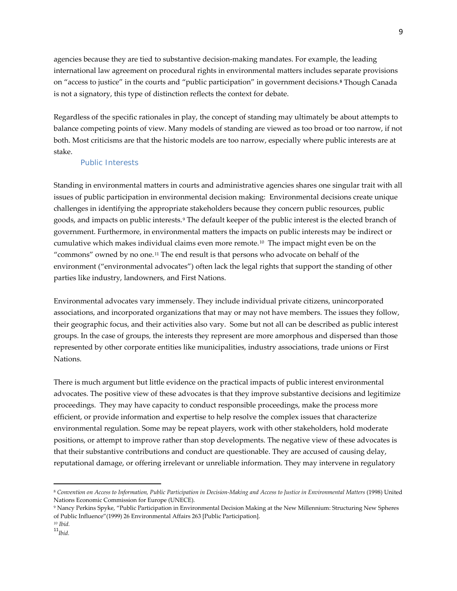agencies because they are tied to substantive decision-making mandates. For example, the leading international law agreement on procedural rights in environmental matters includes separate provisions on "access to justice" in the courts and "public participation" in government decisions.**[8](#page-8-1)** Though Canada is not a signatory, this type of distinction reflects the context for debate.

Regardless of the specific rationales in play, the concept of standing may ultimately be about attempts to balance competing points of view. Many models of standing are viewed as too broad or too narrow, if not both. Most criticisms are that the historic models are too narrow, especially where public interests are at stake.

#### Public Interests

<span id="page-8-0"></span>Standing in environmental matters in courts and administrative agencies shares one singular trait with all issues of public participation in environmental decision making: Environmental decisions create unique challenges in identifying the appropriate stakeholders because they concern public resources, public goods, and impacts on public interests.[9](#page-8-2) The default keeper of the public interest is the elected branch of government. Furthermore, in environmental matters the impacts on public interests may be indirect or cumulative which makes individual claims even more remote.[10](#page-8-3) The impact might even be on the "commons" owned by no one.[11](#page-8-4) The end result is that persons who advocate on behalf of the environment ("environmental advocates") often lack the legal rights that support the standing of other parties like industry, landowners, and First Nations.

Environmental advocates vary immensely. They include individual private citizens, unincorporated associations, and incorporated organizations that may or may not have members. The issues they follow, their geographic focus, and their activities also vary. Some but not all can be described as public interest groups. In the case of groups, the interests they represent are more amorphous and dispersed than those represented by other corporate entities like municipalities, industry associations, trade unions or First Nations.

There is much argument but little evidence on the practical impacts of public interest environmental advocates. The positive view of these advocates is that they improve substantive decisions and legitimize proceedings. They may have capacity to conduct responsible proceedings, make the process more efficient, or provide information and expertise to help resolve the complex issues that characterize environmental regulation. Some may be repeat players, work with other stakeholders, hold moderate positions, or attempt to improve rather than stop developments. The negative view of these advocates is that their substantive contributions and conduct are questionable. They are accused of causing delay, reputational damage, or offering irrelevant or unreliable information. They may intervene in regulatory

<span id="page-8-1"></span><sup>8</sup> *[Convention on Access to Information, Public Participation in Decision-Making and Access to Justice in Environmental Matters](http://live.unece.org/fileadmin/DAM/env/pp/documents/cep43e.pdf)* (1998) United Nations Economic Commission for Europe (UNECE).

<span id="page-8-2"></span><sup>9</sup> Nancy Perkins Spyke, "Public Participation in Environmental Decision Making at the New Millennium: Structuring New Spheres of Public Influence"(1999) 26 Environmental Affairs 263 [Public Participation].

<span id="page-8-3"></span>*<sup>10</sup> Ibid.*

<span id="page-8-4"></span> $11<sub>lbid</sub>$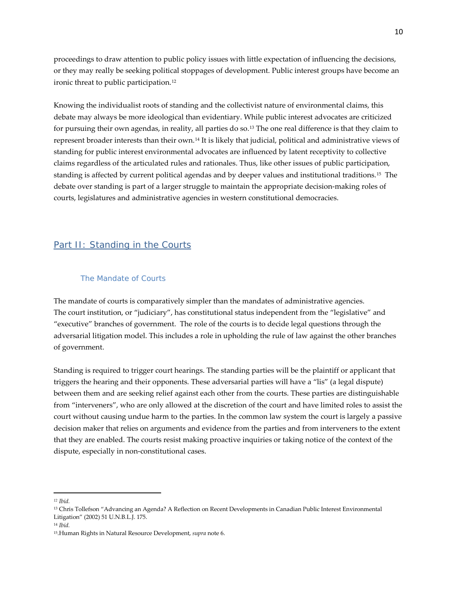proceedings to draw attention to public policy issues with little expectation of influencing the decisions, or they may really be seeking political stoppages of development. Public interest groups have become an ironic threat to public participation.[12](#page-9-2)

Knowing the individualist roots of standing and the collectivist nature of environmental claims, this debate may always be more ideological than evidentiary. While public interest advocates are criticized for pursuing their own agendas, in reality, all parties do so.[13](#page-9-3) The one real difference is that they claim to represent broader interests than their own.[14](#page-9-4) It is likely that judicial, political and administrative views of standing for public interest environmental advocates are influenced by latent receptivity to collective claims regardless of the articulated rules and rationales. Thus, like other issues of public participation, standing is affected by current political agendas and by deeper values and institutional traditions.[15](#page-9-5) The debate over standing is part of a larger struggle to maintain the appropriate decision-making roles of courts, legislatures and administrative agencies in western constitutional democracies.

# <span id="page-9-0"></span>Part II: Standing in the Courts

# The Mandate of Courts

<span id="page-9-1"></span>The mandate of courts is comparatively simpler than the mandates of administrative agencies. The court institution, or "judiciary", has constitutional status independent from the "legislative" and "executive" branches of government. The role of the courts is to decide legal questions through the adversarial litigation model. This includes a role in upholding the rule of law against the other branches of government.

Standing is required to trigger court hearings. The standing parties will be the plaintiff or applicant that triggers the hearing and their opponents. These adversarial parties will have a "lis" (a legal dispute) between them and are seeking relief against each other from the courts. These parties are distinguishable from "interveners", who are only allowed at the discretion of the court and have limited roles to assist the court without causing undue harm to the parties. In the common law system the court is largely a passive decision maker that relies on arguments and evidence from the parties and from interveners to the extent that they are enabled. The courts resist making proactive inquiries or taking notice of the context of the dispute, especially in non-constitutional cases.

<span id="page-9-2"></span>*<sup>12</sup> Ibid.*

<span id="page-9-3"></span><sup>13</sup> Chris Tollefson "Advancing an Agenda? A Reflection on Recent Developments in Canadian Public Interest Environmental Litigation" (2002) 51 U.N.B.L.J. 175.

<span id="page-9-4"></span><sup>14</sup> *Ibid.*

<span id="page-9-5"></span><sup>15.</sup>Human Rights in Natural Resource Development, *supra* note 6.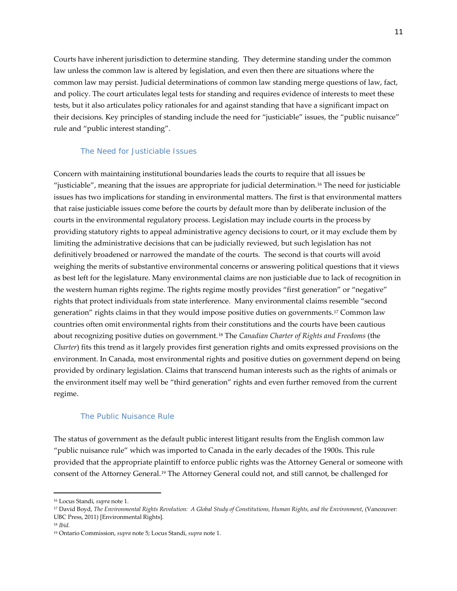Courts have inherent jurisdiction to determine standing. They determine standing under the common law unless the common law is altered by legislation, and even then there are situations where the common law may persist. Judicial determinations of common law standing merge questions of law, fact, and policy. The court articulates legal tests for standing and requires evidence of interests to meet these tests, but it also articulates policy rationales for and against standing that have a significant impact on their decisions. Key principles of standing include the need for "justiciable" issues, the "public nuisance" rule and "public interest standing".

#### The Need for Justiciable Issues

<span id="page-10-0"></span>Concern with maintaining institutional boundaries leads the courts to require that all issues be "justiciable", meaning that the issues are appropriate for judicial determination.[16](#page-10-2) The need for justiciable issues has two implications for standing in environmental matters. The first is that environmental matters that raise justiciable issues come before the courts by default more than by deliberate inclusion of the courts in the environmental regulatory process. Legislation may include courts in the process by providing statutory rights to appeal administrative agency decisions to court, or it may exclude them by limiting the administrative decisions that can be judicially reviewed, but such legislation has not definitively broadened or narrowed the mandate of the courts. The second is that courts will avoid weighing the merits of substantive environmental concerns or answering political questions that it views as best left for the legislature. Many environmental claims are non justiciable due to lack of recognition in the western human rights regime. The rights regime mostly provides "first generation" or "negative" rights that protect individuals from state interference. Many environmental claims resemble "second generation" rights claims in that they would impose positive duties on governments.[17](#page-10-3) Common law countries often omit environmental rights from their constitutions and the courts have been cautious about recognizing positive duties on government.[18](#page-10-4) The *Canadian Charter of Rights and Freedoms* (the *Charter*) fits this trend as it largely provides first generation rights and omits expressed provisions on the environment. In Canada, most environmental rights and positive duties on government depend on being provided by ordinary legislation. Claims that transcend human interests such as the rights of animals or the environment itself may well be "third generation" rights and even further removed from the current regime.

# The Public Nuisance Rule

<span id="page-10-1"></span>The status of government as the default public interest litigant results from the English common law "public nuisance rule" which was imported to Canada in the early decades of the 1900s. This rule provided that the appropriate plaintiff to enforce public rights was the Attorney General or someone with consent of the Attorney General.[19](#page-10-5) The Attorney General could not, and still cannot, be challenged for

<span id="page-10-2"></span><sup>16</sup> Locus Standi, *supra* note 1.

<span id="page-10-3"></span><sup>17</sup> David Boyd, *The Environmental Rights Revolution: A Global Study of Constitutions, Human Rights, and the Environment*, (Vancouver: UBC Press, 2011) [Environmental Rights].

<span id="page-10-4"></span><sup>18</sup> *Ibid.*

<span id="page-10-5"></span><sup>19</sup> Ontario Commission, *supra* note 5; Locus Standi, *supra* note 1.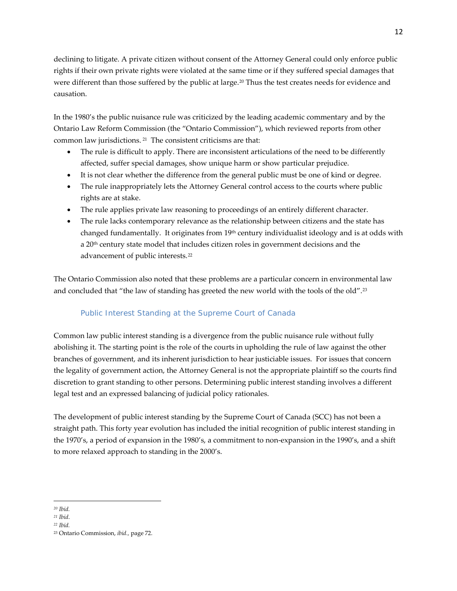declining to litigate. A private citizen without consent of the Attorney General could only enforce public rights if their own private rights were violated at the same time or if they suffered special damages that were different than those suffered by the public at large.<sup>[20](#page-11-1)</sup> Thus the test creates needs for evidence and causation.

In the 1980's the public nuisance rule was criticized by the leading academic commentary and by the Ontario Law Reform Commission (the "Ontario Commission"), which reviewed reports from other common law jurisdictions. [21](#page-11-2) The consistent criticisms are that:

- The rule is difficult to apply. There are inconsistent articulations of the need to be differently affected, suffer special damages, show unique harm or show particular prejudice.
- It is not clear whether the difference from the general public must be one of kind or degree.
- The rule inappropriately lets the Attorney General control access to the courts where public rights are at stake.
- The rule applies private law reasoning to proceedings of an entirely different character.
- The rule lacks contemporary relevance as the relationship between citizens and the state has changed fundamentally. It originates from  $19<sup>th</sup>$  century individualist ideology and is at odds with a 20<sup>th</sup> century state model that includes citizen roles in government decisions and the advancement of public interests.[22](#page-11-3)

The Ontario Commission also noted that these problems are a particular concern in environmental law and concluded that "the law of standing has greeted the new world with the tools of the old".<sup>[23](#page-11-4)</sup>

# Public Interest Standing at the Supreme Court of Canada

<span id="page-11-0"></span>Common law public interest standing is a divergence from the public nuisance rule without fully abolishing it. The starting point is the role of the courts in upholding the rule of law against the other branches of government, and its inherent jurisdiction to hear justiciable issues. For issues that concern the legality of government action, the Attorney General is not the appropriate plaintiff so the courts find discretion to grant standing to other persons. Determining public interest standing involves a different legal test and an expressed balancing of judicial policy rationales.

The development of public interest standing by the Supreme Court of Canada (SCC) has not been a straight path. This forty year evolution has included the initial recognition of public interest standing in the 1970's, a period of expansion in the 1980's, a commitment to non-expansion in the 1990's, and a shift to more relaxed approach to standing in the 2000's.

*<sup>20</sup> Ibid.*  $\overline{\phantom{a}}$ 

<span id="page-11-2"></span><span id="page-11-1"></span>*<sup>21</sup> Ibid*.

<span id="page-11-3"></span>*<sup>22</sup> Ibid.*

<span id="page-11-4"></span><sup>23</sup> Ontario Commission, *ibid.,* page 72.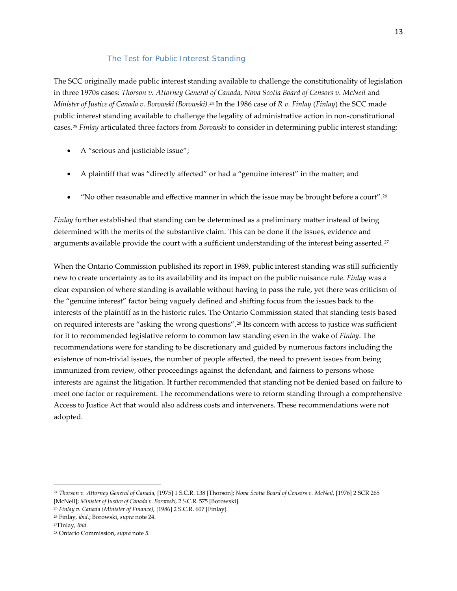# *The Test for Public Interest Standing*

<span id="page-12-0"></span>The SCC originally made public interest standing available to challenge the constitutionality of legislation in three 1970s cases: *Thorson v. Attorney General of Canada*, *Nova Scotia Board of Censors v. McNeil* and *Minister of Justice of Canada v. Borowski (Borowski)*.[24](#page-12-1) In the 1986 case of *R v. Finlay* (*Finlay*) the SCC made public interest standing available to challenge the legality of administrative action in non-constitutional cases.[25](#page-12-2) *Finlay* articulated three factors from *Borowski* to consider in determining public interest standing:

- A "serious and justiciable issue";
- A plaintiff that was "directly affected" or had a "genuine interest" in the matter; and
- "No other reasonable and effective manner in which the issue may be brought before a court".<sup>26</sup>

*Finlay* further established that standing can be determined as a preliminary matter instead of being determined with the merits of the substantive claim. This can be done if the issues, evidence and arguments available provide the court with a sufficient understanding of the interest being asserted.<sup>[27](#page-12-4)</sup>

When the Ontario Commission published its report in 1989, public interest standing was still sufficiently new to create uncertainty as to its availability and its impact on the public nuisance rule. *Finlay* was a clear expansion of where standing is available without having to pass the rule, yet there was criticism of the "genuine interest" factor being vaguely defined and shifting focus from the issues back to the interests of the plaintiff as in the historic rules. The Ontario Commission stated that standing tests based on required interests are "asking the wrong questions".[28](#page-12-5) Its concern with access to justice was sufficient for it to recommended legislative reform to common law standing even in the wake of *Finlay*. The recommendations were for standing to be discretionary and guided by numerous factors including the existence of non-trivial issues, the number of people affected, the need to prevent issues from being immunized from review, other proceedings against the defendant, and fairness to persons whose interests are against the litigation. It further recommended that standing not be denied based on failure to meet one factor or requirement. The recommendations were to reform standing through a comprehensive Access to Justice Act that would also address costs and interveners. These recommendations were not adopted.

<span id="page-12-1"></span><sup>24</sup> *Thorson v. Attorney General of Canada,* [1975] 1 S.C.R. 138 [Thorson]; *Nova Scotia Board of Censors v. McNeil*, [1976] 2 SCR 265 [McNeil]; *Minister of Justice of Canada v. Borowski*, 2 S.C.R. 575 [Borowski].

<span id="page-12-2"></span><sup>25</sup> *[Finlay v. Canada \(Minister of Finance\)](http://www.canlii.org/eliisa/highlight.do?text=%22genuine+interest%22+and+%22standing%22&language=en&searchTitle=Federal+-+Supreme+Court+of+Canada&path=/en/ca/scc/doc/1986/1986canlii6/1986canlii6.html)*, [1986] 2 S.C.R. 607 [Finlay]*.*

<span id="page-12-3"></span><sup>26</sup> Finlay, *ibid.*; Borowski, *supra* note 24.

<span id="page-12-4"></span>*<sup>27</sup>*Finlay*, Ibid.*

<span id="page-12-5"></span><sup>28</sup> Ontario Commission, *supra* note 5.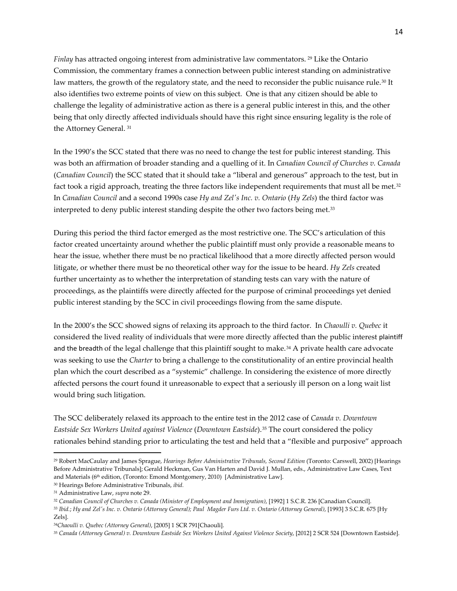*Finlay* has attracted ongoing interest from administrative law commentators. [29](#page-13-0) Like the Ontario Commission, the commentary frames a connection between public interest standing on administrative law matters, the growth of the regulatory state, and the need to reconsider the public nuisance rule.<sup>[30](#page-13-1)</sup> It also identifies two extreme points of view on this subject. One is that any citizen should be able to challenge the legality of administrative action as there is a general public interest in this, and the other being that only directly affected individuals should have this right since ensuring legality is the role of the Attorney General. [31](#page-13-2)

In the 1990's the SCC stated that there was no need to change the test for public interest standing. This was both an affirmation of broader standing and a quelling of it. In *Canadian Council of Churches v. Canada* (*Canadian Council*) the SCC stated that it should take a "liberal and generous" approach to the test, but in fact took a rigid approach, treating the three factors like independent requirements that must all be met.<sup>[32](#page-13-3)</sup> In *Canadian Council* and a second 1990s case *Hy and Zel's Inc. v. Ontario* (*Hy Zels*) the third factor was interpreted to deny public interest standing despite the other two factors being met.[33](#page-13-4) 

During this period the third factor emerged as the most restrictive one. The SCC's articulation of this factor created uncertainty around whether the public plaintiff must only provide a reasonable means to hear the issue, whether there must be no practical likelihood that a more directly affected person would litigate, or whether there must be no theoretical other way for the issue to be heard. *Hy Zels* created further uncertainty as to whether the interpretation of standing tests can vary with the nature of proceedings, as the plaintiffs were directly affected for the purpose of criminal proceedings yet denied public interest standing by the SCC in civil proceedings flowing from the same dispute.

In the 2000's the SCC showed signs of relaxing its approach to the third factor. In *Chaoulli v. Quebec* it considered the lived reality of individuals that were more directly affected than the public interest plaintiff and the breadth of the legal challenge that this plaintiff sought to make.<sup>[34](#page-13-5)</sup> A private health care advocate was seeking to use the *Charter* to bring a challenge to the constitutionality of an entire provincial health plan which the court described as a "systemic" challenge*.* In considering the existence of more directly affected persons the court found it unreasonable to expect that a seriously ill person on a long wait list would bring such litigation.

The SCC deliberately relaxed its approach to the entire test in the 2012 case of *Canada v. Downtown Eastside Sex Workers United against Violence* (*Downtown Eastside*).[35](#page-13-6) The court considered the policy rationales behind standing prior to articulating the test and held that a "flexible and purposive" approach

l

<span id="page-13-4"></span><sup>33</sup> *Ibid.*; *[Hy and Zel's Inc. v. Ontario \(Attorney General\); Paul Magder Furs Ltd. v. Ontario \(Attorney General\)](http://www.canlii.org/eliisa/highlight.do?text=%22genuine+interest%22+and+%22standing%22&language=en&searchTitle=Federal+-+Supreme+Court+of+Canada&path=/en/ca/scc/doc/1993/1993canlii30/1993canlii30.html)*, [1993] 3 S.C.R. 675 [Hy Zels].

<span id="page-13-0"></span><sup>29</sup> Robert MacCaulay and James Sprague, *Hearings Before Administrative Tribunals, Second Edition* (Toronto: Carswell, 2002) [Hearings Before Administrative Tribunals]; Gerald Heckman, Gus Van Harten and David J. Mullan, eds., Administrative Law Cases, Text and Materials (6<sup>th</sup> edition, (Toronto: Emond Montgomery, 2010) [Administrative Law].

<span id="page-13-1"></span><sup>30</sup> Hearings Before Administrative Tribunals, *ibid.*

<span id="page-13-2"></span><sup>31</sup> Administrative Law, *supra* note 29.

<span id="page-13-3"></span><sup>32</sup> *[Canadian Council of Churches v. Canada \(Minister of Employment and Immigration\)](http://www.canlii.org/eliisa/highlight.do?text=%22genuine+interest%22+and+%22standing%22&language=en&searchTitle=Search+all+CanLII+Databases&path=/en/ca/scc/doc/1992/1992canlii116/1992canlii116.html)*, [1992] 1 S.C.R. 236 [Canadian Council].

<span id="page-13-5"></span><sup>34</sup>*Chaoulli v. Quebec (Attorney General)*, [2005] 1 SCR 791[Chaouli].

<span id="page-13-6"></span><sup>&</sup>lt;sup>35</sup> Canada (Attorney General) v. Downtown Eastside Sex Workers United Against Violence Society, [2012] 2 SCR 524 [Downtown Eastside].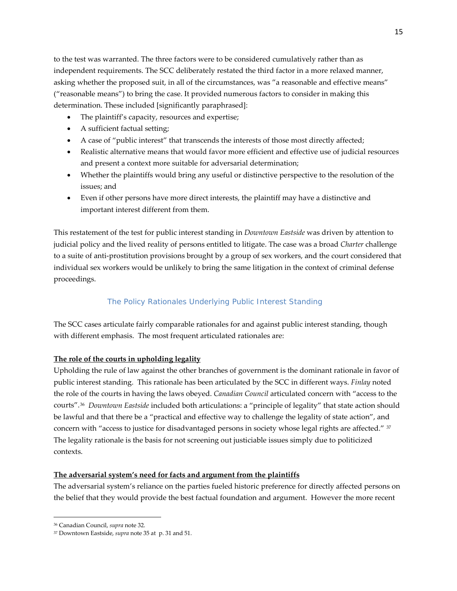to the test was warranted. The three factors were to be considered cumulatively rather than as independent requirements. The SCC deliberately restated the third factor in a more relaxed manner, asking whether the proposed suit, in all of the circumstances, was "a reasonable and effective means" ("reasonable means") to bring the case. It provided numerous factors to consider in making this determination. These included [significantly paraphrased]:

- The plaintiff's capacity, resources and expertise;
- A sufficient factual setting;
- A case of "public interest" that transcends the interests of those most directly affected;
- Realistic alternative means that would favor more efficient and effective use of judicial resources and present a context more suitable for adversarial determination;
- Whether the plaintiffs would bring any useful or distinctive perspective to the resolution of the issues; and
- Even if other persons have more direct interests, the plaintiff may have a distinctive and important interest different from them.

This restatement of the test for public interest standing in *Downtown Eastside* was driven by attention to judicial policy and the lived reality of persons entitled to litigate. The case was a broad *Charter* challenge to a suite of anti-prostitution provisions brought by a group of sex workers, and the court considered that individual sex workers would be unlikely to bring the same litigation in the context of criminal defense proceedings.

# *The Policy Rationales Underlying Public Interest Standing*

<span id="page-14-0"></span>The SCC cases articulate fairly comparable rationales for and against public interest standing, though with different emphasis. The most frequent articulated rationales are:

# **The role of the courts in upholding legality**

Upholding the rule of law against the other branches of government is the dominant rationale in favor of public interest standing. This rationale has been articulated by the SCC in different ways. *Finlay* noted the role of the courts in having the laws obeyed. *Canadian Council* articulated concern with "access to the courts".[36](#page-14-1) *Downtown Eastside* included both articulations: a "principle of legality" that state action should be lawful and that there be a "practical and effective way to challenge the legality of state action", and concern with "access to justice for disadvantaged persons in society whose legal rights are affected." [37](#page-14-2) The legality rationale is the basis for not screening out justiciable issues simply due to politicized contexts.

# **The adversarial system's need for facts and argument from the plaintiffs**

The adversarial system's reliance on the parties fueled historic preference for directly affected persons on the belief that they would provide the best factual foundation and argument. However the more recent

l

<span id="page-14-1"></span><sup>36</sup> Canadian Council, *supra* note 32.

<span id="page-14-2"></span><sup>37</sup> Downtown Eastside, *supra* note 35 at p. 31 and 51.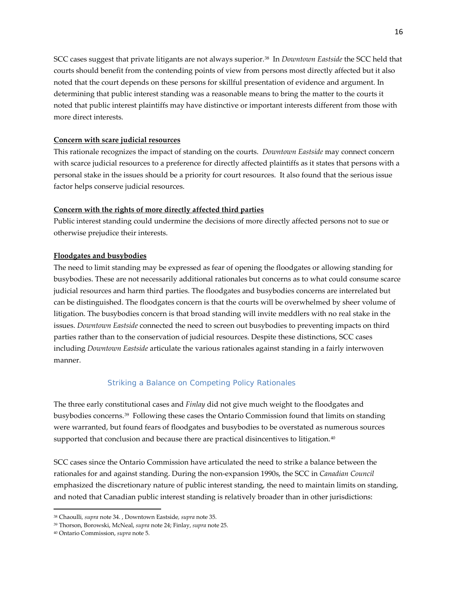SCC cases suggest that private litigants are not always superior.[38](#page-15-1) In *Downtown Eastside* the SCC held that courts should benefit from the contending points of view from persons most directly affected but it also noted that the court depends on these persons for skillful presentation of evidence and argument. In determining that public interest standing was a reasonable means to bring the matter to the courts it noted that public interest plaintiffs may have distinctive or important interests different from those with more direct interests.

#### **Concern with scare judicial resources**

This rationale recognizes the impact of standing on the courts. *Downtown Eastside* may connect concern with scarce judicial resources to a preference for directly affected plaintiffs as it states that persons with a personal stake in the issues should be a priority for court resources. It also found that the serious issue factor helps conserve judicial resources.

#### **Concern with the rights of more directly affected third parties**

Public interest standing could undermine the decisions of more directly affected persons not to sue or otherwise prejudice their interests.

#### **Floodgates and busybodies**

The need to limit standing may be expressed as fear of opening the floodgates or allowing standing for busybodies. These are not necessarily additional rationales but concerns as to what could consume scarce judicial resources and harm third parties. The floodgates and busybodies concerns are interrelated but can be distinguished. The floodgates concern is that the courts will be overwhelmed by sheer volume of litigation. The busybodies concern is that broad standing will invite meddlers with no real stake in the issues. *Downtown Eastside* connected the need to screen out busybodies to preventing impacts on third parties rather than to the conservation of judicial resources. Despite these distinctions, SCC cases including *Downtown Eastside* articulate the various rationales against standing in a fairly interwoven manner.

#### *Striking a Balance on Competing Policy Rationales*

<span id="page-15-0"></span>The three early constitutional cases and *Finlay* did not give much weight to the floodgates and busybodies concerns.[39](#page-15-2) Following these cases the Ontario Commission found that limits on standing were warranted, but found fears of floodgates and busybodies to be overstated as numerous sources supported that conclusion and because there are practical disincentives to litigation.<sup>[40](#page-15-3)</sup>

SCC cases since the Ontario Commission have articulated the need to strike a balance between the rationales for and against standing. During the non-expansion 1990s, the SCC in *Canadian Council* emphasized the discretionary nature of public interest standing, the need to maintain limits on standing, and noted that Canadian public interest standing is relatively broader than in other jurisdictions:

l

<span id="page-15-1"></span><sup>38</sup> Chaoulli*, supra* note 34. , Downtown Eastside*, supra* note 35.

<span id="page-15-2"></span><sup>39</sup> Thorson, Borowski, McNeal, *supra* note 24; Finlay, *supra* note 25.

<span id="page-15-3"></span><sup>40</sup> Ontario Commission, *supra* note 5.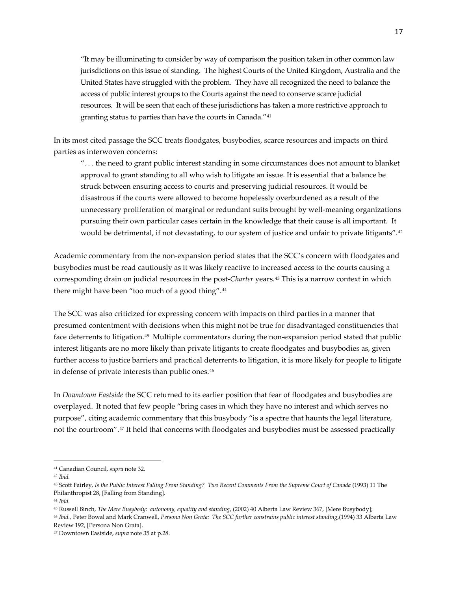"It may be illuminating to consider by way of comparison the position taken in other common law jurisdictions on this issue of standing. The highest Courts of the United Kingdom, Australia and the United States have struggled with the problem. They have all recognized the need to balance the access of public interest groups to the Courts against the need to conserve scarce judicial resources. It will be seen that each of these jurisdictions has taken a more restrictive approach to granting status to parties than have the courts in Canada."[41](#page-16-0)

In its most cited passage the SCC treats floodgates, busybodies, scarce resources and impacts on third parties as interwoven concerns:

". . . the need to grant public interest standing in some circumstances does not amount to blanket approval to grant standing to all who wish to litigate an issue. It is essential that a balance be struck between ensuring access to courts and preserving judicial resources. It would be disastrous if the courts were allowed to become hopelessly overburdened as a result of the unnecessary proliferation of marginal or redundant suits brought by well-meaning organizations pursuing their own particular cases certain in the knowledge that their cause is all important. It would be detrimental, if not devastating, to our system of justice and unfair to private litigants".[42](#page-16-1)

Academic commentary from the non-expansion period states that the SCC's concern with floodgates and busybodies must be read cautiously as it was likely reactive to increased access to the courts causing a corresponding drain on judicial resources in the post-*Charter* years.[43](#page-16-2) This is a narrow context in which there might have been "too much of a good thing".<sup>[44](#page-16-3)</sup>

The SCC was also criticized for expressing concern with impacts on third parties in a manner that presumed contentment with decisions when this might not be true for disadvantaged constituencies that face deterrents to litigation.[45](#page-16-4) Multiple commentators during the non-expansion period stated that public interest litigants are no more likely than private litigants to create floodgates and busybodies as, given further access to justice barriers and practical deterrents to litigation, it is more likely for people to litigate in defense of private interests than public ones.[46](#page-16-5)

In *Downtown Eastside* the SCC returned to its earlier position that fear of floodgates and busybodies are overplayed. It noted that few people "bring cases in which they have no interest and which serves no purpose", citing academic commentary that this busybody "is a spectre that haunts the legal literature, not the courtroom".[47](#page-16-6) It held that concerns with floodgates and busybodies must be assessed practically

 $\overline{\phantom{a}}$ 

<span id="page-16-3"></span><sup>44</sup> *Ibid.*

<span id="page-16-4"></span><sup>45</sup> Russell Binch, *The Mere Busybody: autonomy, equality and standing*, (2002) 40 Alberta Law Review 367, [Mere Busybody];

<span id="page-16-5"></span><sup>46</sup> *Ibid.,* Peter Bowal and Mark Cranwell, *Persona Non Grata: The SCC further constrains public interest standing*,(1994) 33 Alberta Law Review 192, [Persona Non Grata].

<span id="page-16-0"></span><sup>41</sup> Canadian Council, *supra* note 32.

<span id="page-16-1"></span><sup>42</sup> *Ibid.*

<span id="page-16-2"></span><sup>43</sup> Scott Fairley, *Is the Public Interest Falling From Standing? Two Recent Comments From the Supreme Court of Canada* (1993) 11 The Philanthropist 28, [Falling from Standing].

<span id="page-16-6"></span><sup>47</sup> Downtown Eastside, *supra* note 35 at p.28.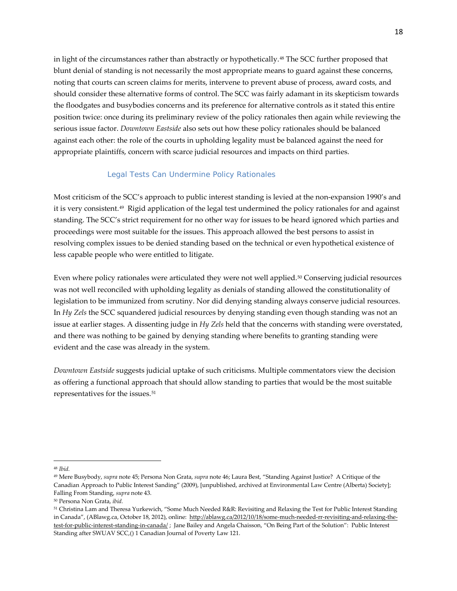in light of the circumstances rather than abstractly or hypothetically.[48](#page-17-1) The SCC further proposed that blunt denial of standing is not necessarily the most appropriate means to guard against these concerns, noting that courts can screen claims for merits, intervene to prevent abuse of process, award costs, and should consider these alternative forms of control. The SCC was fairly adamant in its skepticism towards the floodgates and busybodies concerns and its preference for alternative controls as it stated this entire position twice: once during its preliminary review of the policy rationales then again while reviewing the serious issue factor. *Downtown Eastside* also sets out how these policy rationales should be balanced against each other: the role of the courts in upholding legality must be balanced against the need for appropriate plaintiffs, concern with scarce judicial resources and impacts on third parties.

# *Legal Tests Can Undermine Policy Rationales*

<span id="page-17-0"></span>Most criticism of the SCC's approach to public interest standing is levied at the non-expansion 1990's and it is very consistent.[49](#page-17-2) Rigid application of the legal test undermined the policy rationales for and against standing. The SCC's strict requirement for no other way for issues to be heard ignored which parties and proceedings were most suitable for the issues. This approach allowed the best persons to assist in resolving complex issues to be denied standing based on the technical or even hypothetical existence of less capable people who were entitled to litigate.

Even where policy rationales were articulated they were not well applied.[50](#page-17-3) Conserving judicial resources was not well reconciled with upholding legality as denials of standing allowed the constitutionality of legislation to be immunized from scrutiny. Nor did denying standing always conserve judicial resources. In *Hy Zels* the SCC squandered judicial resources by denying standing even though standing was not an issue at earlier stages. A dissenting judge in *Hy Zels* held that the concerns with standing were overstated, and there was nothing to be gained by denying standing where benefits to granting standing were evident and the case was already in the system.

*Downtown Eastside* suggests judicial uptake of such criticisms. Multiple commentators view the decision as offering a functional approach that should allow standing to parties that would be the most suitable representatives for the issues.<sup>[51](#page-17-4)</sup>

<span id="page-17-1"></span><sup>48</sup> *Ibid.*

<span id="page-17-2"></span><sup>49</sup> Mere Busybody, *supra* note 45; Persona Non Grata, *supra* note 46; Laura Best, "Standing Against Justice? A Critique of the Canadian Approach to Public Interest Sanding" (2009), [unpublished, archived at Environmental Law Centre (Alberta) Society]; Falling From Standing, *supra* note 43.

<span id="page-17-3"></span><sup>50</sup> Persona Non Grata, *ibid.*

<span id="page-17-4"></span><sup>&</sup>lt;sup>51</sup> Christina Lam and Theresa Yurkewich, "Some Much Needed R&R: Revisiting and Relaxing the Test for Public Interest Standing in Canada", (ABlawg.ca, October 18, 2012), online: [http://ablawg.ca/2012/10/18/some-much-needed-rr-revisiting-and-relaxing-the](http://ablawg.ca/2012/10/18/some-much-needed-rr-revisiting-and-relaxing-the-test-for-public-interest-standing-in-canada/)[test-for-public-interest-standing-in-canada/](http://ablawg.ca/2012/10/18/some-much-needed-rr-revisiting-and-relaxing-the-test-for-public-interest-standing-in-canada/) ; Jane Bailey and Angela Chaisson, "On Being Part of the Solution": Public Interest Standing after SWUAV SCC,() 1 Canadian Journal of Poverty Law 121.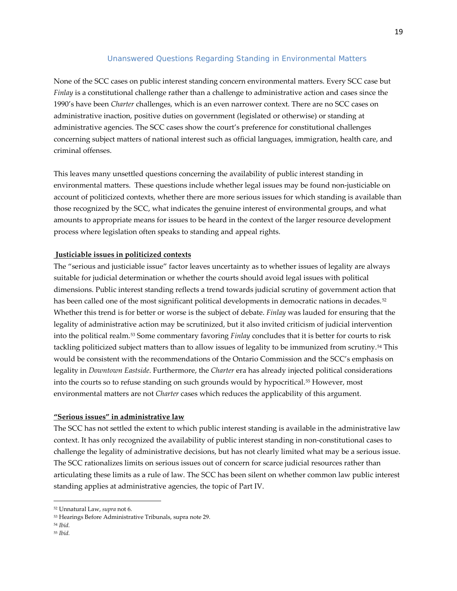# *Unanswered Questions Regarding Standing in Environmental Matters*

<span id="page-18-0"></span>None of the SCC cases on public interest standing concern environmental matters. Every SCC case but *Finlay* is a constitutional challenge rather than a challenge to administrative action and cases since the 1990's have been *Charter* challenges, which is an even narrower context. There are no SCC cases on administrative inaction, positive duties on government (legislated or otherwise) or standing at administrative agencies. The SCC cases show the court's preference for constitutional challenges concerning subject matters of national interest such as official languages, immigration, health care, and criminal offenses.

This leaves many unsettled questions concerning the availability of public interest standing in environmental matters. These questions include whether legal issues may be found non-justiciable on account of politicized contexts, whether there are more serious issues for which standing is available than those recognized by the SCC, what indicates the genuine interest of environmental groups, and what amounts to appropriate means for issues to be heard in the context of the larger resource development process where legislation often speaks to standing and appeal rights.

# **Justiciable issues in politicized contexts**

The "serious and justiciable issue" factor leaves uncertainty as to whether issues of legality are always suitable for judicial determination or whether the courts should avoid legal issues with political dimensions. Public interest standing reflects a trend towards judicial scrutiny of government action that has been called one of the most significant political developments in democratic nations in decades.<sup>[52](#page-18-1)</sup> Whether this trend is for better or worse is the subject of debate. *Finlay* was lauded for ensuring that the legality of administrative action may be scrutinized, but it also invited criticism of judicial intervention into the political realm.[53](#page-18-2) Some commentary favoring *Finlay* concludes that it is better for courts to risk tackling politicized subject matters than to allow issues of legality to be immunized from scrutiny.[54](#page-18-3) This would be consistent with the recommendations of the Ontario Commission and the SCC's emphasis on legality in *Downtown Eastside*. Furthermore, the *Charter* era has already injected political considerations into the courts so to refuse standing on such grounds would by hypocritical.[55](#page-18-4) However, most environmental matters are not *Charter* cases which reduces the applicability of this argument.

#### **"Serious issues" in administrative law**

The SCC has not settled the extent to which public interest standing is available in the administrative law context. It has only recognized the availability of public interest standing in non-constitutional cases to challenge the legality of administrative decisions, but has not clearly limited what may be a serious issue. The SCC rationalizes limits on serious issues out of concern for scarce judicial resources rather than articulating these limits as a rule of law. The SCC has been silent on whether common law public interest standing applies at administrative agencies, the topic of Part IV.

<span id="page-18-1"></span><sup>52</sup> Unnatural Law, *supra* not 6.

<span id="page-18-2"></span><sup>53</sup> Hearings Before Administrative Tribunals, supra note 29.

<span id="page-18-3"></span><sup>54</sup> *Ibid.*

<span id="page-18-4"></span><sup>55</sup> *Ibid.*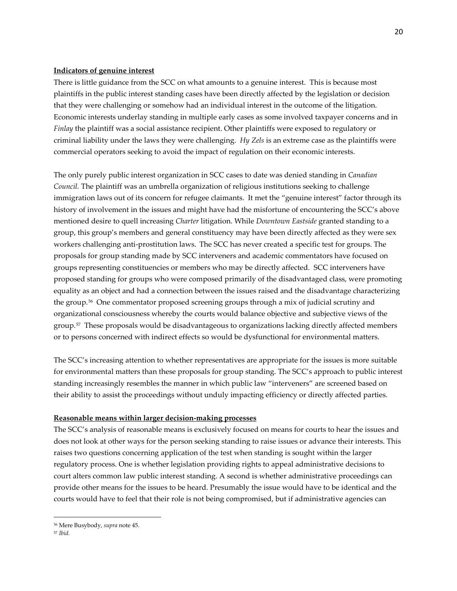#### **Indicators of genuine interest**

There is little guidance from the SCC on what amounts to a genuine interest. This is because most plaintiffs in the public interest standing cases have been directly affected by the legislation or decision that they were challenging or somehow had an individual interest in the outcome of the litigation. Economic interests underlay standing in multiple early cases as some involved taxpayer concerns and in *Finlay* the plaintiff was a social assistance recipient. Other plaintiffs were exposed to regulatory or criminal liability under the laws they were challenging. *Hy Zels* is an extreme case as the plaintiffs were commercial operators seeking to avoid the impact of regulation on their economic interests.

The only purely public interest organization in SCC cases to date was denied standing in *Canadian Council.* The plaintiff was an umbrella organization of religious institutions seeking to challenge immigration laws out of its concern for refugee claimants. It met the "genuine interest" factor through its history of involvement in the issues and might have had the misfortune of encountering the SCC's above mentioned desire to quell increasing *Charter* litigation. While *Downtown Eastside* granted standing to a group, this group's members and general constituency may have been directly affected as they were sex workers challenging anti-prostitution laws. The SCC has never created a specific test for groups. The proposals for group standing made by SCC interveners and academic commentators have focused on groups representing constituencies or members who may be directly affected. SCC interveners have proposed standing for groups who were composed primarily of the disadvantaged class, were promoting equality as an object and had a connection between the issues raised and the disadvantage characterizing the group.[56](#page-19-0) One commentator proposed screening groups through a mix of judicial scrutiny and organizational consciousness whereby the courts would balance objective and subjective views of the group.[57](#page-19-1) These proposals would be disadvantageous to organizations lacking directly affected members or to persons concerned with indirect effects so would be dysfunctional for environmental matters.

The SCC's increasing attention to whether representatives are appropriate for the issues is more suitable for environmental matters than these proposals for group standing. The SCC's approach to public interest standing increasingly resembles the manner in which public law "interveners" are screened based on their ability to assist the proceedings without unduly impacting efficiency or directly affected parties.

# **Reasonable means within larger decision-making processes**

The SCC's analysis of reasonable means is exclusively focused on means for courts to hear the issues and does not look at other ways for the person seeking standing to raise issues or advance their interests. This raises two questions concerning application of the test when standing is sought within the larger regulatory process. One is whether legislation providing rights to appeal administrative decisions to court alters common law public interest standing. A second is whether administrative proceedings can provide other means for the issues to be heard. Presumably the issue would have to be identical and the courts would have to feel that their role is not being compromised, but if administrative agencies can

l

<span id="page-19-0"></span><sup>56</sup> Mere Busybody, *supra* note 45.

<span id="page-19-1"></span><sup>57</sup> *Ibid.*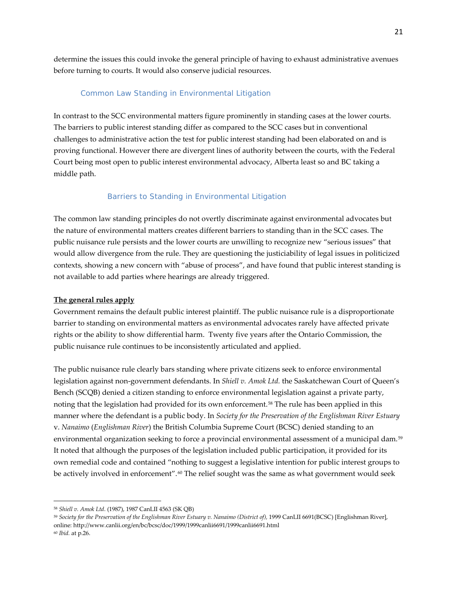determine the issues this could invoke the general principle of having to exhaust administrative avenues before turning to courts. It would also conserve judicial resources.

# Common Law Standing in Environmental Litigation

<span id="page-20-0"></span>In contrast to the SCC environmental matters figure prominently in standing cases at the lower courts. The barriers to public interest standing differ as compared to the SCC cases but in conventional challenges to administrative action the test for public interest standing had been elaborated on and is proving functional. However there are divergent lines of authority between the courts, with the Federal Court being most open to public interest environmental advocacy, Alberta least so and BC taking a middle path.

# *Barriers to Standing in Environmental Litigation*

<span id="page-20-1"></span>The common law standing principles do not overtly discriminate against environmental advocates but the nature of environmental matters creates different barriers to standing than in the SCC cases. The public nuisance rule persists and the lower courts are unwilling to recognize new "serious issues" that would allow divergence from the rule. They are questioning the justiciability of legal issues in politicized contexts, showing a new concern with "abuse of process", and have found that public interest standing is not available to add parties where hearings are already triggered.

### **The general rules apply**

Government remains the default public interest plaintiff. The public nuisance rule is a disproportionate barrier to standing on environmental matters as environmental advocates rarely have affected private rights or the ability to show differential harm. Twenty five years after the Ontario Commission, the public nuisance rule continues to be inconsistently articulated and applied.

The public nuisance rule clearly bars standing where private citizens seek to enforce environmental legislation against non-government defendants. In *Shiell v. Amok Ltd.* the Saskatchewan Court of Queen's Bench (SCQB) denied a citizen standing to enforce environmental legislation against a private party, noting that the legislation had provided for its own enforcement.[58](#page-20-2) The rule has been applied in this manner where the defendant is a public body. In *Society for the Preservation of the Englishman River Estuary* v. *Nanaimo* (*Englishman River*) the British Columbia Supreme Court (BCSC) denied standing to an environmental organization seeking to force a provincial environmental assessment of a municipal dam.[59](#page-20-3) It noted that although the purposes of the legislation included public participation, it provided for its own remedial code and contained "nothing to suggest a legislative intention for public interest groups to be actively involved in enforcement".<sup>[60](#page-20-4)</sup> The relief sought was the same as what government would seek

<span id="page-20-2"></span><sup>58</sup> *Shiell v. Amok Ltd*. (1987), [1987 CanLII 4563 \(SK QB\)](http://www.canlii.org/en/sk/skqb/doc/1987/1987canlii4563/1987canlii4563.html)

<span id="page-20-3"></span><sup>59</sup> *Society for the Preservation of the Englishman River Estuary v. Nanaimo (District of),* 1999 CanLII 6691(BCSC) [Englishman River], online: http://www.canlii.org/en/bc/bcsc/doc/1999/1999canlii6691/1999canlii6691.html

<span id="page-20-4"></span><sup>60</sup> *Ibid.* at p.26.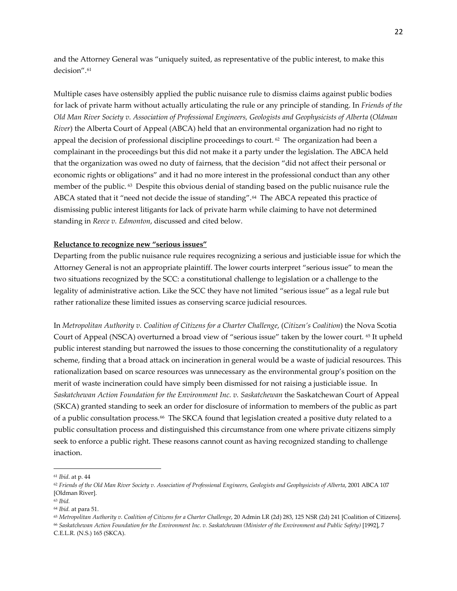and the Attorney General was "uniquely suited, as representative of the public interest, to make this decision".[61](#page-21-0) 

Multiple cases have ostensibly applied the public nuisance rule to dismiss claims against public bodies for lack of private harm without actually articulating the rule or any principle of standing. In *Friends of the Old Man River Society v. Association of Professional Engineers, Geologists and Geophysicists of Alberta* (*Oldman River*) the Alberta Court of Appeal (ABCA) held that an environmental organization had no right to appeal the decision of professional discipline proceedings to court.  $62$  The organization had been a complainant in the proceedings but this did not make it a party under the legislation. The ABCA held that the organization was owed no duty of fairness, that the decision "did not affect their personal or economic rights or obligations" and it had no more interest in the professional conduct than any other member of the public. [63](#page-21-2) Despite this obvious denial of standing based on the public nuisance rule the ABCA stated that it "need not decide the issue of standing".[64](#page-21-3) The ABCA repeated this practice of dismissing public interest litigants for lack of private harm while claiming to have not determined standing in *Reece v. Edmonton*, discussed and cited below.

### **Reluctance to recognize new "serious issues"**

Departing from the public nuisance rule requires recognizing a serious and justiciable issue for which the Attorney General is not an appropriate plaintiff. The lower courts interpret "serious issue" to mean the two situations recognized by the SCC: a constitutional challenge to legislation or a challenge to the legality of administrative action. Like the SCC they have not limited "serious issue" as a legal rule but rather rationalize these limited issues as conserving scarce judicial resources.

In *Metropolitan Authority v. Coalition of Citizens for a Charter Challenge*, (*Citizen's Coalition*) the Nova Scotia Court of Appeal (NSCA) overturned a broad view of "serious issue" taken by the lower court. [65](#page-21-4) It upheld public interest standing but narrowed the issues to those concerning the constitutionality of a regulatory scheme, finding that a broad attack on incineration in general would be a waste of judicial resources. This rationalization based on scarce resources was unnecessary as the environmental group's position on the merit of waste incineration could have simply been dismissed for not raising a justiciable issue. In *Saskatchewan Action Foundation for the Environment Inc. v. Saskatchewan* the Saskatchewan Court of Appeal (SKCA) granted standing to seek an order for disclosure of information to members of the public as part of a public consultation process.<sup>[66](#page-21-5)</sup> The SKCA found that legislation created a positive duty related to a public consultation process and distinguished this circumstance from one where private citizens simply seek to enforce a public right. These reasons cannot count as having recognized standing to challenge inaction.

<span id="page-21-0"></span><sup>61</sup> *Ibid*. at p. 44

<span id="page-21-1"></span><sup>&</sup>lt;sup>62</sup> Friends of the Old Man River Society v. Association of Professional Engineers, Geologists and Geophysicists of Alberta, 2001 ABCA 107 [Oldman River].

<span id="page-21-2"></span><sup>63</sup> *Ibid.*

<span id="page-21-3"></span><sup>64</sup> *Ibid.* at para 51.

<span id="page-21-4"></span><sup>&</sup>lt;sup>65</sup> Metropolitan Authority v. Coalition of Citizens for a Charter Challenge, 20 Admin LR (2d) 283, 125 NSR (2d) 241 [Coalition of Citizens].

<span id="page-21-5"></span><sup>66</sup> *Saskatchewan Action Foundation for the Environment Inc. v. Saskatchewan (Minister of the Environment and Public Safety)* [1992], 7 C.E.L.R. (N.S.) 165 (SKCA).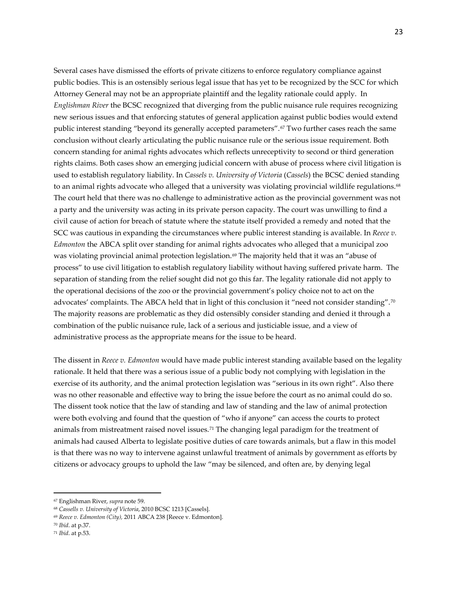Several cases have dismissed the efforts of private citizens to enforce regulatory compliance against public bodies. This is an ostensibly serious legal issue that has yet to be recognized by the SCC for which Attorney General may not be an appropriate plaintiff and the legality rationale could apply. In *Englishman River* the BCSC recognized that diverging from the public nuisance rule requires recognizing new serious issues and that enforcing statutes of general application against public bodies would extend public interest standing "beyond its generally accepted parameters".[67](#page-22-0) Two further cases reach the same conclusion without clearly articulating the public nuisance rule or the serious issue requirement. Both concern standing for animal rights advocates which reflects unreceptivity to second or third generation rights claims. Both cases show an emerging judicial concern with abuse of process where civil litigation is used to establish regulatory liability. In *Cassels v. University of Victoria* (*Cassels*) the BCSC denied standing to an animal rights advocate who alleged that a university was violating provincial wildlife regulations.<sup>[68](#page-22-1)</sup> The court held that there was no challenge to administrative action as the provincial government was not a party and the university was acting in its private person capacity. The court was unwilling to find a civil cause of action for breach of statute where the statute itself provided a remedy and noted that the SCC was cautious in expanding the circumstances where public interest standing is available. In *Reece v. Edmonton* the ABCA split over standing for animal rights advocates who alleged that a municipal zoo was violating provincial animal protection legislation.<sup>[69](#page-22-2)</sup> The majority held that it was an "abuse of process" to use civil litigation to establish regulatory liability without having suffered private harm. The separation of standing from the relief sought did not go this far. The legality rationale did not apply to the operational decisions of the zoo or the provincial government's policy choice not to act on the advocates' complaints. The ABCA held that in light of this conclusion it "need not consider standing".[70](#page-22-3)  The majority reasons are problematic as they did ostensibly consider standing and denied it through a combination of the public nuisance rule, lack of a serious and justiciable issue, and a view of administrative process as the appropriate means for the issue to be heard.

The dissent in *Reece v. Edmonton* would have made public interest standing available based on the legality rationale. It held that there was a serious issue of a public body not complying with legislation in the exercise of its authority, and the animal protection legislation was "serious in its own right". Also there was no other reasonable and effective way to bring the issue before the court as no animal could do so. The dissent took notice that the law of standing and law of standing and the law of animal protection were both evolving and found that the question of "who if anyone" can access the courts to protect animals from mistreatment raised novel issues.<sup>[71](#page-22-4)</sup> The changing legal paradigm for the treatment of animals had caused Alberta to legislate positive duties of care towards animals, but a flaw in this model is that there was no way to intervene against unlawful treatment of animals by government as efforts by citizens or advocacy groups to uphold the law "may be silenced, and often are, by denying legal

<span id="page-22-0"></span><sup>67</sup> Englishman River, *supra* note 59.

<span id="page-22-1"></span><sup>68</sup> *Cassells v. University of Victoria*, 2010 BCSC 1213 [Cassels].

<span id="page-22-2"></span><sup>69</sup> *Reece v. Edmonton (City),* 2011 ABCA 238 [Reece v. Edmonton].

<span id="page-22-3"></span><sup>70</sup> *Ibid*. at p.37.

<span id="page-22-4"></span><sup>71</sup> *Ibid*. at p.53.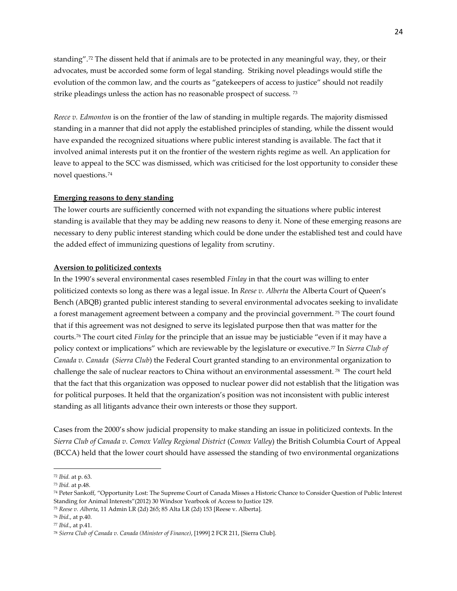standing".[72](#page-23-0) The dissent held that if animals are to be protected in any meaningful way, they, or their advocates, must be accorded some form of legal standing. Striking novel pleadings would stifle the evolution of the common law, and the courts as "gatekeepers of access to justice" should not readily strike pleadings unless the action has no reasonable prospect of success. [73](#page-23-1)

*Reece v. Edmonton* is on the frontier of the law of standing in multiple regards. The majority dismissed standing in a manner that did not apply the established principles of standing, while the dissent would have expanded the recognized situations where public interest standing is available. The fact that it involved animal interests put it on the frontier of the western rights regime as well. An application for leave to appeal to the SCC was dismissed, which was criticised for the lost opportunity to consider these novel questions.[74](#page-23-2)

#### **Emerging reasons to deny standing**

The lower courts are sufficiently concerned with not expanding the situations where public interest standing is available that they may be adding new reasons to deny it. None of these emerging reasons are necessary to deny public interest standing which could be done under the established test and could have the added effect of immunizing questions of legality from scrutiny.

#### **Aversion to politicized contexts**

In the 1990's several environmental cases resembled *Finlay* in that the court was willing to enter politicized contexts so long as there was a legal issue. In *Reese v. Alberta* the Alberta Court of Queen's Bench (ABQB) granted public interest standing to several environmental advocates seeking to invalidate a forest management agreement between a company and the provincial government. [75](#page-23-3) The court found that if this agreement was not designed to serve its legislated purpose then that was matter for the courts.[76](#page-23-4) The court cited *Finlay* for the principle that an issue may be justiciable "even if it may have a policy context or implications" which are reviewable by the legislature or executive.[77](#page-23-5) In *[Sierra Club of](http://www.canlii.org/en/ca/fct/doc/1998/1998canlii9124/1998canlii9124.html?searchUrlHash=AAAAAQAQc3Vuc2hpbmUgdmlsbGFnZQAAAAEAFTE5OTMgQ2FuTElJIDI5NDIgKEZDKQAAAAIANy9mci9jYS9jZnBpL2RvYy8xOTkzLzE5OTNjYW5saWkyOTQyLzE5OTNjYW5saWkyOTQyLmh0bWwANi9lbi9jYS9mY3QvZG9jLzE5OTMvMTk5M2NhbmxpaTI5NDIvMTk5M2NhbmxpaTI5NDIuaHRtbAE)  [Canada v. Canada](http://www.canlii.org/en/ca/fct/doc/1998/1998canlii9124/1998canlii9124.html?searchUrlHash=AAAAAQAQc3Vuc2hpbmUgdmlsbGFnZQAAAAEAFTE5OTMgQ2FuTElJIDI5NDIgKEZDKQAAAAIANy9mci9jYS9jZnBpL2RvYy8xOTkzLzE5OTNjYW5saWkyOTQyLzE5OTNjYW5saWkyOTQyLmh0bWwANi9lbi9jYS9mY3QvZG9jLzE5OTMvMTk5M2NhbmxpaTI5NDIvMTk5M2NhbmxpaTI5NDIuaHRtbAE)* (*Sierra Club*) the Federal Court granted standing to an environmental organization to challenge the sale of nuclear reactors to China without an environmental assessment. [78](#page-23-6) The court held that the fact that this organization was opposed to nuclear power did not establish that the litigation was for political purposes. It held that the organization's position was not inconsistent with public interest standing as all litigants advance their own interests or those they support.

Cases from the 2000's show judicial propensity to make standing an issue in politicized contexts. In the *[Sierra Club of Canada v. Comox Valley Regional District](http://www.canlii.org/eliisa/highlight.do?text=%22public+interest+standing%22+and+%22environment%22&language=en&searchTitle=%5B1992%5D+1+S.C.R.+236&origin=%2Fen%2Fca%2Fscc%2Fdoc%2F1992%2F1992canlii116%2F1992canlii116.html&translatedOrigin=%2Ffr%2Fca%2Fcsc%2Fdoc%2F1992%2F1992canlii116%2F1992canlii116.html&path=/en/bc/bcca/doc/2010/2010bcca343/2010bcca343.html)* (*Comox Valley*) the British Columbia Court of Appeal (BCCA) held that the lower court should have assessed the standing of two environmental organizations

<span id="page-23-0"></span><sup>72</sup> *Ibid.* at p. 63.

<span id="page-23-1"></span><sup>73</sup> *Ibid.* at p.48.

<span id="page-23-2"></span><sup>74</sup> Peter Sankoff, "Opportunity Lost: The Supreme Court of Canada Misses a Historic Chance to Consider Question of Public Interest Standing for Animal Interests["\(2012\) 30 Windsor Yearbook of Access to Justice 129.](http://outatpapers.ssrn.com/sol3/papers.cfm?abstract_id=2201689%23%23)

<span id="page-23-3"></span><sup>75</sup> *Reese v. Alberta*, 11 Admin LR (2d) 265; 85 Alta LR (2d) 153 [Reese v. Alberta].

<span id="page-23-4"></span><sup>76</sup> *Ibid*., at p.40.

<span id="page-23-5"></span><sup>77</sup> *Ibid*., at p.41.

<span id="page-23-6"></span><sup>78</sup> *[Sierra Club of Canada v. Canada \(Minister of Finance\)](http://www.canlii.org/en/ca/fct/doc/1998/1998canlii9124/1998canlii9124.html?searchUrlHash=AAAAAQAQc3Vuc2hpbmUgdmlsbGFnZQAAAAEAFTE5OTMgQ2FuTElJIDI5NDIgKEZDKQAAAAIANy9mci9jYS9jZnBpL2RvYy8xOTkzLzE5OTNjYW5saWkyOTQyLzE5OTNjYW5saWkyOTQyLmh0bWwANi9lbi9jYS9mY3QvZG9jLzE5OTMvMTk5M2NhbmxpaTI5NDIvMTk5M2NhbmxpaTI5NDIuaHRtbAE)*, [1999] 2 FCR 211, [Sierra Club].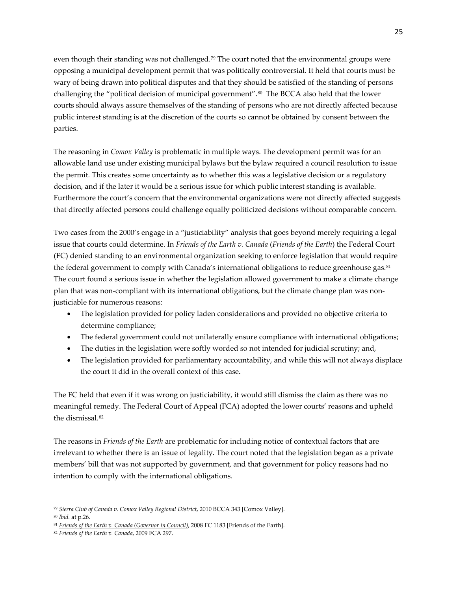even though their standing was not challenged.<sup>[79](#page-24-0)</sup> The court noted that the environmental groups were opposing a municipal development permit that was politically controversial. It held that courts must be wary of being drawn into political disputes and that they should be satisfied of the standing of persons challenging the "political decision of municipal government".<sup>[80](#page-24-1)</sup> The BCCA also held that the lower courts should always assure themselves of the standing of persons who are not directly affected because public interest standing is at the discretion of the courts so cannot be obtained by consent between the parties.

The reasoning in *Comox Valley* is problematic in multiple ways. The development permit was for an allowable land use under existing municipal bylaws but the bylaw required a council resolution to issue the permit. This creates some uncertainty as to whether this was a legislative decision or a regulatory decision, and if the later it would be a serious issue for which public interest standing is available. Furthermore the court's concern that the environmental organizations were not directly affected suggests that directly affected persons could challenge equally politicized decisions without comparable concern.

Two cases from the 2000's engage in a "justiciability" analysis that goes beyond merely requiring a legal issue that courts could determine. In *Friends of the Earth v. Canada* (*Friends of the Earth*) the Federal Court (FC) denied standing to an environmental organization seeking to enforce legislation that would require the federal government to comply with Canada's international obligations to reduce greenhouse gas.<sup>[81](#page-24-2)</sup> The court found a serious issue in whether the legislation allowed government to make a climate change plan that was non-compliant with its international obligations, but the climate change plan was nonjusticiable for numerous reasons:

- The legislation provided for policy laden considerations and provided no objective criteria to determine compliance;
- The federal government could not unilaterally ensure compliance with international obligations;
- The duties in the legislation were softly worded so not intended for judicial scrutiny; and,
- The legislation provided for parliamentary accountability, and while this will not always displace the court it did in the overall context of this case**.**

The FC held that even if it was wrong on justiciability, it would still dismiss the claim as there was no meaningful remedy. The Federal Court of Appeal (FCA) adopted the lower courts' reasons and upheld the dismissal.[82](#page-24-3)

The reasons in *Friends of the Earth* are problematic for including notice of contextual factors that are irrelevant to whether there is an issue of legality. The court noted that the legislation began as a private members' bill that was not supported by government, and that government for policy reasons had no intention to comply with the international obligations.

<span id="page-24-0"></span><sup>79</sup> *[Sierra Club of Canada v. Comox Valley Regional District](http://www.canlii.org/eliisa/highlight.do?text=%22public+interest+standing%22+and+%22environment%22&language=en&searchTitle=%5B1992%5D+1+S.C.R.+236&origin=%2Fen%2Fca%2Fscc%2Fdoc%2F1992%2F1992canlii116%2F1992canlii116.html&translatedOrigin=%2Ffr%2Fca%2Fcsc%2Fdoc%2F1992%2F1992canlii116%2F1992canlii116.html&path=/en/bc/bcca/doc/2010/2010bcca343/2010bcca343.html)*, 2010 BCCA 343 [Comox Valley].  $\overline{\phantom{a}}$ 

<span id="page-24-1"></span><sup>80</sup> *Ibid.* at p.26.

<span id="page-24-2"></span><sup>81</sup> *[Friends of the Earth v. Canada \(Governor in Council\)](http://www.canlii.org/eliisa/highlight.do?text=%22public+interest+standing%22+and+%22environment%22&language=en&searchTitle=%5B1992%5D+1+S.C.R.+236&origin=%2Fen%2Fca%2Fscc%2Fdoc%2F1992%2F1992canlii116%2F1992canlii116.html&translatedOrigin=%2Ffr%2Fca%2Fcsc%2Fdoc%2F1992%2F1992canlii116%2F1992canlii116.html&path=/en/ca/fct/doc/2008/2008fc1183/2008fc1183.html)*, 2008 FC 1183 [Friends of the Earth].

<span id="page-24-3"></span><sup>82</sup> *Friends of the Earth v. Canada*, 2009 FCA 297.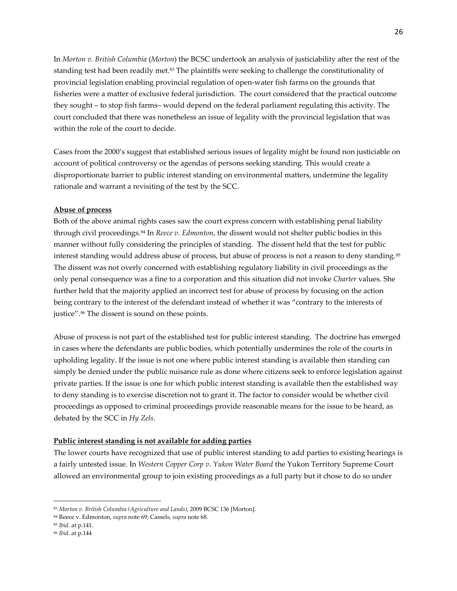In *Morton v. British Columbia* (*Morton*) the BCSC undertook an analysis of justiciability after the rest of the standing test had been readily met.<sup>[83](#page-25-0)</sup> The plaintiffs were seeking to challenge the constitutionality of provincial legislation enabling provincial regulation of open-water fish farms on the grounds that fisheries were a matter of exclusive federal jurisdiction. The court considered that the practical outcome they sought – to stop fish farms– would depend on the federal parliament regulating this activity. The court concluded that there was nonetheless an issue of legality with the provincial legislation that was within the role of the court to decide.

Cases from the 2000's suggest that established serious issues of legality might be found non justiciable on account of political controversy or the agendas of persons seeking standing. This would create a disproportionate barrier to public interest standing on environmental matters, undermine the legality rationale and warrant a revisiting of the test by the SCC.

#### **Abuse of process**

Both of the above animal rights cases saw the court express concern with establishing penal liability through civil proceedings.[84](#page-25-1) In *Reece v. Edmonton*, the dissent would not shelter public bodies in this manner without fully considering the principles of standing. The dissent held that the test for public interest standing would address abuse of process, but abuse of process is not a reason to deny standing.<sup>[85](#page-25-2)</sup> The dissent was not overly concerned with establishing regulatory liability in civil proceedings as the only penal consequence was a fine to a corporation and this situation did not invoke *Charter* values. She further held that the majority applied an incorrect test for abuse of process by focusing on the action being contrary to the interest of the defendant instead of whether it was "contrary to the interests of justice".<sup>[86](#page-25-3)</sup> The dissent is sound on these points.

Abuse of process is not part of the established test for public interest standing. The doctrine has emerged in cases where the defendants are public bodies, which potentially undermines the role of the courts in upholding legality. If the issue is not one where public interest standing is available then standing can simply be denied under the public nuisance rule as done where citizens seek to enforce legislation against private parties. If the issue is one for which public interest standing is available then the established way to deny standing is to exercise discretion not to grant it. The factor to consider would be whether civil proceedings as opposed to criminal proceedings provide reasonable means for the issue to be heard, as debated by the SCC in *Hy Zels*.

#### **Public interest standing is not available for adding parties**

The lower courts have recognized that use of public interest standing to add parties to existing hearings is a fairly untested issue. In *Western Copper Corp v. Yukon Water Board* the Yukon Territory Supreme Court allowed an environmental group to join existing proceedings as a full party but it chose to do so under

<span id="page-25-0"></span><sup>83</sup> *Morton v. British Columbia (Agriculture and Lands)*, 2009 BCSC 136 [Morton].

<span id="page-25-1"></span><sup>84</sup> Reece v. Edmonton, *supra* note 69; Cassels, *supra* note 68.

<span id="page-25-2"></span><sup>85</sup> *Ibid.* at p.141.

<span id="page-25-3"></span><sup>86</sup> *Ibid*. at p.144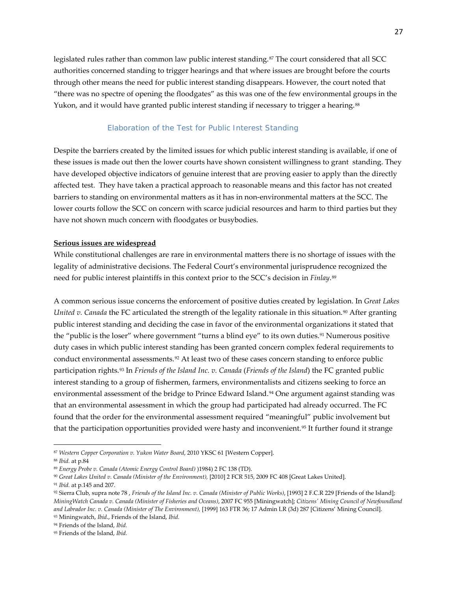legislated rules rather than common law public interest standing.<sup>[87](#page-26-1)</sup> The court considered that all SCC authorities concerned standing to trigger hearings and that where issues are brought before the courts through other means the need for public interest standing disappears. However, the court noted that "there was no spectre of opening the floodgates" as this was one of the few environmental groups in the Yukon, and it would have granted public interest standing if necessary to trigger a hearing.<sup>[88](#page-26-2)</sup>

#### *Elaboration of the Test for Public Interest Standing*

<span id="page-26-0"></span>Despite the barriers created by the limited issues for which public interest standing is available, if one of these issues is made out then the lower courts have shown consistent willingness to grant standing. They have developed objective indicators of genuine interest that are proving easier to apply than the directly affected test. They have taken a practical approach to reasonable means and this factor has not created barriers to standing on environmental matters as it has in non-environmental matters at the SCC. The lower courts follow the SCC on concern with scarce judicial resources and harm to third parties but they have not shown much concern with floodgates or busybodies.

# **Serious issues are widespread**

While constitutional challenges are rare in environmental matters there is no shortage of issues with the legality of administrative decisions. The Federal Court's environmental jurisprudence recognized the need for public interest plaintiffs in this context prior to the SCC's decision in *Finlay*.[89](#page-26-3)

A common serious issue concerns the enforcement of positive duties created by legislation. In *Great Lakes United v. Canada* the FC articulated the strength of the legality rationale in this situation.<sup>[90](#page-26-4)</sup> After granting public interest standing and deciding the case in favor of the environmental organizations it stated that the "public is the loser" where government "turns a blind eye" to its own duties.[91](#page-26-5) Numerous positive duty cases in which public interest standing has been granted concern complex federal requirements to conduct environmental assessments.<sup>[92](#page-26-6)</sup> At least two of these cases concern standing to enforce public participation rights.[93](#page-26-7) In *Friends of the Island Inc. v. Canada* (*Friends of the Island*) the FC granted public interest standing to a group of fishermen, farmers, environmentalists and citizens seeking to force an environmental assessment of the bridge to Prince Edward Island.<sup>[94](#page-26-8)</sup> One argument against standing was that an environmental assessment in which the group had participated had already occurred. The FC found that the order for the environmental assessment required "meaningful" public involvement but that the participation opportunities provided were hasty and inconvenient.[95](#page-26-9) It further found it strange

l

<span id="page-26-1"></span><sup>87</sup> *[Western Copper Corporation v. Yukon Water Board](http://www.canlii.org/eliisa/highlight.do?text=%22public+interest+standing%22+and+%22environment%22&language=en&searchTitle=%5B1992%5D+1+S.C.R.+236&origin=%2Fen%2Fca%2Fscc%2Fdoc%2F1992%2F1992canlii116%2F1992canlii116.html&translatedOrigin=%2Ffr%2Fca%2Fcsc%2Fdoc%2F1992%2F1992canlii116%2F1992canlii116.html&path=/en/yk/yksc/doc/2010/2010yksc61/2010yksc61.html)*, 2010 YKSC 61 [Western Copper].

<span id="page-26-2"></span><sup>88</sup> *Ibid.* at p.84

<span id="page-26-3"></span><sup>89</sup> *Energy Probe v. Canada (Atomic Energy Control Board)* )1984) 2 FC 138 (TD).

<span id="page-26-4"></span><sup>90</sup> *Great Lakes United v. Canada (Minister of the Environment),* [2010] 2 FCR 515, 2009 FC 408 [Great Lakes United].

<span id="page-26-5"></span><sup>91</sup> *Ibid.* at p.145 and 207.

<span id="page-26-6"></span><sup>92</sup> Sierra Club, supra note 78 , *[Friends of the Island Inc. v. Canada \(Minister of Public Works\)](http://www.canlii.org/eliisa/highlight.do?text=%22public+interest+standing%22+and+%22environment%22&language=en&searchTitle=%5B1992%5D+1+S.C.R.+236&origin=%2Fen%2Fca%2Fscc%2Fdoc%2F1992%2F1992canlii116%2F1992canlii116.html&translatedOrigin=%2Ffr%2Fca%2Fcsc%2Fdoc%2F1992%2F1992canlii116%2F1992canlii116.html&path=/en/ca/fct/doc/1993/1993canlii2942/1993canlii2942.html)*, [1993] 2 F.C.R 229 [Friends of the Island]; *MiningWatch Canada v. Canada (Minister of Fisheries and Oceans)*, 2007 FC 955 [Miningwatch]; *[Citizens' Mining Council of Newfoundland](http://www.canlii.org/eliisa/highlight.do?text=%22public+interest+standing%22+and+%22environment%22&language=en&searchTitle=%5B1992%5D+1+S.C.R.+236&origin=%2Fen%2Fca%2Fscc%2Fdoc%2F1992%2F1992canlii116%2F1992canlii116.html&translatedOrigin=%2Ffr%2Fca%2Fcsc%2Fdoc%2F1992%2F1992canlii116%2F1992canlii116.html&path=/en/ca/fct/doc/1999/1999canlii7759/1999canlii7759.html)  [and Labrador Inc. v. Canada \(Minister of The Environment\),](http://www.canlii.org/eliisa/highlight.do?text=%22public+interest+standing%22+and+%22environment%22&language=en&searchTitle=%5B1992%5D+1+S.C.R.+236&origin=%2Fen%2Fca%2Fscc%2Fdoc%2F1992%2F1992canlii116%2F1992canlii116.html&translatedOrigin=%2Ffr%2Fca%2Fcsc%2Fdoc%2F1992%2F1992canlii116%2F1992canlii116.html&path=/en/ca/fct/doc/1999/1999canlii7759/1999canlii7759.html)* [1999] 163 FTR 36; 17 Admin LR (3d) 287 [Citizens' Mining Council]. <sup>93</sup> Miningwatch, *Ibid*., Friends of the Island, *Ibid.*

<span id="page-26-8"></span><span id="page-26-7"></span><sup>94</sup> Friends of the Island, *Ibid.*

<span id="page-26-9"></span><sup>95</sup> Friends of the Island, *Ibid.*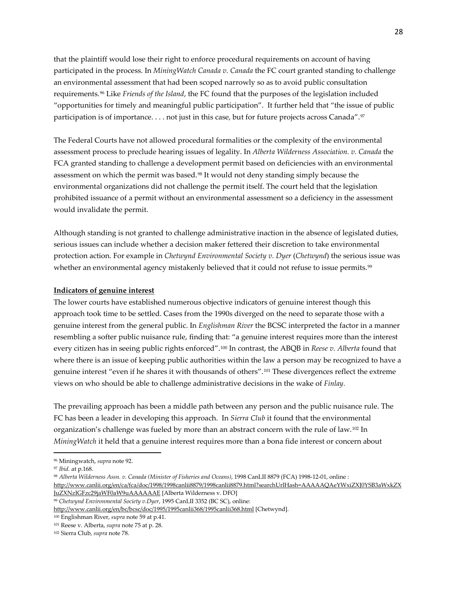that the plaintiff would lose their right to enforce procedural requirements on account of having participated in the process. In *MiningWatch Canada v. Canada* the FC court granted standing to challenge an environmental assessment that had been scoped narrowly so as to avoid public consultation requirements.[96](#page-27-0) Like *Friends of the Island*, the FC found that the purposes of the legislation included "opportunities for timely and meaningful public participation". It further held that "the issue of public participation is of importance. . . . not just in this case, but for future projects across Canada".[97](#page-27-1)

The Federal Courts have not allowed procedural formalities or the complexity of the environmental assessment process to preclude hearing issues of legality. In *[Alberta Wilderness Association. v. Canada](http://www.canlii.org/en/ca/fca/doc/1998/1998canlii8879/1998canlii8879.html?searchUrlHash=AAAAAQAeYWxiZXJ0YSB3aWxkZXJuZXNzIGFzc29jaWF0aW9uAAAAAAE)* the FCA granted standing to challenge a development permit based on deficiencies with an environmental assessment on which the permit was based.[98](#page-27-2) It would not deny standing simply because the environmental organizations did not challenge the permit itself. The court held that the legislation prohibited issuance of a permit without an environmental assessment so a deficiency in the assessment would invalidate the permit.

Although standing is not granted to challenge administrative inaction in the absence of legislated duties, serious issues can include whether a decision maker fettered their discretion to take environmental protection action. For example in *Chetwynd Environmental Society v. Dyer* (*Chetwynd*) the serious issue was whether an environmental agency mistakenly believed that it could not refuse to issue permits.<sup>[99](#page-27-3)</sup>

### **Indicators of genuine interest**

The lower courts have established numerous objective indicators of genuine interest though this approach took time to be settled. Cases from the 1990s diverged on the need to separate those with a genuine interest from the general public. In *Englishman River* the BCSC interpreted the factor in a manner resembling a softer public nuisance rule, finding that: "a genuine interest requires more than the interest every citizen has in seeing public rights enforced".[100](#page-27-4) In contrast, the ABQB in *Reese v. Alberta* found that where there is an issue of keeping public authorities within the law a person may be recognized to have a genuine interest "even if he shares it with thousands of others".[101](#page-27-5) These divergences reflect the extreme views on who should be able to challenge administrative decisions in the wake of *Finlay.*

The prevailing approach has been a middle path between any person and the public nuisance rule. The FC has been a leader in developing this approach. In *Sierra Club* it found that the environmental organization's challenge was fueled by more than an abstract concern with the rule of law.[102](#page-27-6) In *MiningWatch* it held that a genuine interest requires more than a bona fide interest or concern about

l

<span id="page-27-0"></span><sup>96</sup> Miningwatch, *supra* note 92.

<span id="page-27-1"></span><sup>97</sup> *Ibid.* at p.168.

<span id="page-27-2"></span><sup>98</sup> *[Alberta Wilderness Assn. v. Canada \(Minister of Fisheries and Oceans\)](http://www.canlii.org/en/ca/fca/doc/1998/1998canlii8879/1998canlii8879.html?searchUrlHash=AAAAAQAeYWxiZXJ0YSB3aWxkZXJuZXNzIGFzc29jaWF0aW9uAAAAAAE)*, 1998 CanLII 8879 (FCA) 1998-12-01, online : [http://www.canlii.org/en/ca/fca/doc/1998/1998canlii8879/1998canlii8879.html?searchUrlHash=AAAAAQAeYWxiZXJ0YSB3aWxkZX](http://www.canlii.org/en/ca/fca/doc/1998/1998canlii8879/1998canlii8879.html?searchUrlHash=AAAAAQAeYWxiZXJ0YSB3aWxkZXJuZXNzIGFzc29jaWF0aW9uAAAAAAE) [JuZXNzIGFzc29jaWF0aW9uAAAAAAE](http://www.canlii.org/en/ca/fca/doc/1998/1998canlii8879/1998canlii8879.html?searchUrlHash=AAAAAQAeYWxiZXJ0YSB3aWxkZXJuZXNzIGFzc29jaWF0aW9uAAAAAAE) [Alberta Wilderness v. DFO]

<span id="page-27-3"></span><sup>99</sup> *Chetwynd Environmental Society v.Dyer*, 1995 CanLII 3352 (BC SC), online:

<http://www.canlii.org/en/bc/bcsc/doc/1995/1995canlii368/1995canlii368.html> [Chetwynd].

<span id="page-27-5"></span><span id="page-27-4"></span><sup>100</sup> Englishman River, *supra* note 59 at p.41.

<sup>101</sup> Reese v. Alberta, *supra* note 75 at p. 28.

<span id="page-27-6"></span><sup>102</sup> Sierra Club, *supra* note 78.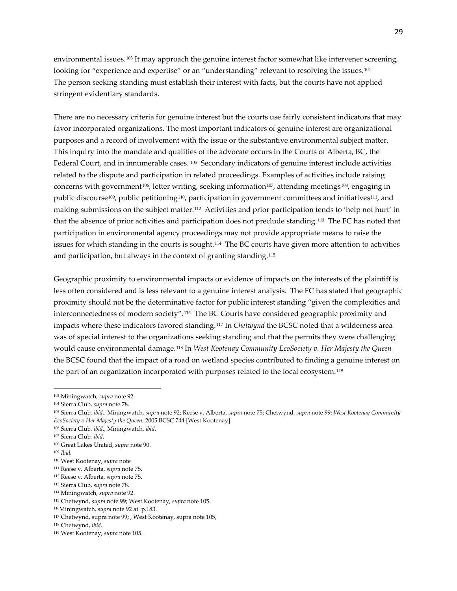environmental issues.<sup>[103](#page-28-0)</sup> It may approach the genuine interest factor somewhat like intervener screening, looking for "experience and expertise" or an "understanding" relevant to resolving the issues.<sup>[104](#page-28-1)</sup> The person seeking standing must establish their interest with facts, but the courts have not applied stringent evidentiary standards.

There are no necessary criteria for genuine interest but the courts use fairly consistent indicators that may favor incorporated organizations. The most important indicators of genuine interest are organizational purposes and a record of involvement with the issue or the substantive environmental subject matter. This inquiry into the mandate and qualities of the advocate occurs in the Courts of Alberta, BC, the Federal Court, and in innumerable cases. [105](#page-28-2) Secondary indicators of genuine interest include activities related to the dispute and participation in related proceedings. Examples of activities include raising concerns with government<sup>106</sup>, letter writing, seeking information<sup>[107](#page-28-4)</sup>, attending meetings<sup>[108](#page-28-5)</sup>, engaging in public discourse[109,](#page-28-6) public petitioning[110,](#page-28-7) participation in government committees and initiatives[111,](#page-28-8) and making submissions on the subject matter.[112](#page-28-9) Activities and prior participation tends to 'help not hurt' in that the absence of prior activities and participation does not preclude standing.**[113](#page-28-10)** The FC has noted that participation in environmental agency proceedings may not provide appropriate means to raise the issues for which standing in the courts is sought.[114](#page-28-11) The BC courts have given more attention to activities and participation, but always in the context of granting standing.[115](#page-28-12)

Geographic proximity to environmental impacts or evidence of impacts on the interests of the plaintiff is less often considered and is less relevant to a genuine interest analysis. The FC has stated that geographic proximity should not be the determinative factor for public interest standing "given the complexities and interconnectedness of modern society".[116](#page-28-13) The BC Courts have considered geographic proximity and impacts where these indicators favored standing.[117](#page-28-14) In *Chetwynd* the BCSC noted that a wilderness area was of special interest to the organizations seeking standing and that the permits they were challenging would cause environmental damage.[118](#page-28-15) In *West Kootenay Community EcoSociety v. Her Majesty the Queen* the BCSC found that the impact of a road on wetland species contributed to finding a genuine interest on the part of an organization incorporated with purposes related to the local ecosystem.[119](#page-28-16)

<span id="page-28-6"></span><sup>109</sup> *Ibid.*

 $\overline{\phantom{a}}$ 

<span id="page-28-8"></span><sup>111</sup> Reese v. Alberta, *supra* note 75.

<span id="page-28-0"></span><sup>103</sup> Miningwatch, *supra* note 92.

<span id="page-28-1"></span><sup>104</sup> Sierra Club, *supra* note 78.

<span id="page-28-2"></span><sup>105</sup> Sierra Club, *ibid*.; Miningwatch, *supra* note 92; Reese v. Alberta, *supra* note 75; Chetwynd, *supra* note 99; *West Kootenay Community EcoSociety v.Her Majesty the Queen,* 2005 BCSC 744 [West Kootenay].

<span id="page-28-3"></span><sup>106</sup> Sierra Club, *ibid*., Miningwatch, *ibid.*

<span id="page-28-4"></span><sup>107</sup> Sierra Club*, ibid.*

<span id="page-28-5"></span><sup>108</sup> Great Lakes United, *supra* note 90.

<span id="page-28-7"></span><sup>110</sup> West Kootenay, *supra* note

<span id="page-28-9"></span><sup>112</sup> Reese v. Alberta, *supra* note 75.

<span id="page-28-10"></span><sup>113</sup> Sierra Club, *supra* note 78.

<span id="page-28-11"></span><sup>114</sup> Miningwatch, *supra* note 92.

<span id="page-28-12"></span><sup>115</sup> Chetwynd, *supra* note 99; West Kootenay, *supra* note 105.

<span id="page-28-13"></span><sup>116</sup>Miningwatch, *supra* note 92 at p.183.

<span id="page-28-14"></span><sup>117</sup> Chetwynd, supra note 99; , West Kootenay, supra note 105,

<span id="page-28-15"></span><sup>118</sup> Chetwynd, *ibid.*

<span id="page-28-16"></span><sup>119</sup> West Kootenay, *supra* note 105.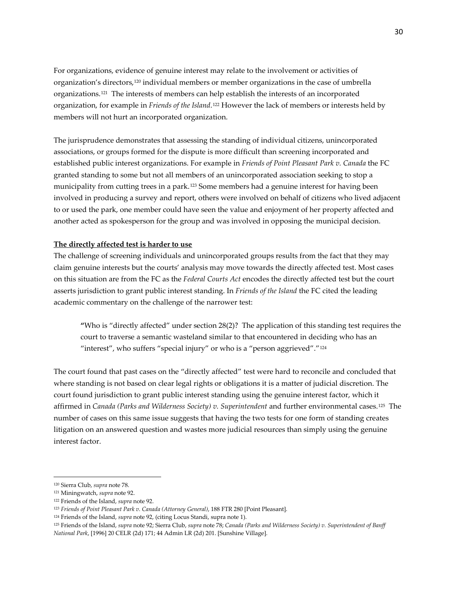For organizations, evidence of genuine interest may relate to the involvement or activities of organization's directors,[120](#page-29-0) individual members or member organizations in the case of umbrella organizations.[121](#page-29-1) The interests of members can help establish the interests of an incorporated organization, for example in *Friends of the Island*.[122](#page-29-2) However the lack of members or interests held by members will not hurt an incorporated organization.

The jurisprudence demonstrates that assessing the standing of individual citizens, unincorporated associations, or groups formed for the dispute is more difficult than screening incorporated and established public interest organizations. For example in *Friends of Point Pleasant Park v. Canada* the FC granted standing to some but not all members of an unincorporated association seeking to stop a municipality from cutting trees in a park.[123](#page-29-3) Some members had a genuine interest for having been involved in producing a survey and report, others were involved on behalf of citizens who lived adjacent to or used the park, one member could have seen the value and enjoyment of her property affected and another acted as spokesperson for the group and was involved in opposing the municipal decision.

# **The directly affected test is harder to use**

The challenge of screening individuals and unincorporated groups results from the fact that they may claim genuine interests but the courts' analysis may move towards the directly affected test. Most cases on this situation are from the FC as the *Federal Courts Act* encodes the directly affected test but the court asserts jurisdiction to grant public interest standing. In *Friends of the Island* the FC cited the leading academic commentary on the challenge of the narrower test:

**"**Who is "directly affected" under section 28(2)? The application of this standing test requires the court to traverse a semantic wasteland similar to that encountered in deciding who has an "interest", who suffers "special injury" or who is a "person aggrieved"."<sup>[124](#page-29-4)</sup>

The court found that past cases on the "directly affected" test were hard to reconcile and concluded that where standing is not based on clear legal rights or obligations it is a matter of judicial discretion. The court found jurisdiction to grant public interest standing using the genuine interest factor, which it affirmed in *Canada (Parks and Wilderness Society) v. Superintendent* and further environmental cases.[125](#page-29-5) The number of cases on this same issue suggests that having the two tests for one form of standing creates litigation on an answered question and wastes more judicial resources than simply using the genuine interest factor.

<span id="page-29-0"></span><sup>120</sup> Sierra Club, *supra* note 78.

<span id="page-29-1"></span><sup>121</sup> Miningwatch, *supra* note 92.

<span id="page-29-2"></span><sup>122</sup> Friends of the Island, *supra* note 92.

<span id="page-29-3"></span><sup>123</sup> *Friends of Point Pleasant Park v. Canada (Attorney General)*, 188 FTR 280 [Point Pleasant].

<span id="page-29-4"></span><sup>124</sup> Friends of the Island, *supra* note 92, (citing Locus Standi, supra note 1).

<span id="page-29-5"></span><sup>125</sup> Friends of the Island, *supra* note 92; Sierra Club, *supra* note 78; *Canada (Parks and Wilderness Society) v. Superintendent of Banff National Park*, [1996] 20 CELR (2d) 171; 44 Admin LR (2d) 201. [Sunshine Village].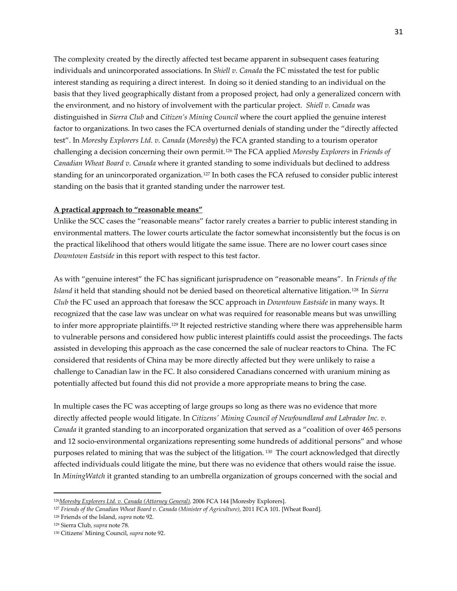The complexity created by the directly affected test became apparent in subsequent cases featuring individuals and unincorporated associations. In *Shiell v. Canada* the FC misstated the test for public interest standing as requiring a direct interest. In doing so it denied standing to an individual on the basis that they lived geographically distant from a proposed project, had only a generalized concern with the environment, and no history of involvement with the particular project. *Shiell v. Canada* was distinguished in *Sierra Club* and *Citizen's Mining Council* where the court applied the genuine interest factor to organizations. In two cases the FCA overturned denials of standing under the "directly affected test". In *Moresby Explorers Ltd. v. Canada* (*Moresby*) the FCA granted standing to a tourism operator challenging a decision concerning their own permit.[126](#page-30-0) The FCA applied *Moresby Explorers* in *Friends of Canadian Wheat Board v. Canada* where it granted standing to some individuals but declined to address standing for an unincorporated organization.<sup>[127](#page-30-1)</sup> In both cases the FCA refused to consider public interest standing on the basis that it granted standing under the narrower test.

#### **A practical approach to "reasonable means"**

Unlike the SCC cases the "reasonable means" factor rarely creates a barrier to public interest standing in environmental matters. The lower courts articulate the factor somewhat inconsistently but the focus is on the practical likelihood that others would litigate the same issue. There are no lower court cases since *Downtown Eastside* in this report with respect to this test factor.

As with "genuine interest" the FC has significant jurisprudence on "reasonable means". In *Friends of the Island* it held that standing should not be denied based on theoretical alternative litigation.[128](#page-30-2) In *Sierra Club* the FC used an approach that foresaw the SCC approach in *Downtown Eastside* in many ways. It recognized that the case law was unclear on what was required for reasonable means but was unwilling to infer more appropriate plaintiffs.<sup>[129](#page-30-3)</sup> It rejected restrictive standing where there was apprehensible harm to vulnerable persons and considered how public interest plaintiffs could assist the proceedings. The facts assisted in developing this approach as the case concerned the sale of nuclear reactors to China. The FC considered that residents of China may be more directly affected but they were unlikely to raise a challenge to Canadian law in the FC. It also considered Canadians concerned with uranium mining as potentially affected but found this did not provide a more appropriate means to bring the case.

In multiple cases the FC was accepting of large groups so long as there was no evidence that more directly affected people would litigate. In *Citizens' Mining Council of Newfoundland and Labrador Inc. v. Canada* it granted standing to an incorporated organization that served as a "coalition of over 465 persons and 12 socio-environmental organizations representing some hundreds of additional persons" and whose purposes related to mining that was the subject of the litigation. [130](#page-30-4) The court acknowledged that directly affected individuals could litigate the mine, but there was no evidence that others would raise the issue. In *MiningWatch* it granted standing to an umbrella organization of groups concerned with the social and

<span id="page-30-0"></span><sup>126</sup>*[Moresby Explorers Ltd. v. Canada \(Attorney General\),](http://www.canlii.org/eliisa/highlight.do?text=%22public+interest+standing%22+and+%22environment%22&language=en&searchTitle=%5B1992%5D+1+S.C.R.+236&origin=%2Fen%2Fca%2Fscc%2Fdoc%2F1992%2F1992canlii116%2F1992canlii116.html&translatedOrigin=%2Ffr%2Fca%2Fcsc%2Fdoc%2F1992%2F1992canlii116%2F1992canlii116.html&path=/en/ca/fca/doc/2006/2006fca144/2006fca144.html)* 2006 FCA 144 [Moresby Explorers].

<span id="page-30-1"></span><sup>127</sup> *Friends of the Canadian Wheat Board v. Canada (Minister of Agriculture)*, 2011 FCA 101. [Wheat Board].

<span id="page-30-2"></span><sup>128</sup> Friends of the Island, *supra* note 92.

<span id="page-30-4"></span><span id="page-30-3"></span><sup>129</sup> Sierra Club, *supra* note 78.

<sup>130</sup> Citizens' Mining Council, *supra* note 92.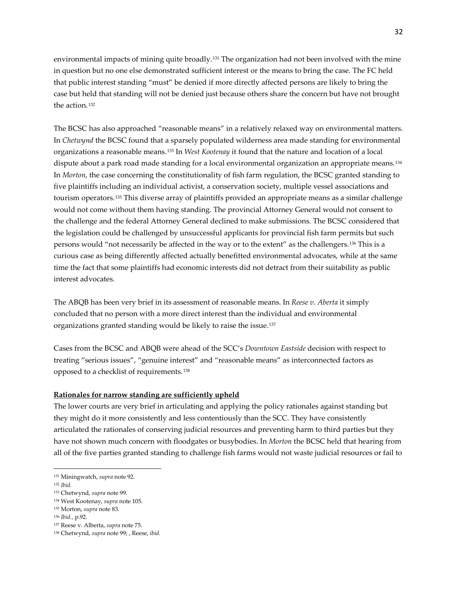environmental impacts of mining quite broadly.<sup>[131](#page-31-0)</sup> The organization had not been involved with the mine in question but no one else demonstrated sufficient interest or the means to bring the case. The FC held that public interest standing "must" be denied if more directly affected persons are likely to bring the case but held that standing will not be denied just because others share the concern but have not brought the action.[132](#page-31-1)

The BCSC has also approached "reasonable means" in a relatively relaxed way on environmental matters. In *Chetwynd* the BCSC found that a sparsely populated wilderness area made standing for environmental organizations a reasonable means.[133](#page-31-2) In *West Kootenay* it found that the nature and location of a local dispute about a park road made standing for a local environmental organization an appropriate means.[134](#page-31-3)  In *Morton*, the case concerning the constitutionality of fish farm regulation, the BCSC granted standing to five plaintiffs including an individual activist, a conservation society, multiple vessel associations and tourism operators.[135](#page-31-4) This diverse array of plaintiffs provided an appropriate means as a similar challenge would not come without them having standing. The provincial Attorney General would not consent to the challenge and the federal Attorney General declined to make submissions. The BCSC considered that the legislation could be challenged by unsuccessful applicants for provincial fish farm permits but such persons would "not necessarily be affected in the way or to the extent" as the challengers.[136](#page-31-5) This is a curious case as being differently affected actually benefitted environmental advocates, while at the same time the fact that some plaintiffs had economic interests did not detract from their suitability as public interest advocates.

The ABQB has been very brief in its assessment of reasonable means. In *Reese v. Aberta* it simply concluded that no person with a more direct interest than the individual and environmental organizations granted standing would be likely to raise the issue.[137](#page-31-6)

Cases from the BCSC and ABQB were ahead of the SCC's *Downtown Eastside* decision with respect to treating "serious issues", "genuine interest" and "reasonable means" as interconnected factors as opposed to a checklist of requirements.[138](#page-31-7)

# **Rationales for narrow standing are sufficiently upheld**

The lower courts are very brief in articulating and applying the policy rationales against standing but they might do it more consistently and less contentiously than the SCC. They have consistently articulated the rationales of conserving judicial resources and preventing harm to third parties but they have not shown much concern with floodgates or busybodies. In *Morton* the BCSC held that hearing from all of the five parties granted standing to challenge fish farms would not waste judicial resources or fail to

<span id="page-31-0"></span><sup>131</sup> Miningwatch, *supra* note 92.

<span id="page-31-1"></span><sup>132</sup> *Ibid.*

<span id="page-31-2"></span><sup>133</sup> Chetwynd, *supra* note 99.

<span id="page-31-3"></span><sup>134</sup> West Kootenay, *supra* note 105.

<span id="page-31-4"></span><sup>135</sup> Morton, *supra* note 83.

<span id="page-31-5"></span><sup>136</sup> *Ibid.,* p.92.

<span id="page-31-6"></span><sup>137</sup> Reese v. Alberta, *supra* note 75.

<span id="page-31-7"></span><sup>138</sup> Chetwynd, *supra* note 99; , Reese, *ibid.*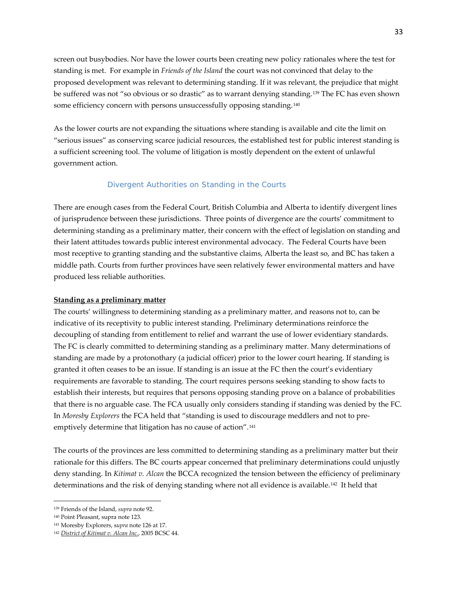screen out busybodies. Nor have the lower courts been creating new policy rationales where the test for standing is met. For example in *Friends of the Island* the court was not convinced that delay to the proposed development was relevant to determining standing. If it was relevant, the prejudice that might be suffered was not "so obvious or so drastic" as to warrant denying standing.[139](#page-32-1) The FC has even shown some efficiency concern with persons unsuccessfully opposing standing.<sup>[140](#page-32-2)</sup>

As the lower courts are not expanding the situations where standing is available and cite the limit on "serious issues" as conserving scarce judicial resources, the established test for public interest standing is a sufficient screening tool. The volume of litigation is mostly dependent on the extent of unlawful government action.

# *Divergent Authorities on Standing in the Courts*

<span id="page-32-0"></span>There are enough cases from the Federal Court, British Columbia and Alberta to identify divergent lines of jurisprudence between these jurisdictions. Three points of divergence are the courts' commitment to determining standing as a preliminary matter, their concern with the effect of legislation on standing and their latent attitudes towards public interest environmental advocacy. The Federal Courts have been most receptive to granting standing and the substantive claims, Alberta the least so, and BC has taken a middle path. Courts from further provinces have seen relatively fewer environmental matters and have produced less reliable authorities.

#### **Standing as a preliminary matter**

The courts' willingness to determining standing as a preliminary matter, and reasons not to, can be indicative of its receptivity to public interest standing. Preliminary determinations reinforce the decoupling of standing from entitlement to relief and warrant the use of lower evidentiary standards. The FC is clearly committed to determining standing as a preliminary matter. Many determinations of standing are made by a protonothary (a judicial officer) prior to the lower court hearing. If standing is granted it often ceases to be an issue. If standing is an issue at the FC then the court's evidentiary requirements are favorable to standing. The court requires persons seeking standing to show facts to establish their interests, but requires that persons opposing standing prove on a balance of probabilities that there is no arguable case. The FCA usually only considers standing if standing was denied by the FC. In *Moresby Explorers* the FCA held that "standing is used to discourage meddlers and not to pre-emptively determine that litigation has no cause of action".<sup>[141](#page-32-3)</sup>

The courts of the provinces are less committed to determining standing as a preliminary matter but their rationale for this differs. The BC courts appear concerned that preliminary determinations could unjustly deny standing. In *Kitimat v. Alcan* the BCCA recognized the tension between the efficiency of preliminary determinations and the risk of denying standing where not all evidence is available.[142](#page-32-4) It held that

<span id="page-32-1"></span><sup>139</sup> Friends of the Island, *supra* note 92.

<span id="page-32-2"></span><sup>140</sup> Point Pleasant, supra note 123.

<span id="page-32-4"></span><span id="page-32-3"></span><sup>141</sup> Moresby Explorers, s*upra* note 126 at 17.

<sup>142</sup> *[District of Kitimat v. Alcan Inc.](http://www.canlii.org/eliisa/highlight.do?text=%22public+interest+standing%22+and+%22environment%22&language=en&searchTitle=%5B1992%5D+1+S.C.R.+236&origin=%2Fen%2Fca%2Fscc%2Fdoc%2F1992%2F1992canlii116%2F1992canlii116.html&translatedOrigin=%2Ffr%2Fca%2Fcsc%2Fdoc%2F1992%2F1992canlii116%2F1992canlii116.html&path=/en/bc/bcsc/doc/2005/2005bcsc44/2005bcsc44.html)*, 2005 BCSC 44.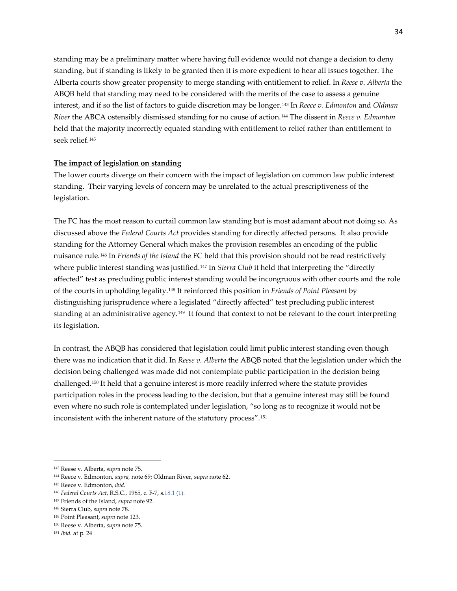standing may be a preliminary matter where having full evidence would not change a decision to deny standing, but if standing is likely to be granted then it is more expedient to hear all issues together. The Alberta courts show greater propensity to merge standing with entitlement to relief. In *Reese v. Alberta* the ABQB held that standing may need to be considered with the merits of the case to assess a genuine interest, and if so the list of factors to guide discretion may be longer.[143](#page-33-0) In *Reece v. Edmonton* and *Oldman River* the ABCA ostensibly dismissed standing for no cause of action.[144](#page-33-1) The dissent in *Reece v. Edmonton* held that the majority incorrectly equated standing with entitlement to relief rather than entitlement to seek relief.[145](#page-33-2)

#### **The impact of legislation on standing**

The lower courts diverge on their concern with the impact of legislation on common law public interest standing. Their varying levels of concern may be unrelated to the actual prescriptiveness of the legislation.

The FC has the most reason to curtail common law standing but is most adamant about not doing so. As discussed above the *Federal Courts Act* provides standing for directly affected persons. It also provide standing for the Attorney General which makes the provision resembles an encoding of the public nuisance rule.[146](#page-33-3) In *Friends of the Island* the FC held that this provision should not be read restrictively where public interest standing was justified.<sup>[147](#page-33-4)</sup> In *Sierra Club* it held that interpreting the "directly affected" test as precluding public interest standing would be incongruous with other courts and the role of the courts in upholding legality.[148](#page-33-5) It reinforced this position in *Friends of Point Pleasant* by distinguishing jurisprudence where a legislated "directly affected" test precluding public interest standing at an administrative agency.[149](#page-33-6) It found that context to not be relevant to the court interpreting its legislation.

In contrast, the ABQB has considered that legislation could limit public interest standing even though there was no indication that it did. In *Reese v. Alberta* the ABQB noted that the legislation under which the decision being challenged was made did not contemplate public participation in the decision being challenged.[150](#page-33-7) It held that a genuine interest is more readily inferred where the statute provides participation roles in the process leading to the decision, but that a genuine interest may still be found even where no such role is contemplated under legislation, "so long as to recognize it would not be inconsistent with the inherent nature of the statutory process".[151](#page-33-8)

<span id="page-33-1"></span><span id="page-33-0"></span><sup>143</sup> Reese v. Alberta, *supra* note 75.

<sup>144</sup> Reece v. Edmonton, *supra,* note 69; Oldman River, s*upra* note 62.

<span id="page-33-2"></span><sup>145</sup> Reece v. Edmonton, *ibid.*

<span id="page-33-3"></span><sup>146</sup> *Federal Courts Act*, R.S.C., 1985, c. F-7, s.18.1 (1).

<span id="page-33-4"></span><sup>147</sup> Friends of the Island, *supra* note 92.

<span id="page-33-5"></span><sup>148</sup> Sierra Club, *supra* note 78.

<span id="page-33-6"></span><sup>149</sup> Point Pleasant, *supra* note 123.

<span id="page-33-7"></span><sup>150</sup> Reese v. Alberta, *supra* note 75.

<span id="page-33-8"></span><sup>151</sup> *Ibid.* at p. 24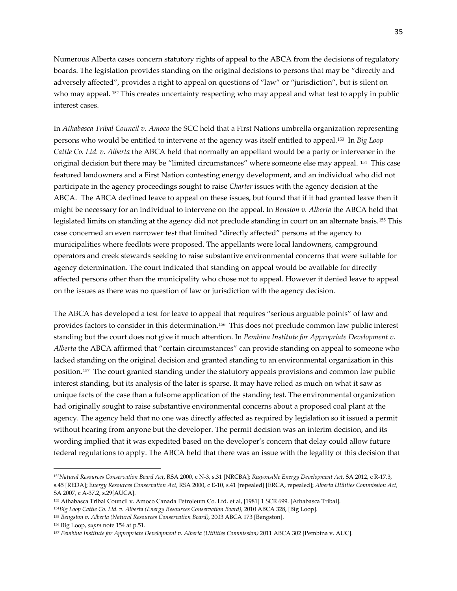Numerous Alberta cases concern statutory rights of appeal to the ABCA from the decisions of regulatory boards. The legislation provides standing on the original decisions to persons that may be "directly and adversely affected", provides a right to appeal on questions of "law" or "jurisdiction", but is silent on who may appeal. <sup>[152](#page-34-0)</sup> This creates uncertainty respecting who may appeal and what test to apply in public interest cases.

In *Athabasca Tribal Council v. Amoco* the SCC held that a First Nations umbrella organization representing persons who would be entitled to intervene at the agency was itself entitled to appeal.[153](#page-34-1) In *Big Loop Cattle Co. Ltd. v. Alberta* the ABCA held that normally an appellant would be a party or intervener in the original decision but there may be "limited circumstances" where someone else may appeal. [154](#page-34-2) This case featured landowners and a First Nation contesting energy development, and an individual who did not participate in the agency proceedings sought to raise *Charter* issues with the agency decision at the ABCA. The ABCA declined leave to appeal on these issues, but found that if it had granted leave then it might be necessary for an individual to intervene on the appeal. In *Benston v. Alberta* the ABCA held that legislated limits on standing at the agency did not preclude standing in court on an alternate basis.[155](#page-34-3) This case concerned an even narrower test that limited "directly affected" persons at the agency to municipalities where feedlots were proposed. The appellants were local landowners, campground operators and creek stewards seeking to raise substantive environmental concerns that were suitable for agency determination. The court indicated that standing on appeal would be available for directly affected persons other than the municipality who chose not to appeal. However it denied leave to appeal on the issues as there was no question of law or jurisdiction with the agency decision.

The ABCA has developed a test for leave to appeal that requires "serious arguable points" of law and provides factors to consider in this determination.[156](#page-34-4) This does not preclude common law public interest standing but the court does not give it much attention. In *Pembina Institute for Appropriate Development v. Alberta* the ABCA affirmed that "certain circumstances" can provide standing on appeal to someone who lacked standing on the original decision and granted standing to an environmental organization in this position.[157](#page-34-5) The court granted standing under the statutory appeals provisions and common law public interest standing, but its analysis of the later is sparse. It may have relied as much on what it saw as unique facts of the case than a fulsome application of the standing test. The environmental organization had originally sought to raise substantive environmental concerns about a proposed coal plant at the agency. The agency held that no one was directly affected as required by legislation so it issued a permit without hearing from anyone but the developer. The permit decision was an interim decision, and its wording implied that it was expedited based on the developer's concern that delay could allow future federal regulations to apply. The ABCA held that there was an issue with the legality of this decision that

<span id="page-34-0"></span><sup>152</sup>*Natural Resources Conservation Board Act*, RSA 2000, c N-3, s.31 [NRCBA]; *[Responsible Energy Development Act](http://www.canlii.org/en/ab/laws/stat/sa-2012-c-r-17.3/latest/sa-2012-c-r-17.3.html)*, SA 2012, c R-17.3, s.45 [REDA]; E*[nergy Resources Conservation Act](http://www.canlii.org/en/ab/laws/stat/rsa-2000-c-e-10/latest/rsa-2000-c-e-10.html)*, RSA 2000, c E-10, s.41 [repealed] [ERCA, repealed]; *[Alberta Utilities Commission Act](http://www.canlii.org/en/ab/laws/stat/sa-2007-c-a-37.2/latest/sa-2007-c-a-37.2.html)*, SA 2007, c A-37.2, s.29[AUCA].

<span id="page-34-2"></span><span id="page-34-1"></span><sup>153</sup> Athabasca Tribal Council v. Amoco Canada Petroleum Co. Ltd. et al, [1981] 1 SCR 699. [Athabasca Tribal]. <sup>154</sup>*Big Loop Cattle Co. Ltd. v. Alberta (Energy Resources Conservation Board),* 2010 ABCA 328, [Big Loop].

<span id="page-34-3"></span><sup>155</sup> *Bengston v. Alberta (Natural Resources Conservation Board),* 2003 ABCA 173 [Bengston].

<span id="page-34-4"></span><sup>156</sup> Big Loop, *supra* note 154 at p.51.

<span id="page-34-5"></span><sup>157</sup> *Pembina Institute for Appropriate Development v. Alberta (Utilities Commission)* 2011 ABCA 302 [Pembina v. AUC].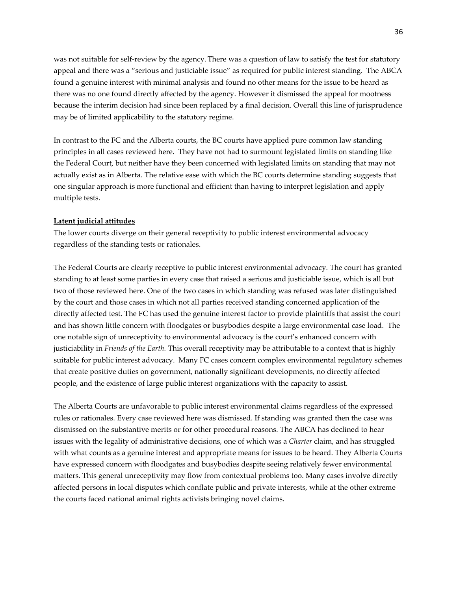was not suitable for self-review by the agency. There was a question of law to satisfy the test for statutory appeal and there was a "serious and justiciable issue" as required for public interest standing. The ABCA found a genuine interest with minimal analysis and found no other means for the issue to be heard as there was no one found directly affected by the agency. However it dismissed the appeal for mootness because the interim decision had since been replaced by a final decision. Overall this line of jurisprudence may be of limited applicability to the statutory regime.

In contrast to the FC and the Alberta courts, the BC courts have applied pure common law standing principles in all cases reviewed here. They have not had to surmount legislated limits on standing like the Federal Court, but neither have they been concerned with legislated limits on standing that may not actually exist as in Alberta. The relative ease with which the BC courts determine standing suggests that one singular approach is more functional and efficient than having to interpret legislation and apply multiple tests.

#### **Latent judicial attitudes**

The lower courts diverge on their general receptivity to public interest environmental advocacy regardless of the standing tests or rationales.

The Federal Courts are clearly receptive to public interest environmental advocacy. The court has granted standing to at least some parties in every case that raised a serious and justiciable issue, which is all but two of those reviewed here. One of the two cases in which standing was refused was later distinguished by the court and those cases in which not all parties received standing concerned application of the directly affected test. The FC has used the genuine interest factor to provide plaintiffs that assist the court and has shown little concern with floodgates or busybodies despite a large environmental case load. The one notable sign of unreceptivity to environmental advocacy is the court's enhanced concern with justiciability in *Friends of the Earth.* This overall receptivity may be attributable to a context that is highly suitable for public interest advocacy. Many FC cases concern complex environmental regulatory schemes that create positive duties on government, nationally significant developments, no directly affected people, and the existence of large public interest organizations with the capacity to assist.

The Alberta Courts are unfavorable to public interest environmental claims regardless of the expressed rules or rationales. Every case reviewed here was dismissed. If standing was granted then the case was dismissed on the substantive merits or for other procedural reasons. The ABCA has declined to hear issues with the legality of administrative decisions, one of which was a *Charter* claim, and has struggled with what counts as a genuine interest and appropriate means for issues to be heard. They Alberta Courts have expressed concern with floodgates and busybodies despite seeing relatively fewer environmental matters. This general unreceptivity may flow from contextual problems too. Many cases involve directly affected persons in local disputes which conflate public and private interests, while at the other extreme the courts faced national animal rights activists bringing novel claims.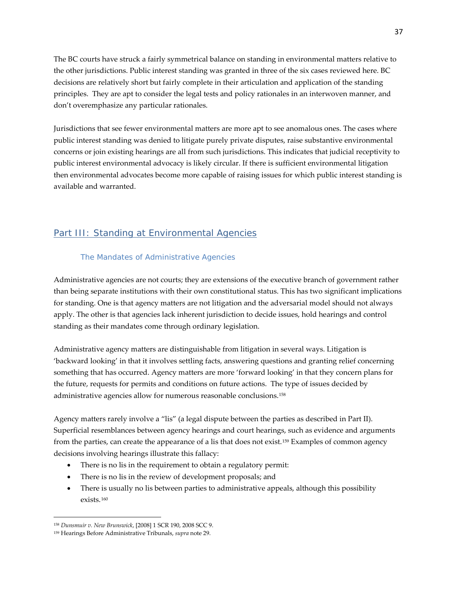The BC courts have struck a fairly symmetrical balance on standing in environmental matters relative to the other jurisdictions. Public interest standing was granted in three of the six cases reviewed here. BC decisions are relatively short but fairly complete in their articulation and application of the standing principles. They are apt to consider the legal tests and policy rationales in an interwoven manner, and don't overemphasize any particular rationales.

Jurisdictions that see fewer environmental matters are more apt to see anomalous ones. The cases where public interest standing was denied to litigate purely private disputes, raise substantive environmental concerns or join existing hearings are all from such jurisdictions. This indicates that judicial receptivity to public interest environmental advocacy is likely circular. If there is sufficient environmental litigation then environmental advocates become more capable of raising issues for which public interest standing is available and warranted.

# Part III: Standing at Environmental Agencies

# The Mandates of Administrative Agencies

Administrative agencies are not courts; they are extensions of the executive branch of government rather than being separate institutions with their own constitutional status. This has two significant implications for standing. One is that agency matters are not litigation and the adversarial model should not always apply. The other is that agencies lack inherent jurisdiction to decide issues, hold hearings and control standing as their mandates come through ordinary legislation.

Administrative agency matters are distinguishable from litigation in several ways. Litigation is 'backward looking' in that it involves settling facts, answering questions and granting relief concerning something that has occurred. Agency matters are more 'forward looking' in that they concern plans for the future, requests for permits and conditions on future actions. The type of issues decided by administrative agencies allow for numerous reasonable conclusions.[158](#page-36-0)

Agency matters rarely involve a "lis" (a legal dispute between the parties as described in Part II). Superficial resemblances between agency hearings and court hearings, such as evidence and arguments from the parties, can create the appearance of a lis that does not exist.[159](#page-36-1) Examples of common agency decisions involving hearings illustrate this fallacy:

- There is no lis in the requirement to obtain a regulatory permit:
- There is no lis in the review of development proposals; and
- There is usually no lis between parties to administrative appeals, although this possibility exists.[160](#page-36-2)

<span id="page-36-2"></span>l

<span id="page-36-0"></span><sup>158</sup> *Dunsmuir v. New Brunswick*, [2008] 1 SCR 190, 2008 SCC 9.

<span id="page-36-1"></span><sup>159</sup> Hearings Before Administrative Tribunals, *supra* note 29.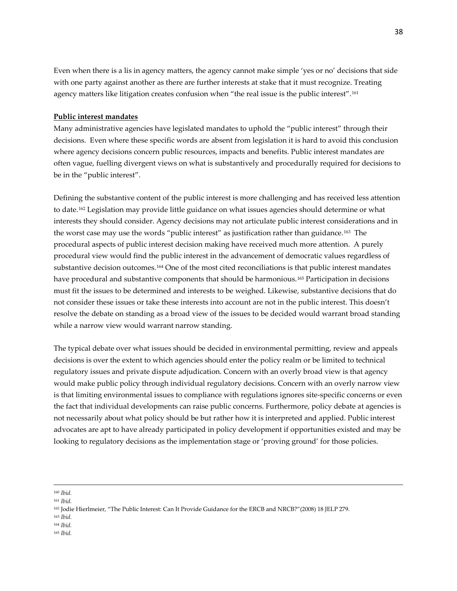Even when there is a lis in agency matters, the agency cannot make simple 'yes or no' decisions that side with one party against another as there are further interests at stake that it must recognize. Treating agency matters like litigation creates confusion when "the real issue is the public interest".[161](#page-37-0)

### **Public interest mandates**

Many administrative agencies have legislated mandates to uphold the "public interest" through their decisions. Even where these specific words are absent from legislation it is hard to avoid this conclusion where agency decisions concern public resources, impacts and benefits. Public interest mandates are often vague, fuelling divergent views on what is substantively and procedurally required for decisions to be in the "public interest".

Defining the substantive content of the public interest is more challenging and has received less attention to date.[162](#page-37-1) Legislation may provide little guidance on what issues agencies should determine or what interests they should consider. Agency decisions may not articulate public interest considerations and in the worst case may use the words "public interest" as justification rather than guidance.[163](#page-37-2) The procedural aspects of public interest decision making have received much more attention. A purely procedural view would find the public interest in the advancement of democratic values regardless of substantive decision outcomes.[164](#page-37-3) One of the most cited reconciliations is that public interest mandates have procedural and substantive components that should be harmonious.[165](#page-37-4) Participation in decisions must fit the issues to be determined and interests to be weighed. Likewise, substantive decisions that do not consider these issues or take these interests into account are not in the public interest. This doesn't resolve the debate on standing as a broad view of the issues to be decided would warrant broad standing while a narrow view would warrant narrow standing.

The typical debate over what issues should be decided in environmental permitting, review and appeals decisions is over the extent to which agencies should enter the policy realm or be limited to technical regulatory issues and private dispute adjudication. Concern with an overly broad view is that agency would make public policy through individual regulatory decisions. Concern with an overly narrow view is that limiting environmental issues to compliance with regulations ignores site-specific concerns or even the fact that individual developments can raise public concerns. Furthermore, policy debate at agencies is not necessarily about what policy should be but rather how it is interpreted and applied. Public interest advocates are apt to have already participated in policy development if opportunities existed and may be looking to regulatory decisions as the implementation stage or 'proving ground' for those policies.

- <span id="page-37-3"></span><sup>164</sup> *Ibid.*
- <span id="page-37-4"></span><sup>165</sup> *Ibid.*

<sup>160</sup> *Ibid.*

<span id="page-37-0"></span><sup>161</sup> *Ibid.*

<sup>162</sup> Jodie Hierlmeier, "The Public Interest: Can It Provide Guidance for the ERCB and NRCB?"(2008) 18 JELP 279.

<span id="page-37-2"></span><span id="page-37-1"></span><sup>163</sup> *Ibid.*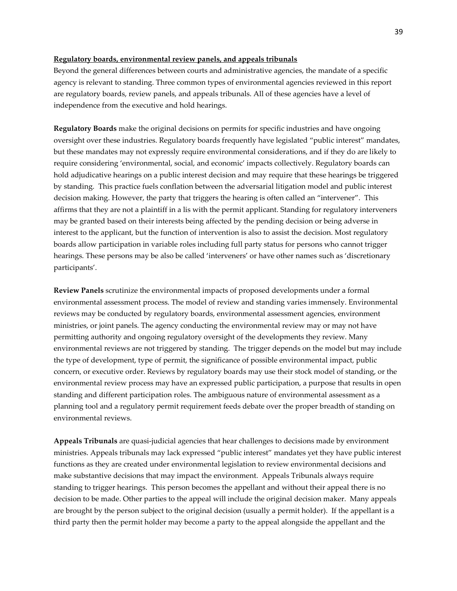#### **Regulatory boards, environmental review panels, and appeals tribunals**

Beyond the general differences between courts and administrative agencies, the mandate of a specific agency is relevant to standing. Three common types of environmental agencies reviewed in this report are regulatory boards, review panels, and appeals tribunals. All of these agencies have a level of independence from the executive and hold hearings.

**Regulatory Boards** make the original decisions on permits for specific industries and have ongoing oversight over these industries. Regulatory boards frequently have legislated "public interest" mandates, but these mandates may not expressly require environmental considerations, and if they do are likely to require considering 'environmental, social, and economic' impacts collectively. Regulatory boards can hold adjudicative hearings on a public interest decision and may require that these hearings be triggered by standing. This practice fuels conflation between the adversarial litigation model and public interest decision making. However, the party that triggers the hearing is often called an "intervener". This affirms that they are not a plaintiff in a lis with the permit applicant. Standing for regulatory interveners may be granted based on their interests being affected by the pending decision or being adverse in interest to the applicant, but the function of intervention is also to assist the decision. Most regulatory boards allow participation in variable roles including full party status for persons who cannot trigger hearings. These persons may be also be called 'interveners' or have other names such as 'discretionary participants'.

**Review Panels** scrutinize the environmental impacts of proposed developments under a formal environmental assessment process. The model of review and standing varies immensely. Environmental reviews may be conducted by regulatory boards, environmental assessment agencies, environment ministries, or joint panels. The agency conducting the environmental review may or may not have permitting authority and ongoing regulatory oversight of the developments they review. Many environmental reviews are not triggered by standing. The trigger depends on the model but may include the type of development, type of permit, the significance of possible environmental impact, public concern, or executive order. Reviews by regulatory boards may use their stock model of standing, or the environmental review process may have an expressed public participation, a purpose that results in open standing and different participation roles. The ambiguous nature of environmental assessment as a planning tool and a regulatory permit requirement feeds debate over the proper breadth of standing on environmental reviews.

**Appeals Tribunals** are quasi-judicial agencies that hear challenges to decisions made by environment ministries. Appeals tribunals may lack expressed "public interest" mandates yet they have public interest functions as they are created under environmental legislation to review environmental decisions and make substantive decisions that may impact the environment. Appeals Tribunals always require standing to trigger hearings. This person becomes the appellant and without their appeal there is no decision to be made. Other parties to the appeal will include the original decision maker. Many appeals are brought by the person subject to the original decision (usually a permit holder). If the appellant is a third party then the permit holder may become a party to the appeal alongside the appellant and the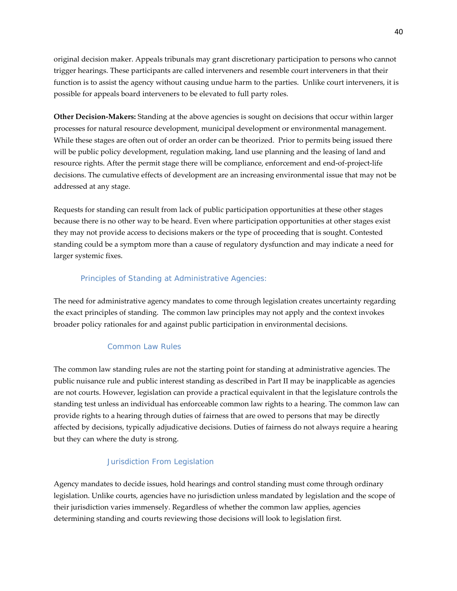original decision maker. Appeals tribunals may grant discretionary participation to persons who cannot trigger hearings. These participants are called interveners and resemble court interveners in that their function is to assist the agency without causing undue harm to the parties. Unlike court interveners, it is possible for appeals board interveners to be elevated to full party roles.

**Other Decision-Makers:** Standing at the above agencies is sought on decisions that occur within larger processes for natural resource development, municipal development or environmental management. While these stages are often out of order an order can be theorized. Prior to permits being issued there will be public policy development, regulation making, land use planning and the leasing of land and resource rights. After the permit stage there will be compliance, enforcement and end-of-project-life decisions. The cumulative effects of development are an increasing environmental issue that may not be addressed at any stage.

Requests for standing can result from lack of public participation opportunities at these other stages because there is no other way to be heard. Even where participation opportunities at other stages exist they may not provide access to decisions makers or the type of proceeding that is sought. Contested standing could be a symptom more than a cause of regulatory dysfunction and may indicate a need for larger systemic fixes.

# Principles of Standing at Administrative Agencies:

The need for administrative agency mandates to come through legislation creates uncertainty regarding the exact principles of standing. The common law principles may not apply and the context invokes broader policy rationales for and against public participation in environmental decisions.

# *Common Law Rules*

The common law standing rules are not the starting point for standing at administrative agencies. The public nuisance rule and public interest standing as described in Part II may be inapplicable as agencies are not courts. However, legislation can provide a practical equivalent in that the legislature controls the standing test unless an individual has enforceable common law rights to a hearing. The common law can provide rights to a hearing through duties of fairness that are owed to persons that may be directly affected by decisions, typically adjudicative decisions. Duties of fairness do not always require a hearing but they can where the duty is strong.

# *Jurisdiction From Legislation*

Agency mandates to decide issues, hold hearings and control standing must come through ordinary legislation. Unlike courts, agencies have no jurisdiction unless mandated by legislation and the scope of their jurisdiction varies immensely. Regardless of whether the common law applies, agencies determining standing and courts reviewing those decisions will look to legislation first.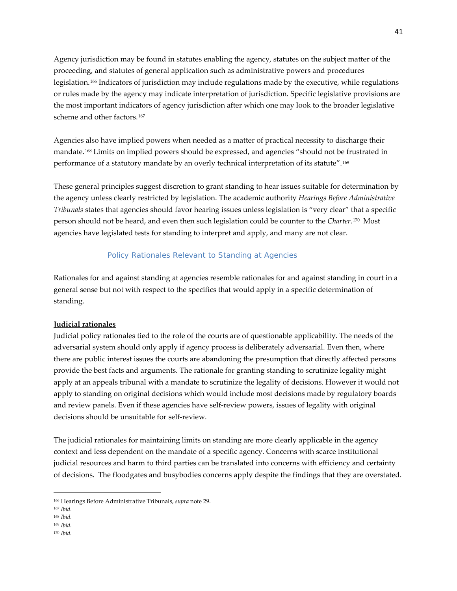Agency jurisdiction may be found in statutes enabling the agency, statutes on the subject matter of the proceeding, and statutes of general application such as administrative powers and procedures legislation.[166](#page-40-0) Indicators of jurisdiction may include regulations made by the executive, while regulations or rules made by the agency may indicate interpretation of jurisdiction. Specific legislative provisions are the most important indicators of agency jurisdiction after which one may look to the broader legislative scheme and other factors.<sup>[167](#page-40-1)</sup>

Agencies also have implied powers when needed as a matter of practical necessity to discharge their mandate.[168](#page-40-2) Limits on implied powers should be expressed, and agencies "should not be frustrated in performance of a statutory mandate by an overly technical interpretation of its statute".[169](#page-40-3)

These general principles suggest discretion to grant standing to hear issues suitable for determination by the agency unless clearly restricted by legislation. The academic authority *Hearings Before Administrative Tribunals* states that agencies should favor hearing issues unless legislation is "very clear" that a specific person should not be heard, and even then such legislation could be counter to the *Charter*.[170](#page-40-4) Most agencies have legislated tests for standing to interpret and apply, and many are not clear.

# *Policy Rationales Relevant to Standing at Agencies*

Rationales for and against standing at agencies resemble rationales for and against standing in court in a general sense but not with respect to the specifics that would apply in a specific determination of standing.

# **Judicial rationales**

Judicial policy rationales tied to the role of the courts are of questionable applicability. The needs of the adversarial system should only apply if agency process is deliberately adversarial. Even then, where there are public interest issues the courts are abandoning the presumption that directly affected persons provide the best facts and arguments. The rationale for granting standing to scrutinize legality might apply at an appeals tribunal with a mandate to scrutinize the legality of decisions. However it would not apply to standing on original decisions which would include most decisions made by regulatory boards and review panels. Even if these agencies have self-review powers, issues of legality with original decisions should be unsuitable for self-review.

The judicial rationales for maintaining limits on standing are more clearly applicable in the agency context and less dependent on the mandate of a specific agency. Concerns with scarce institutional judicial resources and harm to third parties can be translated into concerns with efficiency and certainty of decisions. The floodgates and busybodies concerns apply despite the findings that they are overstated.

<span id="page-40-0"></span><sup>166</sup> Hearings Before Administrative Tribunals, *supra* note 29.

<span id="page-40-1"></span><sup>167</sup> *Ibid*.

<span id="page-40-2"></span><sup>168</sup> *Ibid.*

<span id="page-40-3"></span><sup>169</sup> *Ibid.*

<span id="page-40-4"></span><sup>170</sup> *Ibid.*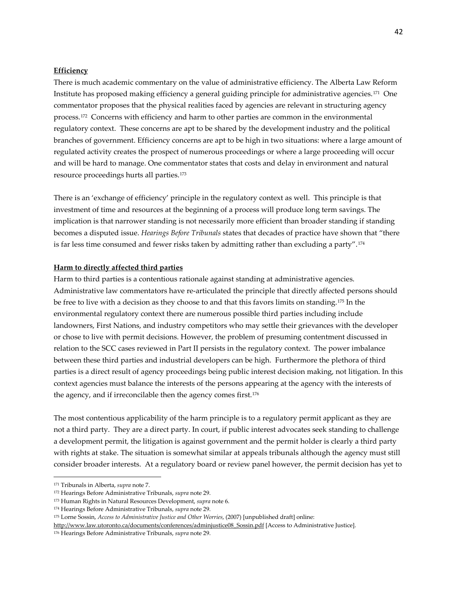# **Efficiency**

There is much academic commentary on the value of administrative efficiency. The Alberta Law Reform Institute has proposed making efficiency a general guiding principle for administrative agencies.[171](#page-41-0) One commentator proposes that the physical realities faced by agencies are relevant in structuring agency process.[172](#page-41-1) Concerns with efficiency and harm to other parties are common in the environmental regulatory context. These concerns are apt to be shared by the development industry and the political branches of government. Efficiency concerns are apt to be high in two situations: where a large amount of regulated activity creates the prospect of numerous proceedings or where a large proceeding will occur and will be hard to manage. One commentator states that costs and delay in environment and natural resource proceedings hurts all parties.[173](#page-41-2)

There is an 'exchange of efficiency' principle in the regulatory context as well. This principle is that investment of time and resources at the beginning of a process will produce long term savings. The implication is that narrower standing is not necessarily more efficient than broader standing if standing becomes a disputed issue. *Hearings Before Tribunals* states that decades of practice have shown that "there is far less time consumed and fewer risks taken by admitting rather than excluding a party".[174](#page-41-3)

#### **Harm to directly affected third parties**

Harm to third parties is a contentious rationale against standing at administrative agencies. Administrative law commentators have re-articulated the principle that directly affected persons should be free to live with a decision as they choose to and that this favors limits on standing.[175](#page-41-4) In the environmental regulatory context there are numerous possible third parties including include landowners, First Nations, and industry competitors who may settle their grievances with the developer or chose to live with permit decisions. However, the problem of presuming contentment discussed in relation to the SCC cases reviewed in Part II persists in the regulatory context. The power imbalance between these third parties and industrial developers can be high. Furthermore the plethora of third parties is a direct result of agency proceedings being public interest decision making, not litigation. In this context agencies must balance the interests of the persons appearing at the agency with the interests of the agency, and if irreconcilable then the agency comes first.<sup>[176](#page-41-5)</sup>

The most contentious applicability of the harm principle is to a regulatory permit applicant as they are not a third party. They are a direct party. In court, if public interest advocates seek standing to challenge a development permit, the litigation is against government and the permit holder is clearly a third party with rights at stake. The situation is somewhat similar at appeals tribunals although the agency must still consider broader interests. At a regulatory board or review panel however, the permit decision has yet to

<span id="page-41-0"></span><sup>171</sup> Tribunals in Alberta, *supra* note 7.

<span id="page-41-1"></span><sup>172</sup> Hearings Before Administrative Tribunals, *supra* note 29.

<span id="page-41-2"></span><sup>173</sup> Human Rights in Natural Resources Development, *supra* note 6.

<span id="page-41-3"></span><sup>174</sup> Hearings Before Administrative Tribunals, *supra* note 29.

<sup>175</sup> Lorne Sossin, *Access to Administrative Justice and Other Worries*, (2007) [unpublished draft] online:

<span id="page-41-5"></span><span id="page-41-4"></span>[http://www.law.utoronto.ca/documents/conferences/adminjustice08\\_Sossin.pdf](http://www.law.utoronto.ca/documents/conferences/adminjustice08_Sossin.pdf) [Access to Administrative Justice].

<sup>176</sup> Hearings Before Administrative Tribunals, *supra* note 29.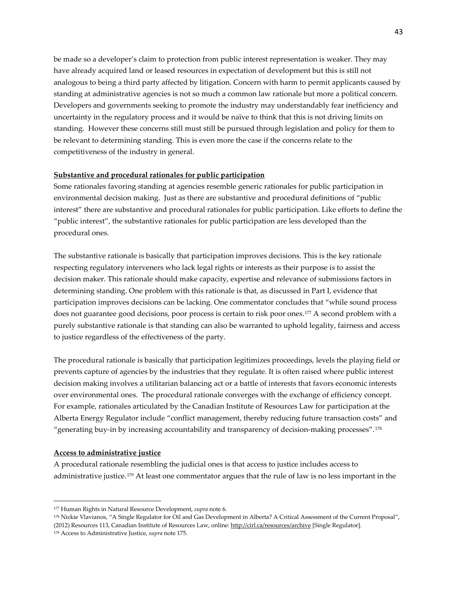be made so a developer's claim to protection from public interest representation is weaker. They may have already acquired land or leased resources in expectation of development but this is still not analogous to being a third party affected by litigation. Concern with harm to permit applicants caused by standing at administrative agencies is not so much a common law rationale but more a political concern. Developers and governments seeking to promote the industry may understandably fear inefficiency and uncertainty in the regulatory process and it would be naïve to think that this is not driving limits on standing. However these concerns still must still be pursued through legislation and policy for them to be relevant to determining standing. This is even more the case if the concerns relate to the competitiveness of the industry in general.

### **Substantive and procedural rationales for public participation**

Some rationales favoring standing at agencies resemble generic rationales for public participation in environmental decision making. Just as there are substantive and procedural definitions of "public interest" there are substantive and procedural rationales for public participation. Like efforts to define the "public interest", the substantive rationales for public participation are less developed than the procedural ones.

The substantive rationale is basically that participation improves decisions. This is the key rationale respecting regulatory interveners who lack legal rights or interests as their purpose is to assist the decision maker. This rationale should make capacity, expertise and relevance of submissions factors in determining standing. One problem with this rationale is that, as discussed in Part I, evidence that participation improves decisions can be lacking. One commentator concludes that "while sound process does not guarantee good decisions, poor process is certain to risk poor ones.[177](#page-42-0) A second problem with a purely substantive rationale is that standing can also be warranted to uphold legality, fairness and access to justice regardless of the effectiveness of the party.

The procedural rationale is basically that participation legitimizes proceedings, levels the playing field or prevents capture of agencies by the industries that they regulate. It is often raised where public interest decision making involves a utilitarian balancing act or a battle of interests that favors economic interests over environmental ones. The procedural rationale converges with the exchange of efficiency concept. For example, rationales articulated by the Canadian Institute of Resources Law for participation at the Alberta Energy Regulator include "conflict management, thereby reducing future transaction costs" and "generating buy-in by increasing accountability and transparency of decision-making processes".[178](#page-42-1)

#### **Access to administrative justice**

 $\overline{\phantom{a}}$ 

A procedural rationale resembling the judicial ones is that access to justice includes access to administrative justice.[179](#page-42-2) At least one commentator argues that the rule of law is no less important in the

<span id="page-42-0"></span><sup>177</sup> Human Rights in Natural Resource Development, *supra* note 6.

<span id="page-42-1"></span><sup>178</sup> Nickie Vlavianos, "A Single Regulator for Oil and Gas Development in Alberta? A Critical Assessment of the Current Proposal", (2012) Resources 113, Canadian Institute of Resources Law, online[: http://cirl.ca/resources/archive](http://cirl.ca/resources/archive) [Single Regulator].

<span id="page-42-2"></span><sup>179</sup> Access to Administrative Justice, *supra* note 175.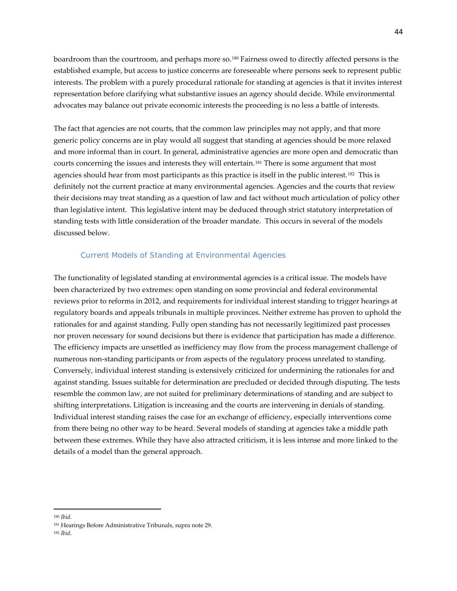boardroom than the courtroom, and perhaps more so.[180](#page-43-0) Fairness owed to directly affected persons is the established example, but access to justice concerns are foreseeable where persons seek to represent public interests. The problem with a purely procedural rationale for standing at agencies is that it invites interest representation before clarifying what substantive issues an agency should decide. While environmental advocates may balance out private economic interests the proceeding is no less a battle of interests.

The fact that agencies are not courts, that the common law principles may not apply, and that more generic policy concerns are in play would all suggest that standing at agencies should be more relaxed and more informal than in court. In general, administrative agencies are more open and democratic than courts concerning the issues and interests they will entertain.[181](#page-43-1) There is some argument that most agencies should hear from most participants as this practice is itself in the public interest.<sup>[182](#page-43-2)</sup> This is definitely not the current practice at many environmental agencies. Agencies and the courts that review their decisions may treat standing as a question of law and fact without much articulation of policy other than legislative intent. This legislative intent may be deduced through strict statutory interpretation of standing tests with little consideration of the broader mandate. This occurs in several of the models discussed below.

#### Current Models of Standing at Environmental Agencies

The functionality of legislated standing at environmental agencies is a critical issue. The models have been characterized by two extremes: open standing on some provincial and federal environmental reviews prior to reforms in 2012, and requirements for individual interest standing to trigger hearings at regulatory boards and appeals tribunals in multiple provinces. Neither extreme has proven to uphold the rationales for and against standing. Fully open standing has not necessarily legitimized past processes nor proven necessary for sound decisions but there is evidence that participation has made a difference. The efficiency impacts are unsettled as inefficiency may flow from the process management challenge of numerous non-standing participants or from aspects of the regulatory process unrelated to standing. Conversely, individual interest standing is extensively criticized for undermining the rationales for and against standing. Issues suitable for determination are precluded or decided through disputing. The tests resemble the common law, are not suited for preliminary determinations of standing and are subject to shifting interpretations. Litigation is increasing and the courts are intervening in denials of standing. Individual interest standing raises the case for an exchange of efficiency, especially interventions come from there being no other way to be heard. Several models of standing at agencies take a middle path between these extremes. While they have also attracted criticism, it is less intense and more linked to the details of a model than the general approach.

l

<span id="page-43-0"></span><sup>180</sup> *Ibid.*

<span id="page-43-2"></span><span id="page-43-1"></span><sup>181</sup> Hearings Before Administrative Tribunals, supra note 29.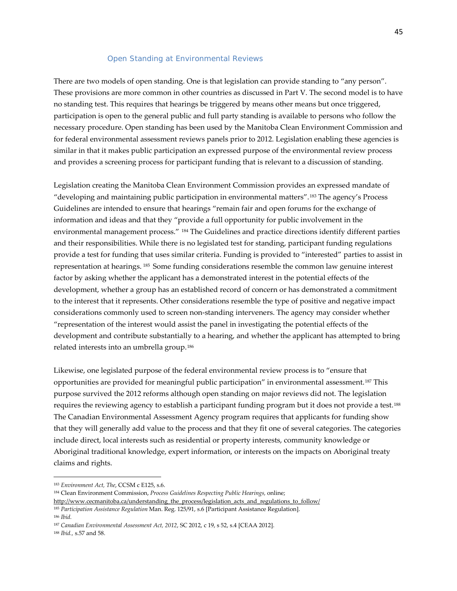#### *Open Standing at Environmental Reviews*

There are two models of open standing. One is that legislation can provide standing to "any person". These provisions are more common in other countries as discussed in Part V. The second model is to have no standing test. This requires that hearings be triggered by means other means but once triggered, participation is open to the general public and full party standing is available to persons who follow the necessary procedure. Open standing has been used by the Manitoba Clean Environment Commission and for federal environmental assessment reviews panels prior to 2012. Legislation enabling these agencies is similar in that it makes public participation an expressed purpose of the environmental review process and provides a screening process for participant funding that is relevant to a discussion of standing.

Legislation creating the Manitoba Clean Environment Commission provides an expressed mandate of "developing and maintaining public participation in environmental matters".[183](#page-44-0) The agency's Process Guidelines are intended to ensure that hearings "remain fair and open forums for the exchange of information and ideas and that they "provide a full opportunity for public involvement in the environmental management process." [184](#page-44-1) The Guidelines and practice directions identify different parties and their responsibilities. While there is no legislated test for standing, participant funding regulations provide a test for funding that uses similar criteria. Funding is provided to "interested" parties to assist in representation at hearings. [185](#page-44-2) Some funding considerations resemble the common law genuine interest factor by asking whether the applicant has a demonstrated interest in the potential effects of the development, whether a group has an established record of concern or has demonstrated a commitment to the interest that it represents. Other considerations resemble the type of positive and negative impact considerations commonly used to screen non-standing interveners. The agency may consider whether "representation of the interest would assist the panel in investigating the potential effects of the development and contribute substantially to a hearing, and whether the applicant has attempted to bring related interests into an umbrella group.[186](#page-44-3)

Likewise, one legislated purpose of the federal environmental review process is to "ensure that opportunities are provided for meaningful public participation" in environmental assessment.[187](#page-44-4) This purpose survived the 2012 reforms although open standing on major reviews did not. The legislation requires the reviewing agency to establish a participant funding program but it does not provide a test.[188](#page-44-5)  The Canadian Environmental Assessment Agency program requires that applicants for funding show that they will generally add value to the process and that they fit one of several categories. The categories include direct, local interests such as residential or property interests, community knowledge or Aboriginal traditional knowledge, expert information, or interests on the impacts on Aboriginal treaty claims and rights.

<span id="page-44-0"></span><sup>183</sup> *[Environment Act, The](http://www.canlii.org/en/mb/laws/stat/ccsm-c-e125/latest/ccsm-c-e125.html)*, CCSM c E125, s.6.

<span id="page-44-1"></span><sup>184</sup> Clean Environment Commission, *Process Guidelines Respecting Public Hearings,* online;

[http://www.cecmanitoba.ca/understanding\\_the\\_process/legislation\\_acts\\_and\\_regulations\\_to\\_follow/](http://www.cecmanitoba.ca/understanding_the_process/legislation_acts_and_regulations_to_follow/)

<span id="page-44-2"></span><sup>185</sup> *Participation Assistance Regulation* Man. Reg. 125/91, s.6 [Participant Assistance Regulation].

<span id="page-44-3"></span><sup>186</sup> *Ibid.*

<span id="page-44-4"></span><sup>187</sup> *Canadian Environmental Assessment Act, 2012*, SC 2012, c 19, s 52, s.4 [CEAA 2012].

<span id="page-44-5"></span><sup>188</sup> *Ibid.,* s.57 and 58.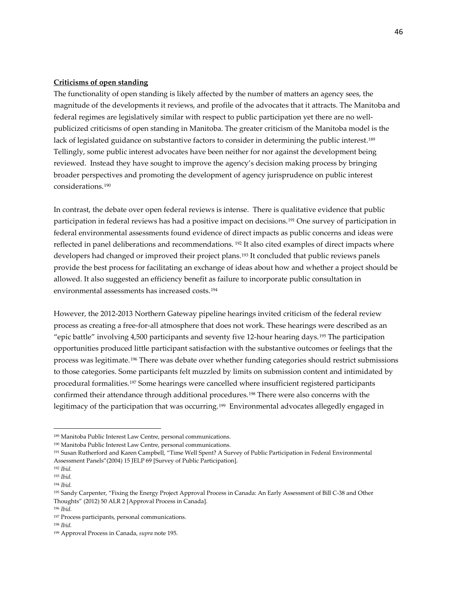### **Criticisms of open standing**

The functionality of open standing is likely affected by the number of matters an agency sees, the magnitude of the developments it reviews, and profile of the advocates that it attracts. The Manitoba and federal regimes are legislatively similar with respect to public participation yet there are no wellpublicized criticisms of open standing in Manitoba. The greater criticism of the Manitoba model is the lack of legislated guidance on substantive factors to consider in determining the public interest.<sup>[189](#page-45-0)</sup> Tellingly, some public interest advocates have been neither for nor against the development being reviewed. Instead they have sought to improve the agency's decision making process by bringing broader perspectives and promoting the development of agency jurisprudence on public interest considerations.[190](#page-45-1)

In contrast, the debate over open federal reviews is intense. There is qualitative evidence that public participation in federal reviews has had a positive impact on decisions.[191](#page-45-2) One survey of participation in federal environmental assessments found evidence of direct impacts as public concerns and ideas were reflected in panel deliberations and recommendations. [192](#page-45-3) It also cited examples of direct impacts where developers had changed or improved their project plans.[193](#page-45-4) It concluded that public reviews panels provide the best process for facilitating an exchange of ideas about how and whether a project should be allowed. It also suggested an efficiency benefit as failure to incorporate public consultation in environmental assessments has increased costs.[194](#page-45-5)

However, the 2012-2013 Northern Gateway pipeline hearings invited criticism of the federal review process as creating a free-for-all atmosphere that does not work. These hearings were described as an "epic battle" involving 4,500 participants and seventy five 12-hour hearing days. [195](#page-45-6) The participation opportunities produced little participant satisfaction with the substantive outcomes or feelings that the process was legitimate.[196](#page-45-7) There was debate over whether funding categories should restrict submissions to those categories. Some participants felt muzzled by limits on submission content and intimidated by procedural formalities.[197](#page-45-8) Some hearings were cancelled where insufficient registered participants confirmed their attendance through additional procedures.[198](#page-45-9) There were also concerns with the legitimacy of the participation that was occurring.<sup>[199](#page-45-10)</sup> Environmental advocates allegedly engaged in

<span id="page-45-0"></span><sup>189</sup> Manitoba Public Interest Law Centre, personal communications.

<span id="page-45-1"></span><sup>190</sup> Manitoba Public Interest Law Centre, personal communications.

<span id="page-45-2"></span><sup>&</sup>lt;sup>191</sup> Susan Rutherford and Karen Campbell, "Time Well Spent? A Survey of Public Participation in Federal Environmental Assessment Panels"(2004) 15 JELP 69 [Survey of Public Participation].

<span id="page-45-3"></span><sup>192</sup> *Ibid.*

<span id="page-45-4"></span><sup>193</sup> *Ibid.*

<span id="page-45-5"></span><sup>194</sup> *Ibid.* 

<span id="page-45-6"></span><sup>195</sup> Sandy Carpenter, "Fixing the Energy Project Approval Process in Canada: An Early Assessment of Bill C-38 and Other Thoughts" (2012) 50 ALR 2 [Approval Process in Canada].

<span id="page-45-7"></span><sup>196</sup> *Ibid.*

<span id="page-45-8"></span><sup>197</sup> Process participants, personal communications.

<span id="page-45-9"></span><sup>198</sup> *Ibid.*

<span id="page-45-10"></span><sup>199</sup> Approval Process in Canada, *supra* note 195.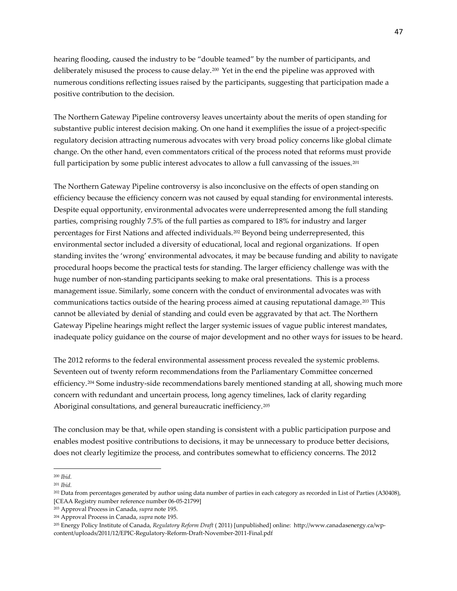hearing flooding, caused the industry to be "double teamed" by the number of participants, and deliberately misused the process to cause delay.[200](#page-46-0) Yet in the end the pipeline was approved with numerous conditions reflecting issues raised by the participants, suggesting that participation made a positive contribution to the decision.

The Northern Gateway Pipeline controversy leaves uncertainty about the merits of open standing for substantive public interest decision making. On one hand it exemplifies the issue of a project-specific regulatory decision attracting numerous advocates with very broad policy concerns like global climate change. On the other hand, even commentators critical of the process noted that reforms must provide full participation by some public interest advocates to allow a full canvassing of the issues.<sup>[201](#page-46-1)</sup>

The Northern Gateway Pipeline controversy is also inconclusive on the effects of open standing on efficiency because the efficiency concern was not caused by equal standing for environmental interests. Despite equal opportunity, environmental advocates were underrepresented among the full standing parties, comprising roughly 7.5% of the full parties as compared to 18% for industry and larger percentages for First Nations and affected individuals.[202](#page-46-2) Beyond being underrepresented, this environmental sector included a diversity of educational, local and regional organizations. If open standing invites the 'wrong' environmental advocates, it may be because funding and ability to navigate procedural hoops become the practical tests for standing. The larger efficiency challenge was with the huge number of non-standing participants seeking to make oral presentations. This is a process management issue. Similarly, some concern with the conduct of environmental advocates was with communications tactics outside of the hearing process aimed at causing reputational damage.[203](#page-46-3) This cannot be alleviated by denial of standing and could even be aggravated by that act. The Northern Gateway Pipeline hearings might reflect the larger systemic issues of vague public interest mandates, inadequate policy guidance on the course of major development and no other ways for issues to be heard.

The 2012 reforms to the federal environmental assessment process revealed the systemic problems. Seventeen out of twenty reform recommendations from the Parliamentary Committee concerned efficiency.[204](#page-46-4) Some industry-side recommendations barely mentioned standing at all, showing much more concern with redundant and uncertain process, long agency timelines, lack of clarity regarding Aboriginal consultations, and general bureaucratic inefficiency.<sup>[205](#page-46-5)</sup>

The conclusion may be that, while open standing is consistent with a public participation purpose and enables modest positive contributions to decisions, it may be unnecessary to produce better decisions, does not clearly legitimize the process, and contributes somewhat to efficiency concerns. The 2012

<sup>200</sup> *Ibid.*  $\overline{\phantom{a}}$ 

<span id="page-46-1"></span><span id="page-46-0"></span><sup>201</sup> *Ibid.*

<span id="page-46-2"></span><sup>202</sup> Data from percentages generated by author using data number of parties in each category as recorded in List of Parties (A30408), [CEAA Registry number reference number 06-05-21799]

<span id="page-46-3"></span><sup>203</sup> Approval Process in Canada, *supra* note 195.

<span id="page-46-4"></span><sup>204</sup> Approval Process in Canada, *supra* note 195.

<span id="page-46-5"></span><sup>205</sup> Energy Policy Institute of Canada, *Regulatory Reform Draft* ( 2011) [unpublished] online: http://www.canadasenergy.ca/wpcontent/uploads/2011/12/EPIC-Regulatory-Reform-Draft-November-2011-Final.pdf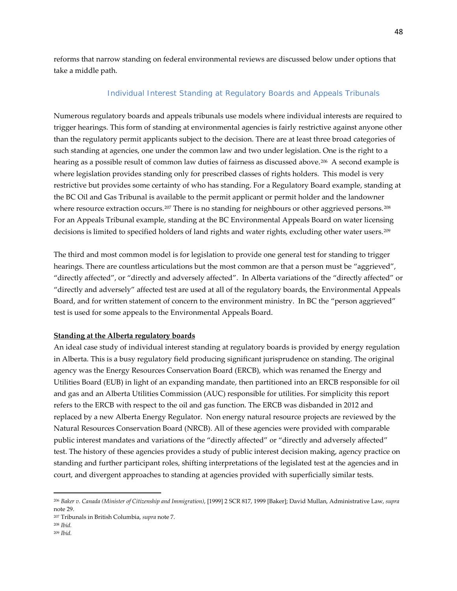reforms that narrow standing on federal environmental reviews are discussed below under options that take a middle path.

### *Individual Interest Standing at Regulatory Boards and Appeals Tribunals*

Numerous regulatory boards and appeals tribunals use models where individual interests are required to trigger hearings. This form of standing at environmental agencies is fairly restrictive against anyone other than the regulatory permit applicants subject to the decision. There are at least three broad categories of such standing at agencies, one under the common law and two under legislation. One is the right to a hearing as a possible result of common law duties of fairness as discussed above.<sup>206</sup> A second example is where legislation provides standing only for prescribed classes of rights holders. This model is very restrictive but provides some certainty of who has standing. For a Regulatory Board example, standing at the BC Oil and Gas Tribunal is available to the permit applicant or permit holder and the landowner where resource extraction occurs.<sup>[207](#page-47-1)</sup> There is no standing for neighbours or other aggrieved persons.<sup>[208](#page-47-2)</sup> For an Appeals Tribunal example, standing at the BC Environmental Appeals Board on water licensing decisions is limited to specified holders of land rights and water rights, excluding other water users.[209](#page-47-3)

The third and most common model is for legislation to provide one general test for standing to trigger hearings. There are countless articulations but the most common are that a person must be "aggrieved", "directly affected", or "directly and adversely affected". In Alberta variations of the "directly affected" or "directly and adversely" affected test are used at all of the regulatory boards, the Environmental Appeals Board, and for written statement of concern to the environment ministry. In BC the "person aggrieved" test is used for some appeals to the Environmental Appeals Board.

#### **Standing at the Alberta regulatory boards**

An ideal case study of individual interest standing at regulatory boards is provided by energy regulation in Alberta. This is a busy regulatory field producing significant jurisprudence on standing. The original agency was the Energy Resources Conservation Board (ERCB), which was renamed the Energy and Utilities Board (EUB) in light of an expanding mandate, then partitioned into an ERCB responsible for oil and gas and an Alberta Utilities Commission (AUC) responsible for utilities. For simplicity this report refers to the ERCB with respect to the oil and gas function. The ERCB was disbanded in 2012 and replaced by a new Alberta Energy Regulator. Non energy natural resource projects are reviewed by the Natural Resources Conservation Board (NRCB). All of these agencies were provided with comparable public interest mandates and variations of the "directly affected" or "directly and adversely affected" test. The history of these agencies provides a study of public interest decision making, agency practice on standing and further participant roles, shifting interpretations of the legislated test at the agencies and in court, and divergent approaches to standing at agencies provided with superficially similar tests.

<span id="page-47-0"></span><sup>206</sup> *[Baker v. Canada \(Minister of Citizenship and Immigration\)](http://www.canlii.org/en/ca/scc/doc/1999/1999canlii699/1999canlii699.html?searchUrlHash=AAAAAQAgImR1dHkgb2YgZmFpcm5lc3MiIGFuZCAiaGVhcmluZyIAAAAAAQ)*, [1999] 2 SCR 817, 1999 [Baker]; David Mullan, Administrative Law, *supra*  note 29.

<span id="page-47-1"></span><sup>207</sup> Tribunals in British Columbia, *supra* note 7.

<span id="page-47-2"></span><sup>208</sup> *Ibid.*

<span id="page-47-3"></span><sup>209</sup> *Ibid.*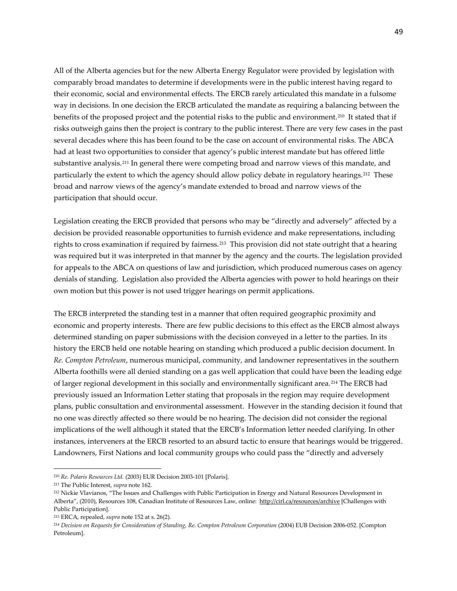All of the Alberta agencies but for the new Alberta Energy Regulator were provided by legislation with comparably broad mandates to determine if developments were in the public interest having regard to their economic, social and environmental effects. The ERCB rarely articulated this mandate in a fulsome way in decisions. In one decision the ERCB articulated the mandate as requiring a balancing between the benefits of the proposed project and the potential risks to the public and environment.[210](#page-48-0) It stated that if risks outweigh gains then the project is contrary to the public interest. There are very few cases in the past several decades where this has been found to be the case on account of environmental risks. The ABCA had at least two opportunities to consider that agency's public interest mandate but has offered little substantive analysis.[211](#page-48-1) In general there were competing broad and narrow views of this mandate, and particularly the extent to which the agency should allow policy debate in regulatory hearings.<sup>212</sup> These broad and narrow views of the agency's mandate extended to broad and narrow views of the participation that should occur.

Legislation creating the ERCB provided that persons who may be "directly and adversely" affected by a decision be provided reasonable opportunities to furnish evidence and make representations, including rights to cross examination if required by fairness. [213](#page-48-3) This provision did not state outright that a hearing was required but it was interpreted in that manner by the agency and the courts. The legislation provided for appeals to the ABCA on questions of law and jurisdiction, which produced numerous cases on agency denials of standing. Legislation also provided the Alberta agencies with power to hold hearings on their own motion but this power is not used trigger hearings on permit applications.

The ERCB interpreted the standing test in a manner that often required geographic proximity and economic and property interests. There are few public decisions to this effect as the ERCB almost always determined standing on paper submissions with the decision conveyed in a letter to the parties. In its history the ERCB held one notable hearing on standing which produced a public decision document. In *Re. Compton Petroleum*, numerous municipal, community, and landowner representatives in the southern Alberta foothills were all denied standing on a gas well application that could have been the leading edge of larger regional development in this socially and environmentally significant area.[214](#page-48-4) The ERCB had previously issued an Information Letter stating that proposals in the region may require development plans, public consultation and environmental assessment. However in the standing decision it found that no one was directly affected so there would be no hearing. The decision did not consider the regional implications of the well although it stated that the ERCB's Information letter needed clarifying. In other instances, interveners at the ERCB resorted to an absurd tactic to ensure that hearings would be triggered. Landowners, First Nations and local community groups who could pass the "directly and adversely

<span id="page-48-0"></span><sup>210</sup> *Re. Polaris Resources Ltd.* (2003) EUR Decision 2003-101 [Polaris].

<span id="page-48-1"></span><sup>211</sup> The Public Interest, *supra* note 162.

<span id="page-48-2"></span><sup>212</sup> Nickie Vlavianos, "The Issues and Challenges with Public Participation in Energy and Natural Resources Development in Alberta", (2010), Resources 108, Canadian Institute of Resources Law, online: <http://cirl.ca/resources/archive> [Challenges with Public Participation].

<span id="page-48-3"></span><sup>213</sup> ERCA, repealed, *supra* note 152 at s. 26(2).

<span id="page-48-4"></span><sup>214</sup> *Decision on Requests for Consideration of Standing, Re. Compton Petroleum Corporation* (2004) EUB Decision 2006-052. [Compton Petroleum].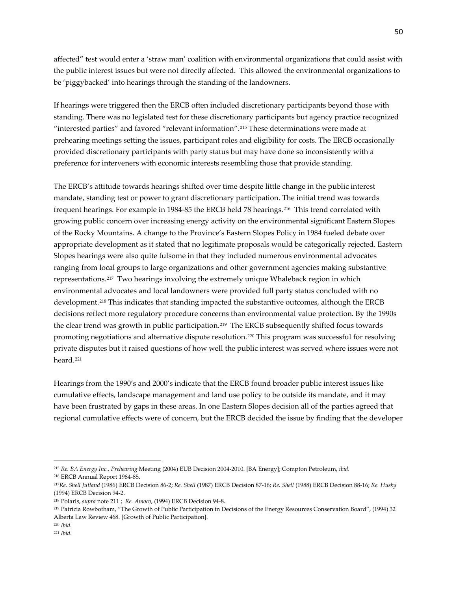affected" test would enter a 'straw man' coalition with environmental organizations that could assist with the public interest issues but were not directly affected. This allowed the environmental organizations to be 'piggybacked' into hearings through the standing of the landowners.

If hearings were triggered then the ERCB often included discretionary participants beyond those with standing. There was no legislated test for these discretionary participants but agency practice recognized "interested parties" and favored "relevant information".[215](#page-49-0) These determinations were made at prehearing meetings setting the issues, participant roles and eligibility for costs. The ERCB occasionally provided discretionary participants with party status but may have done so inconsistently with a preference for interveners with economic interests resembling those that provide standing.

The ERCB's attitude towards hearings shifted over time despite little change in the public interest mandate, standing test or power to grant discretionary participation. The initial trend was towards frequent hearings. For example in 1984-85 the ERCB held 78 hearings.[216](#page-49-1) This trend correlated with growing public concern over increasing energy activity on the environmental significant Eastern Slopes of the Rocky Mountains. A change to the Province's Eastern Slopes Policy in 1984 fueled debate over appropriate development as it stated that no legitimate proposals would be categorically rejected. Eastern Slopes hearings were also quite fulsome in that they included numerous environmental advocates ranging from local groups to large organizations and other government agencies making substantive representations.[217](#page-49-2) Two hearings involving the extremely unique Whaleback region in which environmental advocates and local landowners were provided full party status concluded with no development.[218](#page-49-3) This indicates that standing impacted the substantive outcomes, although the ERCB decisions reflect more regulatory procedure concerns than environmental value protection. By the 1990s the clear trend was growth in public participation.<sup>219</sup> The ERCB subsequently shifted focus towards promoting negotiations and alternative dispute resolution.[220](#page-49-5) This program was successful for resolving private disputes but it raised questions of how well the public interest was served where issues were not heard.<sup>[221](#page-49-6)</sup>

Hearings from the 1990's and 2000's indicate that the ERCB found broader public interest issues like cumulative effects, landscape management and land use policy to be outside its mandate, and it may have been frustrated by gaps in these areas. In one Eastern Slopes decision all of the parties agreed that regional cumulative effects were of concern, but the ERCB decided the issue by finding that the developer

<span id="page-49-0"></span><sup>215</sup> *Re. BA Energy Inc., Prehearing* Meeting (2004) EUB Decision 2004-2010. [BA Energy]; Compton Petroleum, *ibid.*

<span id="page-49-1"></span><sup>216</sup> ERCB Annual Report 1984-85.

<span id="page-49-2"></span><sup>217</sup>*Re. Shell Jutland* (1986) ERCB Decision 86-2; *Re. Shell* (1987) ERCB Decision 87-16; *Re. Shell* (1988) ERCB Decision 88-16; *Re. Husky* (1994) ERCB Decision 94-2.

<span id="page-49-3"></span><sup>218</sup> Polaris, *supra* note 211 ; *Re. Amoco*, (1994) ERCB Decision 94-8.

<span id="page-49-4"></span><sup>219</sup> Patricia Rowbotham, "The Growth of Public Participation in Decisions of the Energy Resources Conservation Board", (1994) 32 Alberta Law Review 468. [Growth of Public Participation].

<span id="page-49-6"></span><span id="page-49-5"></span><sup>220</sup> *Ibid.* <sup>221</sup> *Ibid.*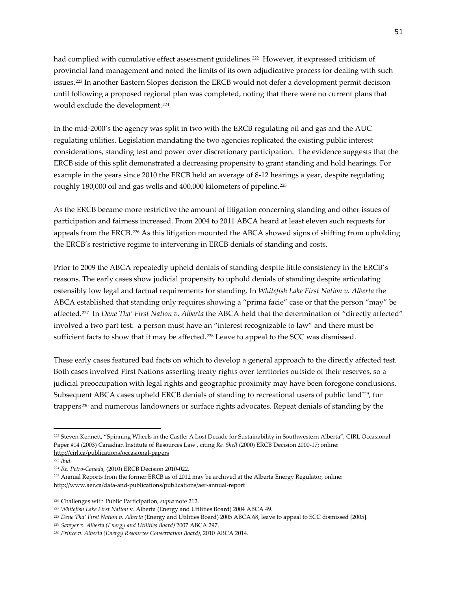had complied with cumulative effect assessment guidelines.<sup>[222](#page-50-0)</sup> However, it expressed criticism of provincial land management and noted the limits of its own adjudicative process for dealing with such issues.[223](#page-50-1) In another Eastern Slopes decision the ERCB would not defer a development permit decision until following a proposed regional plan was completed, noting that there were no current plans that would exclude the development.[224](#page-50-2)

In the mid-2000's the agency was split in two with the ERCB regulating oil and gas and the AUC regulating utilities. Legislation mandating the two agencies replicated the existing public interest considerations, standing test and power over discretionary participation. The evidence suggests that the ERCB side of this split demonstrated a decreasing propensity to grant standing and hold hearings. For example in the years since 2010 the ERCB held an average of 8-12 hearings a year, despite regulating roughly 180,000 oil and gas wells and 400,000 kilometers of pipeline.[225](#page-50-3)

As the ERCB became more restrictive the amount of litigation concerning standing and other issues of participation and fairness increased. From 2004 to 2011 ABCA heard at least eleven such requests for appeals from the ERCB.[226](#page-50-4) As this litigation mounted the ABCA showed signs of shifting from upholding the ERCB's restrictive regime to intervening in ERCB denials of standing and costs.

Prior to 2009 the ABCA repeatedly upheld denials of standing despite little consistency in the ERCB's reasons. The early cases show judicial propensity to uphold denials of standing despite articulating ostensibly low legal and factual requirements for standing. In *Whitefish Lake First Nation v. Alberta* the ABCA established that standing only requires showing a "prima facie" case or that the person "may" be affected.[227](#page-50-5) In *Dene Tha' First Nation v. Alberta* the ABCA held that the determination of "directly affected" involved a two part test: a person must have an "interest recognizable to law" and there must be sufficient facts to show that it may be affected.<sup>[228](#page-50-6)</sup> Leave to appeal to the SCC was dismissed.

These early cases featured bad facts on which to develop a general approach to the directly affected test. Both cases involved First Nations asserting treaty rights over territories outside of their reserves, so a judicial preoccupation with legal rights and geographic proximity may have been foregone conclusions. Subsequent ABCA cases upheld ERCB denials of standing to recreational users of public land<sup>229</sup>, fur trappers[230](#page-50-8) and numerous landowners or surface rights advocates. Repeat denials of standing by the

<span id="page-50-0"></span><sup>222</sup> Steven Kennett, "Spinning Wheels in the Castle: A Lost Decade for Sustainability in Southwestern Alberta", CIRL Occasional Paper #14 (2003) Canadian Institute of Resources Law , citing *Re. Shell* (2000) ERCB Decision 2000-17; online: <http://cirl.ca/publications/occasional-papers>

<span id="page-50-1"></span><sup>223</sup> *Ibid*.

<span id="page-50-2"></span><sup>224</sup> *Re. Petro-Canada*, (2010) ERCB Decision 2010-022.

<span id="page-50-3"></span><sup>225</sup> Annual Reports from the former ERCB as of 2012 may be archived at the Alberta Energy Regulator, online: http://www.aer.ca/data-and-publications/publications/aer-annual-report

<span id="page-50-4"></span><sup>226</sup> Challenges with Public Participation, *supra* note 212.

<span id="page-50-5"></span><sup>227</sup> *Whitefish Lake First Nation* v. Alberta (Energy and Utilities Board) 2004 ABCA 49.

<span id="page-50-6"></span><sup>228</sup> *Dene Tha' First Nation v. Alberta* (Energy and Utilities Board) 2005 ABCA 68, leave to appeal to SCC dismissed [2005].

<span id="page-50-7"></span><sup>229</sup> *Sawyer v. Alberta (Energy and Utilities Board)* 2007 ABCA 297.

<span id="page-50-8"></span><sup>230</sup> *Prince v. Alberta (Energy Resources Conservation Board)*, 2010 ABCA 2014.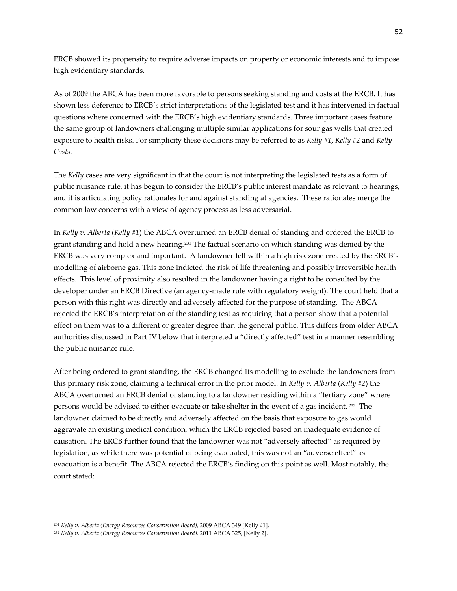ERCB showed its propensity to require adverse impacts on property or economic interests and to impose high evidentiary standards.

As of 2009 the ABCA has been more favorable to persons seeking standing and costs at the ERCB. It has shown less deference to ERCB's strict interpretations of the legislated test and it has intervened in factual questions where concerned with the ERCB's high evidentiary standards. Three important cases feature the same group of landowners challenging multiple similar applications for sour gas wells that created exposure to health risks. For simplicity these decisions may be referred to as *Kelly #1*, *Kelly #2* and *Kelly Costs*.

The *Kelly* cases are very significant in that the court is not interpreting the legislated tests as a form of public nuisance rule, it has begun to consider the ERCB's public interest mandate as relevant to hearings, and it is articulating policy rationales for and against standing at agencies. These rationales merge the common law concerns with a view of agency process as less adversarial.

In *Kelly v. Alberta* (*Kelly #1*) the ABCA overturned an ERCB denial of standing and ordered the ERCB to grant standing and hold a new hearing.[231](#page-51-0) The factual scenario on which standing was denied by the ERCB was very complex and important. A landowner fell within a high risk zone created by the ERCB's modelling of airborne gas. This zone indicted the risk of life threatening and possibly irreversible health effects. This level of proximity also resulted in the landowner having a right to be consulted by the developer under an ERCB Directive (an agency-made rule with regulatory weight). The court held that a person with this right was directly and adversely affected for the purpose of standing. The ABCA rejected the ERCB's interpretation of the standing test as requiring that a person show that a potential effect on them was to a different or greater degree than the general public. This differs from older ABCA authorities discussed in Part IV below that interpreted a "directly affected" test in a manner resembling the public nuisance rule.

After being ordered to grant standing, the ERCB changed its modelling to exclude the landowners from this primary risk zone, claiming a technical error in the prior model. In *Kelly v. Alberta* (*Kelly #2*) the ABCA overturned an ERCB denial of standing to a landowner residing within a "tertiary zone" where persons would be advised to either evacuate or take shelter in the event of a gas incident. [232](#page-51-1) The landowner claimed to be directly and adversely affected on the basis that exposure to gas would aggravate an existing medical condition, which the ERCB rejected based on inadequate evidence of causation. The ERCB further found that the landowner was not "adversely affected" as required by legislation, as while there was potential of being evacuated, this was not an "adverse effect" as evacuation is a benefit. The ABCA rejected the ERCB's finding on this point as well. Most notably, the court stated:

l

<span id="page-51-0"></span><sup>231</sup> *Kelly v. Alberta (Energy Resources Conservation Board),* 2009 ABCA 349 [Kelly #1].

<span id="page-51-1"></span><sup>232</sup> *Kelly v. Alberta (Energy Resources Conservation Board),* 2011 ABCA 325, [Kelly 2].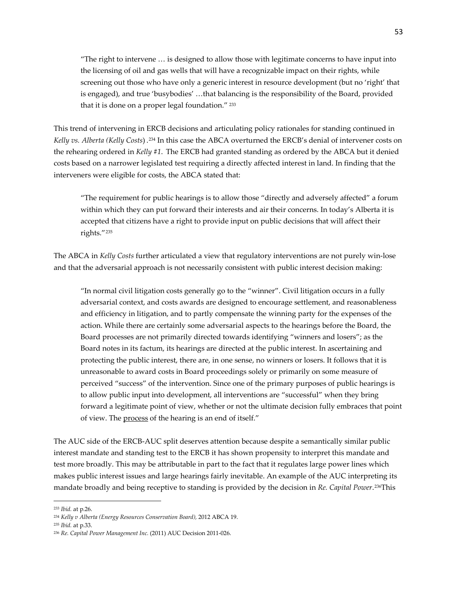"The right to intervene … is designed to allow those with legitimate concerns to have input into the licensing of oil and gas wells that will have a recognizable impact on their rights, while screening out those who have only a generic interest in resource development (but no 'right' that is engaged), and true 'busybodies' …that balancing is the responsibility of the Board, provided that it is done on a proper legal foundation."<sup>[233](#page-52-0)</sup>

This trend of intervening in ERCB decisions and articulating policy rationales for standing continued in *Kelly vs. Alberta (Kelly Costs*) .[234](#page-52-1) In this case the ABCA overturned the ERCB's denial of intervener costs on the rehearing ordered in *Kelly #1*. The ERCB had granted standing as ordered by the ABCA but it denied costs based on a narrower legislated test requiring a directly affected interest in land. In finding that the interveners were eligible for costs, the ABCA stated that:

"The requirement for public hearings is to allow those "directly and adversely affected" a forum within which they can put forward their interests and air their concerns. In today's Alberta it is accepted that citizens have a right to provide input on public decisions that will affect their rights."[235](#page-52-2)

The ABCA in *Kelly Costs* further articulated a view that regulatory interventions are not purely win-lose and that the adversarial approach is not necessarily consistent with public interest decision making:

"In normal civil litigation costs generally go to the "winner". Civil litigation occurs in a fully adversarial context, and costs awards are designed to encourage settlement, and reasonableness and efficiency in litigation, and to partly compensate the winning party for the expenses of the action. While there are certainly some adversarial aspects to the hearings before the Board, the Board processes are not primarily directed towards identifying "winners and losers"; as the Board notes in its factum, its hearings are directed at the public interest. In ascertaining and protecting the public interest, there are, in one sense, no winners or losers. It follows that it is unreasonable to award costs in Board proceedings solely or primarily on some measure of perceived "success" of the intervention. Since one of the primary purposes of public hearings is to allow public input into development, all interventions are "successful" when they bring forward a legitimate point of view, whether or not the ultimate decision fully embraces that point of view. The process of the hearing is an end of itself."

The AUC side of the ERCB-AUC split deserves attention because despite a semantically similar public interest mandate and standing test to the ERCB it has shown propensity to interpret this mandate and test more broadly. This may be attributable in part to the fact that it regulates large power lines which makes public interest issues and large hearings fairly inevitable. An example of the AUC interpreting its mandate broadly and being receptive to standing is provided by the decision in *Re. Capital Power*.[236T](#page-52-3)his

<span id="page-52-0"></span><sup>233</sup> *Ibid.* at p.26.

<span id="page-52-1"></span><sup>234</sup> *Kelly v Alberta (Energy Resources Conservation Board),* 2012 ABCA 19.

<span id="page-52-2"></span><sup>235</sup> *Ibid.* at p.33.

<span id="page-52-3"></span><sup>236</sup> *Re. Capital Power Management Inc.* (2011) AUC Decision 2011-026.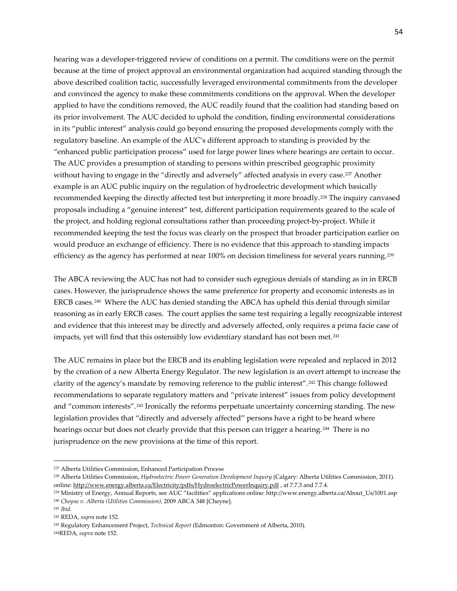hearing was a developer-triggered review of conditions on a permit. The conditions were on the permit because at the time of project approval an environmental organization had acquired standing through the above described coalition tactic, successfully leveraged environmental commitments from the developer and convinced the agency to make these commitments conditions on the approval. When the developer applied to have the conditions removed, the AUC readily found that the coalition had standing based on its prior involvement. The AUC decided to uphold the condition, finding environmental considerations in its "public interest" analysis could go beyond ensuring the proposed developments comply with the regulatory baseline. An example of the AUC's different approach to standing is provided by the "enhanced public participation process" used for large power lines where hearings are certain to occur. The AUC provides a presumption of standing to persons within prescribed geographic proximity without having to engage in the "directly and adversely" affected analysis in every case.<sup>[237](#page-53-0)</sup> Another example is an AUC public inquiry on the regulation of hydroelectric development which basically recommended keeping the directly affected test but interpreting it more broadly.[238](#page-53-1) The inquiry canvased proposals including a "genuine interest" test, different participation requirements geared to the scale of the project, and holding regional consultations rather than proceeding project-by-project. While it recommended keeping the test the focus was clearly on the prospect that broader participation earlier on would produce an exchange of efficiency. There is no evidence that this approach to standing impacts efficiency as the agency has performed at near 100% on decision timeliness for several years running.[239](#page-53-2) 

The ABCA reviewing the AUC has not had to consider such egregious denials of standing as in in ERCB cases. However, the jurisprudence shows the same preference for property and economic interests as in ERCB cases.<sup>[240](#page-53-3)</sup> Where the AUC has denied standing the ABCA has upheld this denial through similar reasoning as in early ERCB cases. The court applies the same test requiring a legally recognizable interest and evidence that this interest may be directly and adversely affected, only requires a prima facie case of impacts, yet will find that this ostensibly low evidentiary standard has not been met.[241](#page-53-4)

The AUC remains in place but the ERCB and its enabling legislation were repealed and replaced in 2012 by the creation of a new Alberta Energy Regulator. The new legislation is an overt attempt to increase the clarity of the agency's mandate by removing reference to the public interest".[242](#page-53-5) This change followed recommendations to separate regulatory matters and "private interest" issues from policy development and "common interests".[243](#page-53-6) Ironically the reforms perpetuate uncertainty concerning standing. The new legislation provides that "directly and adversely affected" persons have a right to be heard where hearings occur but does not clearly provide that this person can trigger a hearing.<sup>[244](#page-53-7)</sup> There is no jurisprudence on the new provisions at the time of this report.

<span id="page-53-0"></span><sup>237</sup> Alberta Utilities Commission, Enhanced Participation Process

<span id="page-53-1"></span><sup>238</sup> Alberta Utilities Commission, *Hydroelectric Power Generation Development Inquiry* (Calgary: Alberta Utilities Commission, 2011). online[: http://www.energy.alberta.ca/Electricity/pdfs/HydroelectricPowerInquiry.pdf](http://www.energy.alberta.ca/Electricity/pdfs/HydroelectricPowerInquiry.pdf) , at 7.7.3 and 7.7.4.

<span id="page-53-3"></span><span id="page-53-2"></span><sup>239</sup> Ministry of Energy, Annual Reports, see AUC "facilities" applications online: http://www.energy.alberta.ca/About\_Us/1001.asp <sup>240</sup> *Cheyne v. Alberta (Utilities Commission),* 2009 ABCA 348 [Cheyne].

<span id="page-53-4"></span><sup>241</sup> *Ibid.*

<span id="page-53-5"></span><sup>242</sup> REDA, *supra* note 152.

<span id="page-53-6"></span><sup>243</sup> Regulatory Enhancement Project, *Technical Report* (Edmonton: Government of Alberta, 2010).

<span id="page-53-7"></span><sup>244</sup>REDA, *supra* note 152.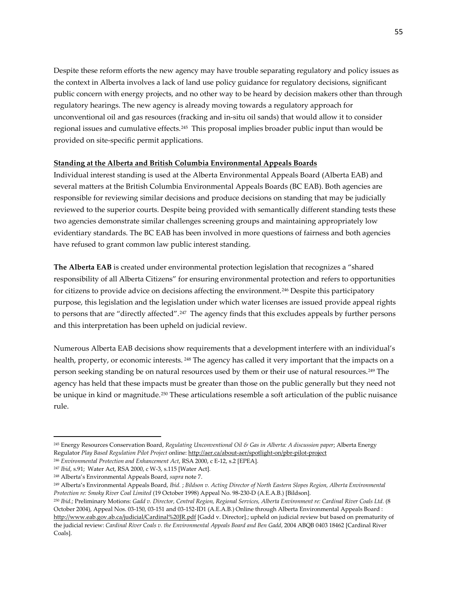Despite these reform efforts the new agency may have trouble separating regulatory and policy issues as the context in Alberta involves a lack of land use policy guidance for regulatory decisions, significant public concern with energy projects, and no other way to be heard by decision makers other than through regulatory hearings. The new agency is already moving towards a regulatory approach for unconventional oil and gas resources (fracking and in-situ oil sands) that would allow it to consider regional issues and cumulative effects.[245](#page-54-0) This proposal implies broader public input than would be provided on site-specific permit applications.

### **Standing at the Alberta and British Columbia Environmental Appeals Boards**

Individual interest standing is used at the Alberta Environmental Appeals Board (Alberta EAB) and several matters at the British Columbia Environmental Appeals Boards (BC EAB). Both agencies are responsible for reviewing similar decisions and produce decisions on standing that may be judicially reviewed to the superior courts. Despite being provided with semantically different standing tests these two agencies demonstrate similar challenges screening groups and maintaining appropriately low evidentiary standards. The BC EAB has been involved in more questions of fairness and both agencies have refused to grant common law public interest standing.

**The Alberta EAB** is created under environmental protection legislation that recognizes a "shared responsibility of all Alberta Citizens" for ensuring environmental protection and refers to opportunities for citizens to provide advice on decisions affecting the environment.[246](#page-54-1) Despite this participatory purpose, this legislation and the legislation under which water licenses are issued provide appeal rights to persons that are "directly affected".[247](#page-54-2) The agency finds that this excludes appeals by further persons and this interpretation has been upheld on judicial review.

Numerous Alberta EAB decisions show requirements that a development interfere with an individual's health, property, or economic interests. <sup>[248](#page-54-3)</sup> The agency has called it very important that the impacts on a person seeking standing be on natural resources used by them or their use of natural resources.[249](#page-54-4) The agency has held that these impacts must be greater than those on the public generally but they need not be unique in kind or magnitude.<sup>[250](#page-54-5)</sup> These articulations resemble a soft articulation of the public nuisance rule.

<span id="page-54-0"></span><sup>245</sup> Energy Resources Conservation Board, *Regulating Unconventional Oil & Gas in Alberta: A discussion paper*; Alberta Energy Regulator *Play Based Regulation Pilot Project* online[: http://aer.ca/about-aer/spotlight-on/pbr-pilot-project](http://aer.ca/about-aer/spotlight-on/pbr-pilot-project)

<span id="page-54-1"></span><sup>246</sup> *[Environmental Protection and Enhancement Act](http://www.canlii.org/en/ab/laws/stat/rsa-2000-c-e-12/latest/rsa-2000-c-e-12.html)*, RSA 2000, c E-12, s.2 [EPEA].

<span id="page-54-2"></span><sup>247</sup> *Ibid*, s.91; Water Act, RSA 2000, c W-3, s.115 [Water Act].

<span id="page-54-3"></span><sup>248</sup> Alberta's Environmental Appeals Board, *supra* note 7.

<span id="page-54-4"></span><sup>249</sup> Alberta's Environmental Appeals Board, *Ibid.* ; *Bildson v. Acting Director of North Eastern Slopes Region, Alberta Environmental Protection re: Smoky River Coal Limited* (19 October 1998) Appeal No. 98-230-D (A.E.A.B.) [Bildson].

<span id="page-54-5"></span><sup>250</sup> *Ibid.;* Preliminary Motions: *Gadd v. Director, Central Region, Regional Services, Alberta Environment re: Cardinal River Coals Ltd.* (8 October 2004), Appeal Nos. 03-150, 03-151 and 03-152-ID1 (A.E.A.B.) Online through Alberta Environmental Appeals Board : <http://www.eab.gov.ab.ca/judicial/Cardinal%20JR.pdf> [Gadd v. Director].; upheld on judicial review but based on prematurity of the judicial review: *Cardinal River Coals v. the Environmental Appeals Board and Ben Gadd*, 2004 ABQB 0403 18462 [Cardinal River Coals].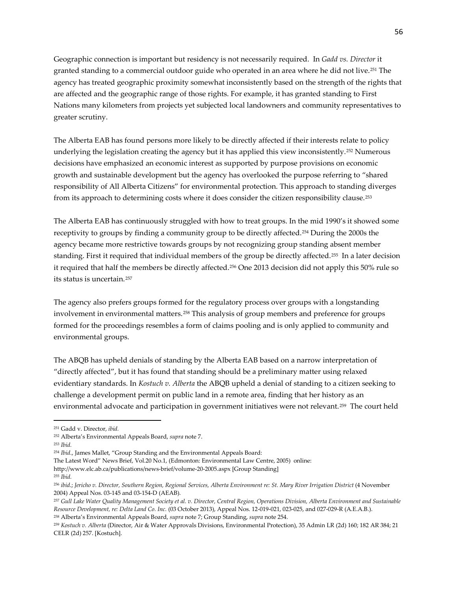Geographic connection is important but residency is not necessarily required. In *Gadd vs. Director* it granted standing to a commercial outdoor guide who operated in an area where he did not live.[251](#page-55-0) The agency has treated geographic proximity somewhat inconsistently based on the strength of the rights that are affected and the geographic range of those rights. For example, it has granted standing to First Nations many kilometers from projects yet subjected local landowners and community representatives to greater scrutiny.

The Alberta EAB has found persons more likely to be directly affected if their interests relate to policy underlying the legislation creating the agency but it has applied this view inconsistently.[252](#page-55-1) Numerous decisions have emphasized an economic interest as supported by purpose provisions on economic growth and sustainable development but the agency has overlooked the purpose referring to "shared responsibility of All Alberta Citizens" for environmental protection. This approach to standing diverges from its approach to determining costs where it does consider the citizen responsibility clause.<sup>[253](#page-55-2)</sup>

The Alberta EAB has continuously struggled with how to treat groups. In the mid 1990's it showed some receptivity to groups by finding a community group to be directly affected.[254](#page-55-3) During the 2000s the agency became more restrictive towards groups by not recognizing group standing absent member standing. First it required that individual members of the group be directly affected.[255](#page-55-4) In a later decision it required that half the members be directly affected.[256](#page-55-5) One 2013 decision did not apply this 50% rule so its status is uncertain.[257](#page-55-6)

The agency also prefers groups formed for the regulatory process over groups with a longstanding involvement in environmental matters.[258](#page-55-7) This analysis of group members and preference for groups formed for the proceedings resembles a form of claims pooling and is only applied to community and environmental groups.

The ABQB has upheld denials of standing by the Alberta EAB based on a narrow interpretation of "directly affected", but it has found that standing should be a preliminary matter using relaxed evidentiary standards. In *Kostuch v. Alberta* the ABQB upheld a denial of standing to a citizen seeking to challenge a development permit on public land in a remote area, finding that her history as an environmental advocate and participation in government initiatives were not relevant.[259](#page-55-8) The court held

 $\overline{\phantom{a}}$ 

The Latest Word" News Brief, Vol.20 No.1, (Edmonton: Environmental Law Centre, 2005) online:

http://www.elc.ab.ca/publications/news-brief/volume-20-2005.aspx [Group Standing]

<span id="page-55-4"></span><sup>255</sup> *Ibid.*

<span id="page-55-0"></span><sup>251</sup> Gadd v. Director, *ibid.*

<span id="page-55-1"></span><sup>252</sup> Alberta's Environmental Appeals Board, *supra* note 7.

<span id="page-55-2"></span><sup>253</sup> *Ibid.*

<span id="page-55-3"></span><sup>254</sup> *Ibid*., James Mallet, "Group Standing and the Environmental Appeals Board:

<span id="page-55-5"></span><sup>&</sup>lt;sup>256</sup> ibid.; Jericho v. Director, Southern Region, Regional Services, Alberta Environment re: St. Mary River Irrigation District (4 November 2004) Appeal Nos. 03-145 and 03-154-D (AEAB).

<span id="page-55-6"></span><sup>257</sup> *Gull Lake Water Quality Management Society et al. v. Director, Central Region, Operations Division, Alberta Environment and Sustainable Resource Development, re: Delta Land Co. Inc.* (03 October 2013), Appeal Nos. 12-019-021, 023-025, and 027-029-R (A.E.A.B.).

<span id="page-55-7"></span><sup>258</sup> Alberta's Environmental Appeals Board, *supra* note 7; Group Standing, *supra* note 254.

<span id="page-55-8"></span><sup>259</sup> *Kostuch v. Alberta* (Director, Air & Water Approvals Divisions, Environmental Protection), 35 Admin LR (2d) 160; 182 AR 384; 21 CELR (2d) 257. [Kostuch].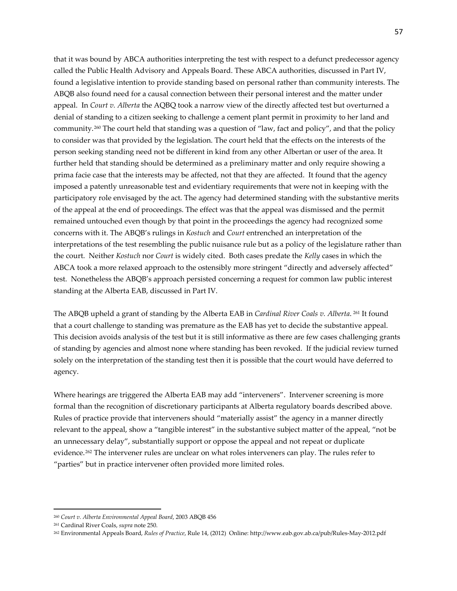that it was bound by ABCA authorities interpreting the test with respect to a defunct predecessor agency called the Public Health Advisory and Appeals Board. These ABCA authorities, discussed in Part IV, found a legislative intention to provide standing based on personal rather than community interests. The ABQB also found need for a causal connection between their personal interest and the matter under appeal. In *Court v. Alberta* the AQBQ took a narrow view of the directly affected test but overturned a denial of standing to a citizen seeking to challenge a cement plant permit in proximity to her land and community.[260](#page-56-0) The court held that standing was a question of "law, fact and policy", and that the policy to consider was that provided by the legislation. The court held that the effects on the interests of the person seeking standing need not be different in kind from any other Albertan or user of the area. It further held that standing should be determined as a preliminary matter and only require showing a prima facie case that the interests may be affected, not that they are affected. It found that the agency imposed a patently unreasonable test and evidentiary requirements that were not in keeping with the participatory role envisaged by the act. The agency had determined standing with the substantive merits of the appeal at the end of proceedings. The effect was that the appeal was dismissed and the permit remained untouched even though by that point in the proceedings the agency had recognized some concerns with it. The ABQB's rulings in *Kostuch* and *Court* entrenched an interpretation of the interpretations of the test resembling the public nuisance rule but as a policy of the legislature rather than the court. Neither *Kostuch* nor *Court* is widely cited. Both cases predate the *Kelly* cases in which the ABCA took a more relaxed approach to the ostensibly more stringent "directly and adversely affected" test. Nonetheless the ABQB's approach persisted concerning a request for common law public interest standing at the Alberta EAB, discussed in Part IV.

The ABQB upheld a grant of standing by the Alberta EAB in *Cardinal River Coals v. Alberta*. [261](#page-56-1) It found that a court challenge to standing was premature as the EAB has yet to decide the substantive appeal. This decision avoids analysis of the test but it is still informative as there are few cases challenging grants of standing by agencies and almost none where standing has been revoked. If the judicial review turned solely on the interpretation of the standing test then it is possible that the court would have deferred to agency.

Where hearings are triggered the Alberta EAB may add "interveners". Intervener screening is more formal than the recognition of discretionary participants at Alberta regulatory boards described above. Rules of practice provide that interveners should "materially assist" the agency in a manner directly relevant to the appeal, show a "tangible interest" in the substantive subject matter of the appeal, "not be an unnecessary delay", substantially support or oppose the appeal and not repeat or duplicate evidence.<sup>[262](#page-56-2)</sup> The intervener rules are unclear on what roles interveners can play. The rules refer to "parties" but in practice intervener often provided more limited roles.

l

<span id="page-56-0"></span><sup>260</sup> *Court v. Alberta Environmental Appeal Board*, 2003 ABQB 456

<span id="page-56-1"></span><sup>261</sup> Cardinal River Coals, *supra* note 250.

<span id="page-56-2"></span><sup>262</sup> Environmental Appeals Board, *Rules of Practice*, Rule 14, (2012) Online: http://www.eab.gov.ab.ca/pub/Rules-May-2012.pdf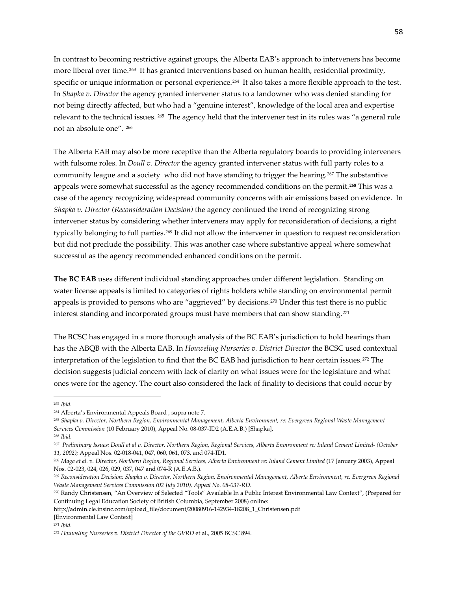In contrast to becoming restrictive against groups, the Alberta EAB's approach to interveners has become more liberal over time.[263](#page-57-0) It has granted interventions based on human health, residential proximity, specific or unique information or personal experience.<sup>264</sup> It also takes a more flexible approach to the test. In *Shapka v. Director* the agency granted intervener status to a landowner who was denied standing for not being directly affected, but who had a "genuine interest", knowledge of the local area and expertise relevant to the technical issues. [265](#page-57-2) The agency held that the intervener test in its rules was "a general rule not an absolute one". [266](#page-57-3) 

The Alberta EAB may also be more receptive than the Alberta regulatory boards to providing interveners with fulsome roles. In *Doull v. Director* the agency granted intervener status with full party roles to a community league and a society who did not have standing to trigger the hearing.[267](#page-57-4) The substantive appeals were somewhat successful as the agency recommended conditions on the permit.**[268](#page-57-5)** This was a case of the agency recognizing widespread community concerns with air emissions based on evidence. In *Shapka v. Director (Reconsideration Decision)* the agency continued the trend of recognizing strong intervener status by considering whether interveners may apply for reconsideration of decisions, a right typically belonging to full parties.[269](#page-57-6) It did not allow the intervener in question to request reconsideration but did not preclude the possibility. This was another case where substantive appeal where somewhat successful as the agency recommended enhanced conditions on the permit.

**The BC EAB** uses different individual standing approaches under different legislation. Standing on water license appeals is limited to categories of rights holders while standing on environmental permit appeals is provided to persons who are "aggrieved" by decisions.[270](#page-57-7) Under this test there is no public interest standing and incorporated groups must have members that can show standing.[271](#page-57-8)

The BCSC has engaged in a more thorough analysis of the BC EAB's jurisdiction to hold hearings than has the ABQB with the Alberta EAB. In *Houweling Nurseries v. District Director* the BCSC used contextual interpretation of the legislation to find that the BC EAB had jurisdiction to hear certain issues.[272](#page-57-9) The decision suggests judicial concern with lack of clarity on what issues were for the legislature and what ones were for the agency. The court also considered the lack of finality to decisions that could occur by

 $\overline{\phantom{a}}$ 

[http://admin.cle.insinc.com/upload\\_file/document/20080916-142934-18208\\_1\\_Christensen.pdf](http://admin.cle.insinc.com/upload_file/document/20080916-142934-18208_1_Christensen.pdf)

<span id="page-57-0"></span><sup>263</sup> *Ibid.*

<span id="page-57-1"></span><sup>264</sup> Alberta's Environmental Appeals Board , supra note 7.

<span id="page-57-2"></span><sup>265</sup> *Shapka v. Director, Northern Region, Environmental Management, Alberta Environment, re: Evergreen Regional Waste Management Services Commission* (10 February 2010), Appeal No. 08-037-ID2 (A.E.A.B.) [Shapka]. <sup>266</sup> *Ibid.*

<span id="page-57-5"></span><span id="page-57-4"></span><span id="page-57-3"></span><sup>267</sup> *Preliminary Issues: Doull et al v. Director, Northern Region, Regional Services, Alberta Environment re: Inland Cement Limited- (October 11, 2002);* Appeal Nos. 02-018-041, 047, 060, 061, 073, and 074-ID1.

<sup>268</sup> *Maga et al. v. Director, Northern Region, Regional Services, Alberta Environment re: Inland Cement Limited* (17 January 2003), Appeal Nos. 02-023, 024, 026, 029, 037, 047 and 074-R (A.E.A.B.).

<span id="page-57-6"></span><sup>269</sup> *Reconsideration Decision: Shapka v. Director, Northern Region, Environmental Management, Alberta Environment, re: Evergreen Regional Waste Management Services Commission (02 July 2010), Appeal No. 08-037-RD.*

<span id="page-57-7"></span><sup>270</sup> Randy Christensen, "An Overview of Selected "Tools" Available In a Public Interest Environmental Law Context", (Prepared for Continuing Legal Education Society of British Columbia, September 2008) online:

<sup>[</sup>Environmental Law Context]

<span id="page-57-8"></span><sup>271</sup> *Ibid.*

<span id="page-57-9"></span><sup>272</sup> *Houweling Nurseries v. District Director of the GVRD* et al., 2005 BCSC 894.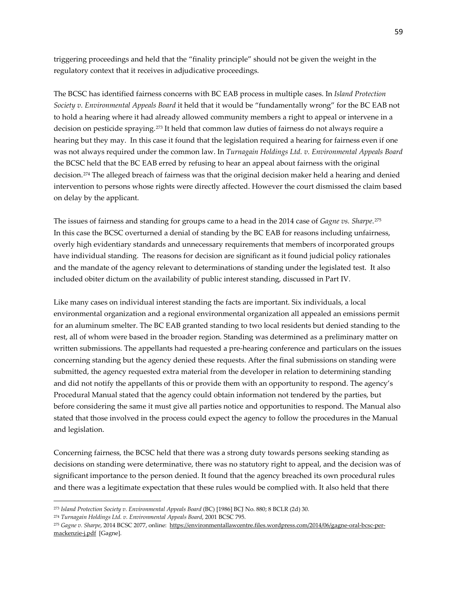triggering proceedings and held that the "finality principle" should not be given the weight in the regulatory context that it receives in adjudicative proceedings.

The BCSC has identified fairness concerns with BC EAB process in multiple cases. In *Island Protection Society v. Environmental Appeals Board* it held that it would be "fundamentally wrong" for the BC EAB not to hold a hearing where it had already allowed community members a right to appeal or intervene in a decision on pesticide spraying.[273](#page-58-0) It held that common law duties of fairness do not always require a hearing but they may. In this case it found that the legislation required a hearing for fairness even if one was not always required under the common law. In *Turnagain Holdings Ltd. v. Environmental Appeals Board* the BCSC held that the BC EAB erred by refusing to hear an appeal about fairness with the original decision.[274](#page-58-1) The alleged breach of fairness was that the original decision maker held a hearing and denied intervention to persons whose rights were directly affected. However the court dismissed the claim based on delay by the applicant.

The issues of fairness and standing for groups came to a head in the 2014 case of *Gagne vs. Sharpe*.[275](#page-58-2) In this case the BCSC overturned a denial of standing by the BC EAB for reasons including unfairness, overly high evidentiary standards and unnecessary requirements that members of incorporated groups have individual standing. The reasons for decision are significant as it found judicial policy rationales and the mandate of the agency relevant to determinations of standing under the legislated test. It also included obiter dictum on the availability of public interest standing, discussed in Part IV.

Like many cases on individual interest standing the facts are important. Six individuals, a local environmental organization and a regional environmental organization all appealed an emissions permit for an aluminum smelter. The BC EAB granted standing to two local residents but denied standing to the rest, all of whom were based in the broader region. Standing was determined as a preliminary matter on written submissions. The appellants had requested a pre-hearing conference and particulars on the issues concerning standing but the agency denied these requests. After the final submissions on standing were submitted, the agency requested extra material from the developer in relation to determining standing and did not notify the appellants of this or provide them with an opportunity to respond. The agency's Procedural Manual stated that the agency could obtain information not tendered by the parties, but before considering the same it must give all parties notice and opportunities to respond. The Manual also stated that those involved in the process could expect the agency to follow the procedures in the Manual and legislation.

Concerning fairness, the BCSC held that there was a strong duty towards persons seeking standing as decisions on standing were determinative, there was no statutory right to appeal, and the decision was of significant importance to the person denied. It found that the agency breached its own procedural rules and there was a legitimate expectation that these rules would be complied with. It also held that there

<span id="page-58-0"></span><sup>273</sup> *Island Protection Society v. Environmental Appeals Board* (BC) [1986] BCJ No. 880; 8 BCLR (2d) 30.

<span id="page-58-1"></span><sup>274</sup> *Turnagain Holdings Ltd. v. Environmental Appeals Board*, 2001 BCSC 795.

<span id="page-58-2"></span><sup>275</sup> *Gagne v. Sharpe*, 2014 BCSC 2077, online: [https://environmentallawcentre.files.wordpress.com/2014/06/gagne-oral-bcsc-per](https://environmentallawcentre.files.wordpress.com/2014/06/gagne-oral-bcsc-per-mackenzie-j.pdf)[mackenzie-j.pdf](https://environmentallawcentre.files.wordpress.com/2014/06/gagne-oral-bcsc-per-mackenzie-j.pdf) [Gagne].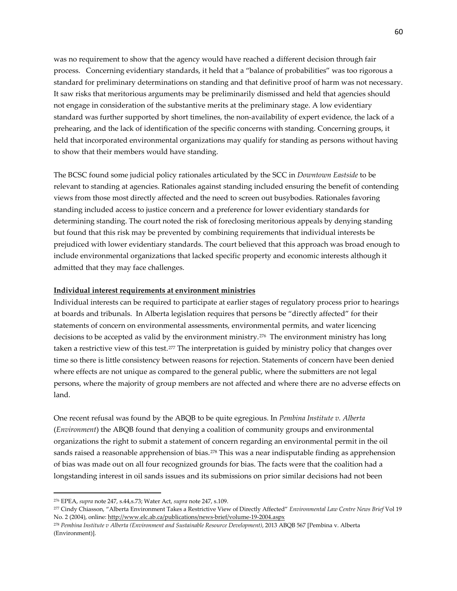was no requirement to show that the agency would have reached a different decision through fair process. Concerning evidentiary standards, it held that a "balance of probabilities" was too rigorous a standard for preliminary determinations on standing and that definitive proof of harm was not necessary. It saw risks that meritorious arguments may be preliminarily dismissed and held that agencies should not engage in consideration of the substantive merits at the preliminary stage. A low evidentiary standard was further supported by short timelines, the non-availability of expert evidence, the lack of a prehearing, and the lack of identification of the specific concerns with standing. Concerning groups, it held that incorporated environmental organizations may qualify for standing as persons without having to show that their members would have standing.

The BCSC found some judicial policy rationales articulated by the SCC in *Downtown Eastside* to be relevant to standing at agencies. Rationales against standing included ensuring the benefit of contending views from those most directly affected and the need to screen out busybodies. Rationales favoring standing included access to justice concern and a preference for lower evidentiary standards for determining standing. The court noted the risk of foreclosing meritorious appeals by denying standing but found that this risk may be prevented by combining requirements that individual interests be prejudiced with lower evidentiary standards. The court believed that this approach was broad enough to include environmental organizations that lacked specific property and economic interests although it admitted that they may face challenges.

# **Individual interest requirements at environment ministries**

Individual interests can be required to participate at earlier stages of regulatory process prior to hearings at boards and tribunals. In Alberta legislation requires that persons be "directly affected" for their statements of concern on environmental assessments, environmental permits, and water licencing decisions to be accepted as valid by the environment ministry.[276](#page-59-0) The environment ministry has long taken a restrictive view of this test.<sup>[277](#page-59-1)</sup> The interpretation is guided by ministry policy that changes over time so there is little consistency between reasons for rejection. Statements of concern have been denied where effects are not unique as compared to the general public, where the submitters are not legal persons, where the majority of group members are not affected and where there are no adverse effects on land.

One recent refusal was found by the ABQB to be quite egregious. In *Pembina Institute v. Alberta* (*Environment*) the ABQB found that denying a coalition of community groups and environmental organizations the right to submit a statement of concern regarding an environmental permit in the oil sands raised a reasonable apprehension of bias.<sup>[278](#page-59-2)</sup> This was a near indisputable finding as apprehension of bias was made out on all four recognized grounds for bias. The facts were that the coalition had a longstanding interest in oil sands issues and its submissions on prior similar decisions had not been

<span id="page-59-0"></span><sup>276</sup> EPEA, *supra* note 247, s.44,s.73; Water Act, *supra* note 247, s.109.

<span id="page-59-1"></span><sup>277</sup> Cindy Chiasson, "Alberta Environment Takes a Restrictive View of Directly Affected" *Environmental Law Centre News Brief* Vol 19 No. 2 (2004), online[: http://www.elc.ab.ca/publications/news-brief/volume-19-2004.aspx](http://www.elc.ab.ca/publications/news-brief/volume-19-2004.aspx)

<span id="page-59-2"></span><sup>278</sup> *Pembina Institute v Alberta (Environment and Sustainable Resource Development)*[, 2013 ABQB 567](http://ablawg.ca/wp-content/uploads/2013/10/Pembina-Institute-v-Alberta-Environment-and-Sustainable-Resource-Development-2013-ABQB-567.pdf) [Pembina v. Alberta (Environment)].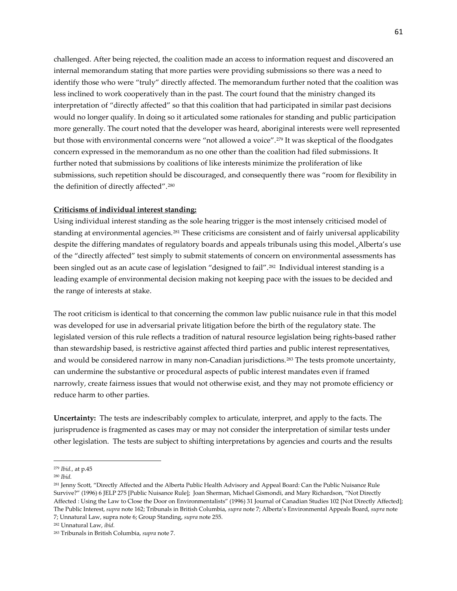challenged. After being rejected, the coalition made an access to information request and discovered an internal memorandum stating that more parties were providing submissions so there was a need to identify those who were "truly" directly affected. The memorandum further noted that the coalition was less inclined to work cooperatively than in the past. The court found that the ministry changed its interpretation of "directly affected" so that this coalition that had participated in similar past decisions would no longer qualify. In doing so it articulated some rationales for standing and public participation more generally. The court noted that the developer was heard, aboriginal interests were well represented but those with environmental concerns were "not allowed a voice"[.279](#page-60-0) It was skeptical of the floodgates concern expressed in the memorandum as no one other than the coalition had filed submissions. It further noted that submissions by coalitions of like interests minimize the proliferation of like submissions, such repetition should be discouraged, and consequently there was "room for flexibility in the definition of directly affected".[280](#page-60-1)

### **Criticisms of individual interest standing:**

Using individual interest standing as the sole hearing trigger is the most intensely criticised model of standing at environmental agencies.<sup>[281](#page-60-2)</sup> These criticisms are consistent and of fairly universal applicability despite the differing mandates of regulatory boards and appeals tribunals using this model. Alberta's use of the "directly affected" test simply to submit statements of concern on environmental assessments has been singled out as an acute case of legislation "designed to fail".[282](#page-60-3) Individual interest standing is a leading example of environmental decision making not keeping pace with the issues to be decided and the range of interests at stake.

The root criticism is identical to that concerning the common law public nuisance rule in that this model was developed for use in adversarial private litigation before the birth of the regulatory state. The legislated version of this rule reflects a tradition of natural resource legislation being rights-based rather than stewardship based, is restrictive against affected third parties and public interest representatives, and would be considered narrow in many non-Canadian jurisdictions.[283](#page-60-4) The tests promote uncertainty, can undermine the substantive or procedural aspects of public interest mandates even if framed narrowly, create fairness issues that would not otherwise exist, and they may not promote efficiency or reduce harm to other parties.

**Uncertainty:** The tests are indescribably complex to articulate, interpret, and apply to the facts. The jurisprudence is fragmented as cases may or may not consider the interpretation of similar tests under other legislation. The tests are subject to shifting interpretations by agencies and courts and the results

<span id="page-60-0"></span><sup>279</sup> *Ibid.,* at p.45

<span id="page-60-1"></span><sup>280</sup> *Ibid.*

<span id="page-60-2"></span><sup>281</sup> Jenny Scott, "Directly Affected and the Alberta Public Health Advisory and Appeal Board: Can the Public Nuisance Rule Survive?" (1996) 6 JELP 275 [Public Nuisance Rule]; Joan Sherman, Michael Gismondi, and Mary Richardson, ["Not Directly](http://elc.andornot.com/ViewResults.aspx?AC=GET_RECORD&XC=/ViewResults.aspx&BU=http%3A%2F%2Felc.andornot.com%2Fsearch.aspx&TN=elccat&SN=AUTO12067&SE=1770&RN=6&MR=20&TR=0&TX=1000&ES=0&CS=0&XP=&RF=WebBrief&EF=&DF=WebFull&RL=0&EL=0&DL=0&NP=255&ID=&MF=GENERICENGWPMSG.INI&MQ=&TI=0&DT=&ST=0&IR=15851&NR=0&NB=0&SV=0&BG=&FG=&QS=&OEX=ISO-8859-1&OEH=ISO-8859-1)  [Affected : Using the Law to Close the Door on Environmentalists"](http://elc.andornot.com/ViewResults.aspx?AC=GET_RECORD&XC=/ViewResults.aspx&BU=http%3A%2F%2Felc.andornot.com%2Fsearch.aspx&TN=elccat&SN=AUTO12067&SE=1770&RN=6&MR=20&TR=0&TX=1000&ES=0&CS=0&XP=&RF=WebBrief&EF=&DF=WebFull&RL=0&EL=0&DL=0&NP=255&ID=&MF=GENERICENGWPMSG.INI&MQ=&TI=0&DT=&ST=0&IR=15851&NR=0&NB=0&SV=0&BG=&FG=&QS=&OEX=ISO-8859-1&OEH=ISO-8859-1) (1996) 31 Journal of Canadian Studies 102 [Not Directly Affected]; The Public Interest, *supra* note 162; Tribunals in British Columbia, *supra* note 7; Alberta's Environmental Appeals Board, *supra* note 7; Unnatural Law, supra note 6; Group Standing, *supra* note 255.

<span id="page-60-3"></span><sup>282</sup> Unnatural Law, *ibid.*

<span id="page-60-4"></span><sup>283</sup> Tribunals in British Columbia, *supra* note 7.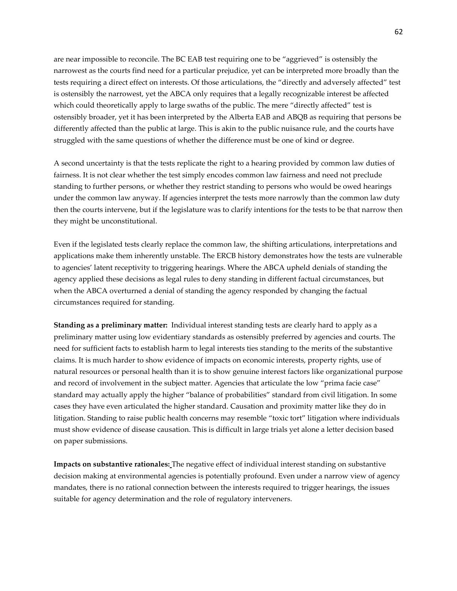are near impossible to reconcile. The BC EAB test requiring one to be "aggrieved" is ostensibly the narrowest as the courts find need for a particular prejudice, yet can be interpreted more broadly than the tests requiring a direct effect on interests. Of those articulations, the "directly and adversely affected" test is ostensibly the narrowest, yet the ABCA only requires that a legally recognizable interest be affected which could theoretically apply to large swaths of the public. The mere "directly affected" test is ostensibly broader, yet it has been interpreted by the Alberta EAB and ABQB as requiring that persons be differently affected than the public at large. This is akin to the public nuisance rule, and the courts have struggled with the same questions of whether the difference must be one of kind or degree.

A second uncertainty is that the tests replicate the right to a hearing provided by common law duties of fairness. It is not clear whether the test simply encodes common law fairness and need not preclude standing to further persons, or whether they restrict standing to persons who would be owed hearings under the common law anyway. If agencies interpret the tests more narrowly than the common law duty then the courts intervene, but if the legislature was to clarify intentions for the tests to be that narrow then they might be unconstitutional.

Even if the legislated tests clearly replace the common law, the shifting articulations, interpretations and applications make them inherently unstable. The ERCB history demonstrates how the tests are vulnerable to agencies' latent receptivity to triggering hearings. Where the ABCA upheld denials of standing the agency applied these decisions as legal rules to deny standing in different factual circumstances, but when the ABCA overturned a denial of standing the agency responded by changing the factual circumstances required for standing.

**Standing as a preliminary matter:** Individual interest standing tests are clearly hard to apply as a preliminary matter using low evidentiary standards as ostensibly preferred by agencies and courts. The need for sufficient facts to establish harm to legal interests ties standing to the merits of the substantive claims. It is much harder to show evidence of impacts on economic interests, property rights, use of natural resources or personal health than it is to show genuine interest factors like organizational purpose and record of involvement in the subject matter. Agencies that articulate the low "prima facie case" standard may actually apply the higher "balance of probabilities" standard from civil litigation. In some cases they have even articulated the higher standard. Causation and proximity matter like they do in litigation. Standing to raise public health concerns may resemble "toxic tort" litigation where individuals must show evidence of disease causation. This is difficult in large trials yet alone a letter decision based on paper submissions.

**Impacts on substantive rationales:** The negative effect of individual interest standing on substantive decision making at environmental agencies is potentially profound. Even under a narrow view of agency mandates, there is no rational connection between the interests required to trigger hearings, the issues suitable for agency determination and the role of regulatory interveners.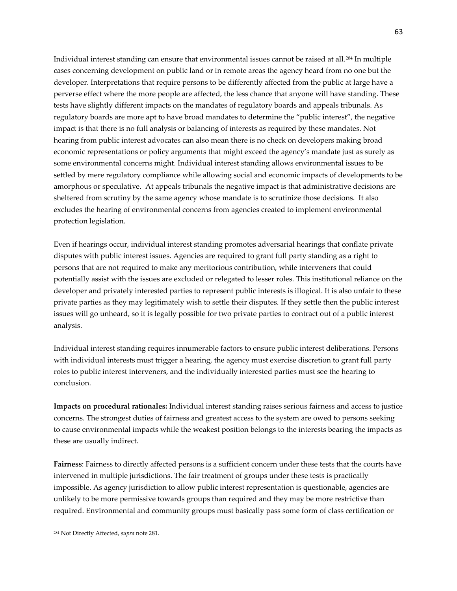Individual interest standing can ensure that environmental issues cannot be raised at all.[284](#page-62-0) In multiple cases concerning development on public land or in remote areas the agency heard from no one but the developer. Interpretations that require persons to be differently affected from the public at large have a perverse effect where the more people are affected, the less chance that anyone will have standing. These tests have slightly different impacts on the mandates of regulatory boards and appeals tribunals. As regulatory boards are more apt to have broad mandates to determine the "public interest", the negative impact is that there is no full analysis or balancing of interests as required by these mandates. Not hearing from public interest advocates can also mean there is no check on developers making broad economic representations or policy arguments that might exceed the agency's mandate just as surely as some environmental concerns might. Individual interest standing allows environmental issues to be settled by mere regulatory compliance while allowing social and economic impacts of developments to be amorphous or speculative. At appeals tribunals the negative impact is that administrative decisions are sheltered from scrutiny by the same agency whose mandate is to scrutinize those decisions. It also excludes the hearing of environmental concerns from agencies created to implement environmental protection legislation.

Even if hearings occur, individual interest standing promotes adversarial hearings that conflate private disputes with public interest issues. Agencies are required to grant full party standing as a right to persons that are not required to make any meritorious contribution, while interveners that could potentially assist with the issues are excluded or relegated to lesser roles. This institutional reliance on the developer and privately interested parties to represent public interests is illogical. It is also unfair to these private parties as they may legitimately wish to settle their disputes. If they settle then the public interest issues will go unheard, so it is legally possible for two private parties to contract out of a public interest analysis.

Individual interest standing requires innumerable factors to ensure public interest deliberations. Persons with individual interests must trigger a hearing, the agency must exercise discretion to grant full party roles to public interest interveners, and the individually interested parties must see the hearing to conclusion.

**Impacts on procedural rationales:** Individual interest standing raises serious fairness and access to justice concerns. The strongest duties of fairness and greatest access to the system are owed to persons seeking to cause environmental impacts while the weakest position belongs to the interests bearing the impacts as these are usually indirect.

**Fairness**: Fairness to directly affected persons is a sufficient concern under these tests that the courts have intervened in multiple jurisdictions. The fair treatment of groups under these tests is practically impossible. As agency jurisdiction to allow public interest representation is questionable, agencies are unlikely to be more permissive towards groups than required and they may be more restrictive than required. Environmental and community groups must basically pass some form of class certification or

<span id="page-62-0"></span><sup>284</sup> Not Directly Affected, *supra* note 281.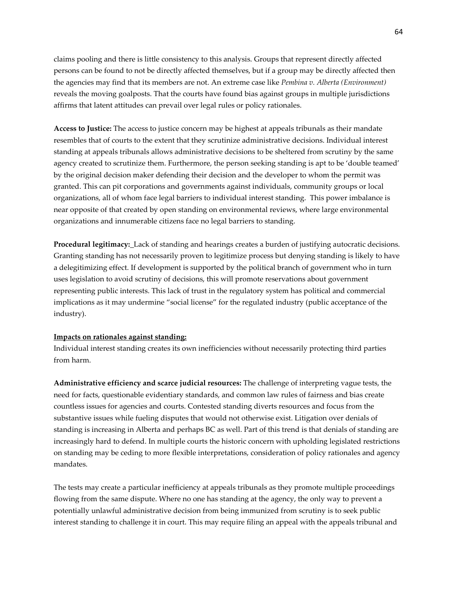claims pooling and there is little consistency to this analysis. Groups that represent directly affected persons can be found to not be directly affected themselves, but if a group may be directly affected then the agencies may find that its members are not. An extreme case like *Pembina v. Alberta (Environment)* reveals the moving goalposts. That the courts have found bias against groups in multiple jurisdictions affirms that latent attitudes can prevail over legal rules or policy rationales.

**Access to Justice:** The access to justice concern may be highest at appeals tribunals as their mandate resembles that of courts to the extent that they scrutinize administrative decisions. Individual interest standing at appeals tribunals allows administrative decisions to be sheltered from scrutiny by the same agency created to scrutinize them. Furthermore, the person seeking standing is apt to be 'double teamed' by the original decision maker defending their decision and the developer to whom the permit was granted. This can pit corporations and governments against individuals, community groups or local organizations, all of whom face legal barriers to individual interest standing. This power imbalance is near opposite of that created by open standing on environmental reviews, where large environmental organizations and innumerable citizens face no legal barriers to standing.

**Procedural legitimacy:** Lack of standing and hearings creates a burden of justifying autocratic decisions. Granting standing has not necessarily proven to legitimize process but denying standing is likely to have a delegitimizing effect. If development is supported by the political branch of government who in turn uses legislation to avoid scrutiny of decisions, this will promote reservations about government representing public interests. This lack of trust in the regulatory system has political and commercial implications as it may undermine "social license" for the regulated industry (public acceptance of the industry).

#### **Impacts on rationales against standing:**

Individual interest standing creates its own inefficiencies without necessarily protecting third parties from harm.

**Administrative efficiency and scarce judicial resources:** The challenge of interpreting vague tests, the need for facts, questionable evidentiary standards, and common law rules of fairness and bias create countless issues for agencies and courts. Contested standing diverts resources and focus from the substantive issues while fueling disputes that would not otherwise exist. Litigation over denials of standing is increasing in Alberta and perhaps BC as well. Part of this trend is that denials of standing are increasingly hard to defend. In multiple courts the historic concern with upholding legislated restrictions on standing may be ceding to more flexible interpretations, consideration of policy rationales and agency mandates.

The tests may create a particular inefficiency at appeals tribunals as they promote multiple proceedings flowing from the same dispute. Where no one has standing at the agency, the only way to prevent a potentially unlawful administrative decision from being immunized from scrutiny is to seek public interest standing to challenge it in court. This may require filing an appeal with the appeals tribunal and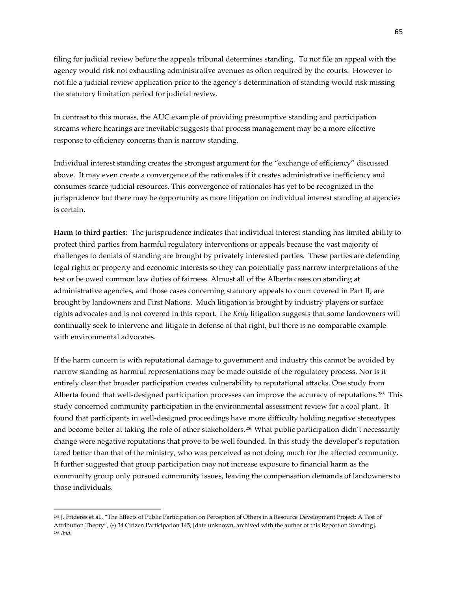filing for judicial review before the appeals tribunal determines standing. To not file an appeal with the agency would risk not exhausting administrative avenues as often required by the courts. However to not file a judicial review application prior to the agency's determination of standing would risk missing the statutory limitation period for judicial review.

In contrast to this morass, the AUC example of providing presumptive standing and participation streams where hearings are inevitable suggests that process management may be a more effective response to efficiency concerns than is narrow standing.

Individual interest standing creates the strongest argument for the "exchange of efficiency" discussed above. It may even create a convergence of the rationales if it creates administrative inefficiency and consumes scarce judicial resources. This convergence of rationales has yet to be recognized in the jurisprudence but there may be opportunity as more litigation on individual interest standing at agencies is certain.

**Harm to third parties**: The jurisprudence indicates that individual interest standing has limited ability to protect third parties from harmful regulatory interventions or appeals because the vast majority of challenges to denials of standing are brought by privately interested parties. These parties are defending legal rights or property and economic interests so they can potentially pass narrow interpretations of the test or be owed common law duties of fairness. Almost all of the Alberta cases on standing at administrative agencies, and those cases concerning statutory appeals to court covered in Part II, are brought by landowners and First Nations. Much litigation is brought by industry players or surface rights advocates and is not covered in this report. The *Kelly* litigation suggests that some landowners will continually seek to intervene and litigate in defense of that right, but there is no comparable example with environmental advocates.

If the harm concern is with reputational damage to government and industry this cannot be avoided by narrow standing as harmful representations may be made outside of the regulatory process. Nor is it entirely clear that broader participation creates vulnerability to reputational attacks. One study from Alberta found that well-designed participation processes can improve the accuracy of reputations.<sup>[285](#page-64-0)</sup> This study concerned community participation in the environmental assessment review for a coal plant. It found that participants in well-designed proceedings have more difficulty holding negative stereotypes and become better at taking the role of other stakeholders.<sup>[286](#page-64-1)</sup> What public participation didn't necessarily change were negative reputations that prove to be well founded. In this study the developer's reputation fared better than that of the ministry, who was perceived as not doing much for the affected community. It further suggested that group participation may not increase exposure to financial harm as the community group only pursued community issues, leaving the compensation demands of landowners to those individuals.

l

<span id="page-64-1"></span><span id="page-64-0"></span><sup>285</sup> J. Frideres et al., "The Effects of Public Participation on Perception of Others in a Resource Development Project: A Test of Attribution Theory", (-) 34 Citizen Participation 145, [date unknown, archived with the author of this Report on Standing]. <sup>286</sup> *Ibid.*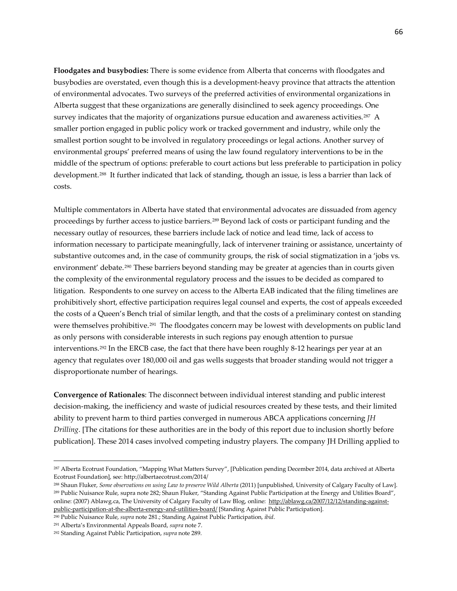**Floodgates and busybodies:** There is some evidence from Alberta that concerns with floodgates and busybodies are overstated, even though this is a development-heavy province that attracts the attention of environmental advocates. Two surveys of the preferred activities of environmental organizations in Alberta suggest that these organizations are generally disinclined to seek agency proceedings. One survey indicates that the majority of organizations pursue education and awareness activities.<sup>[287](#page-65-0)</sup> A smaller portion engaged in public policy work or tracked government and industry, while only the smallest portion sought to be involved in regulatory proceedings or legal actions. Another survey of environmental groups' preferred means of using the law found regulatory interventions to be in the middle of the spectrum of options: preferable to court actions but less preferable to participation in policy development.[288](#page-65-1) It further indicated that lack of standing, though an issue, is less a barrier than lack of costs.

Multiple commentators in Alberta have stated that environmental advocates are dissuaded from agency proceedings by further access to justice barriers.[289](#page-65-2) Beyond lack of costs or participant funding and the necessary outlay of resources, these barriers include lack of notice and lead time, lack of access to information necessary to participate meaningfully, lack of intervener training or assistance, uncertainty of substantive outcomes and, in the case of community groups, the risk of social stigmatization in a 'jobs vs. environment' debate.<sup>290</sup> These barriers beyond standing may be greater at agencies than in courts given the complexity of the environmental regulatory process and the issues to be decided as compared to litigation. Respondents to one survey on access to the Alberta EAB indicated that the filing timelines are prohibitively short, effective participation requires legal counsel and experts, the cost of appeals exceeded the costs of a Queen's Bench trial of similar length, and that the costs of a preliminary contest on standing were themselves prohibitive.<sup>[291](#page-65-4)</sup> The floodgates concern may be lowest with developments on public land as only persons with considerable interests in such regions pay enough attention to pursue interventions.[292](#page-65-5) In the ERCB case, the fact that there have been roughly 8-12 hearings per year at an agency that regulates over 180,000 oil and gas wells suggests that broader standing would not trigger a disproportionate number of hearings.

**Convergence of Rationales**: The disconnect between individual interest standing and public interest decision-making, the inefficiency and waste of judicial resources created by these tests, and their limited ability to prevent harm to third parties converged in numerous ABCA applications concerning *JH Drilling*. [The citations for these authorities are in the body of this report due to inclusion shortly before publication]. These 2014 cases involved competing industry players. The company JH Drilling applied to

<span id="page-65-0"></span><sup>287</sup> Alberta Ecotrust Foundation, "Mapping What Matters Survey", [Publication pending December 2014, data archived at Alberta Ecotrust Foundation], see: http://albertaecotrust.com/2014/

<span id="page-65-2"></span><span id="page-65-1"></span><sup>288</sup> Shaun Fluker, *Some observations on using Law to preserve Wild Alberta* (2011) [unpublished, University of Calgary Faculty of Law]. <sup>289</sup> Public Nuisance Rule, supra note 282; Shaun Fluker, "Standing Against Public Participation at the Energy and Utilities Board", online: (2007) Ablawg.ca, The University of Calgary Faculty of Law Blog, online: [http://ablawg.ca/2007/12/12/standing-against](http://ablawg.ca/2007/12/12/standing-against-public-participation-at-the-alberta-energy-and-utilities-board/)[public-participation-at-the-alberta-energy-and-utilities-board/](http://ablawg.ca/2007/12/12/standing-against-public-participation-at-the-alberta-energy-and-utilities-board/) [Standing Against Public Participation].

<span id="page-65-3"></span><sup>290</sup> Public Nuisance Rule, *supra* note 281.; Standing Against Public Participation, *ibid*.

<span id="page-65-4"></span><sup>291</sup> Alberta's Environmental Appeals Board, *supra* note 7.

<span id="page-65-5"></span><sup>292</sup> Standing Against Public Participation, *supra* note 289.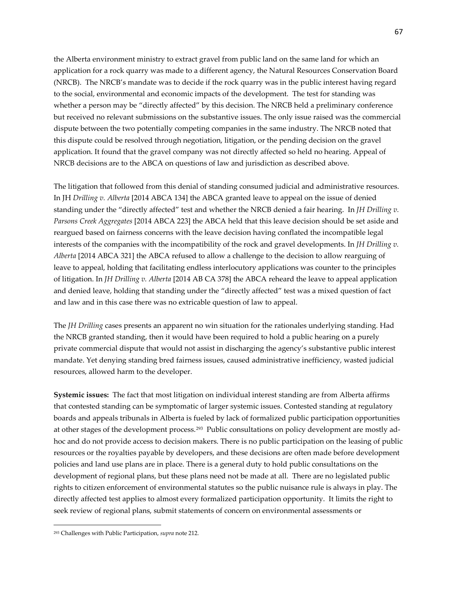the Alberta environment ministry to extract gravel from public land on the same land for which an application for a rock quarry was made to a different agency, the Natural Resources Conservation Board (NRCB). The NRCB's mandate was to decide if the rock quarry was in the public interest having regard to the social, environmental and economic impacts of the development. The test for standing was whether a person may be "directly affected" by this decision. The NRCB held a preliminary conference but received no relevant submissions on the substantive issues. The only issue raised was the commercial dispute between the two potentially competing companies in the same industry. The NRCB noted that this dispute could be resolved through negotiation, litigation, or the pending decision on the gravel application. It found that the gravel company was not directly affected so held no hearing. Appeal of NRCB decisions are to the ABCA on questions of law and jurisdiction as described above.

The litigation that followed from this denial of standing consumed judicial and administrative resources. In JH *Drilling v. Alberta* [2014 ABCA 134] the ABCA granted leave to appeal on the issue of denied standing under the "directly affected" test and whether the NRCB denied a fair hearing. In *JH Drilling v. Parsons Creek Aggregates* [2014 ABCA 223] the ABCA held that this leave decision should be set aside and reargued based on fairness concerns with the leave decision having conflated the incompatible legal interests of the companies with the incompatibility of the rock and gravel developments. In *JH Drilling v. Alberta* [2014 ABCA 321] the ABCA refused to allow a challenge to the decision to allow rearguing of leave to appeal, holding that facilitating endless interlocutory applications was counter to the principles of litigation. In *JH Drilling v. Alberta* [2014 AB CA 378] the ABCA reheard the leave to appeal application and denied leave, holding that standing under the "directly affected" test was a mixed question of fact and law and in this case there was no extricable question of law to appeal.

The *JH Drilling* cases presents an apparent no win situation for the rationales underlying standing. Had the NRCB granted standing, then it would have been required to hold a public hearing on a purely private commercial dispute that would not assist in discharging the agency's substantive public interest mandate. Yet denying standing bred fairness issues, caused administrative inefficiency, wasted judicial resources, allowed harm to the developer.

**Systemic issues:** The fact that most litigation on individual interest standing are from Alberta affirms that contested standing can be symptomatic of larger systemic issues. Contested standing at regulatory boards and appeals tribunals in Alberta is fueled by lack of formalized public participation opportunities at other stages of the development process.[293](#page-66-0) Public consultations on policy development are mostly adhoc and do not provide access to decision makers. There is no public participation on the leasing of public resources or the royalties payable by developers, and these decisions are often made before development policies and land use plans are in place. There is a general duty to hold public consultations on the development of regional plans, but these plans need not be made at all. There are no legislated public rights to citizen enforcement of environmental statutes so the public nuisance rule is always in play. The directly affected test applies to almost every formalized participation opportunity. It limits the right to seek review of regional plans, submit statements of concern on environmental assessments or

<span id="page-66-0"></span><sup>293</sup> Challenges with Public Participation, *supra* note 212.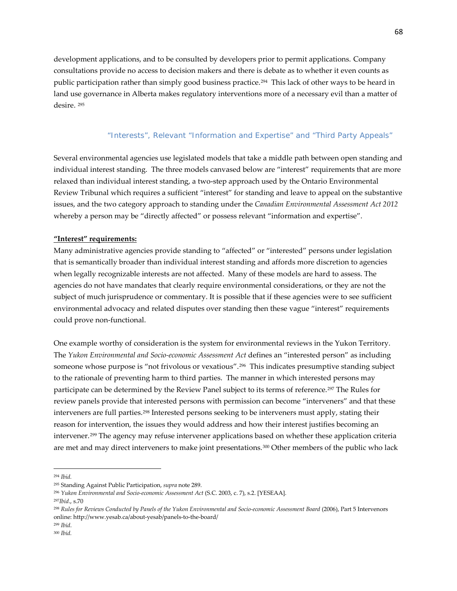development applications, and to be consulted by developers prior to permit applications. Company consultations provide no access to decision makers and there is debate as to whether it even counts as public participation rather than simply good business practice.[294](#page-67-0) This lack of other ways to be heard in land use governance in Alberta makes regulatory interventions more of a necessary evil than a matter of desire. [295](#page-67-1)

# *"Interests", Relevant "Information and Expertise" and "Third Party Appeals"*

Several environmental agencies use legislated models that take a middle path between open standing and individual interest standing. The three models canvased below are "interest" requirements that are more relaxed than individual interest standing, a two-step approach used by the Ontario Environmental Review Tribunal which requires a sufficient "interest" for standing and leave to appeal on the substantive issues, and the two category approach to standing under the *Canadian Environmental Assessment Act 2012* whereby a person may be "directly affected" or possess relevant "information and expertise".

### **"Interest" requirements:**

Many administrative agencies provide standing to "affected" or "interested" persons under legislation that is semantically broader than individual interest standing and affords more discretion to agencies when legally recognizable interests are not affected. Many of these models are hard to assess. The agencies do not have mandates that clearly require environmental considerations, or they are not the subject of much jurisprudence or commentary. It is possible that if these agencies were to see sufficient environmental advocacy and related disputes over standing then these vague "interest" requirements could prove non-functional.

One example worthy of consideration is the system for environmental reviews in the Yukon Territory. The *Yukon Environmental and Socio-economic Assessment Act* defines an "interested person" as including someone whose purpose is "not frivolous or vexatious".[296](#page-67-2) This indicates presumptive standing subject to the rationale of preventing harm to third parties. The manner in which interested persons may participate can be determined by the Review Panel subject to its terms of reference.[297](#page-67-3) The Rules for review panels provide that interested persons with permission can become "interveners" and that these interveners are full parties.[298](#page-67-4) Interested persons seeking to be interveners must apply, stating their reason for intervention, the issues they would address and how their interest justifies becoming an intervener.[299](#page-67-5) The agency may refuse intervener applications based on whether these application criteria are met and may direct interveners to make joint presentations.[300](#page-67-6) Other members of the public who lack

<span id="page-67-0"></span><sup>294</sup> *Ibid.*

<span id="page-67-1"></span><sup>295</sup> Standing Against Public Participation, *supra* note 289.

<span id="page-67-2"></span><sup>296</sup> *Yukon Environmental and Socio-economic Assessment Act* (S.C. 2003, c. 7), s.2. [YESEAA].

<span id="page-67-3"></span><sup>297</sup>*Ibid*., s.70

<span id="page-67-4"></span><sup>298</sup> *Rules for Reviews Conducted by Panels of the Yukon Environmental and Socio-economic Assessment Board* (2006), Part 5 Intervenors online: http://www.yesab.ca/about-yesab/panels-to-the-board/

<span id="page-67-5"></span><sup>299</sup> *Ibid*.

<span id="page-67-6"></span><sup>300</sup> *Ibid.*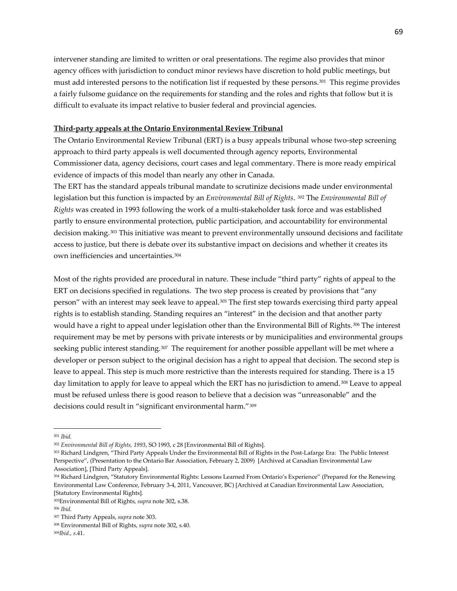intervener standing are limited to written or oral presentations. The regime also provides that minor agency offices with jurisdiction to conduct minor reviews have discretion to hold public meetings, but must add interested persons to the notification list if requested by these persons.[301](#page-68-0) This regime provides a fairly fulsome guidance on the requirements for standing and the roles and rights that follow but it is difficult to evaluate its impact relative to busier federal and provincial agencies.

#### **Third-party appeals at the Ontario Environmental Review Tribunal**

The Ontario Environmental Review Tribunal (ERT) is a busy appeals tribunal whose two-step screening approach to third party appeals is well documented through agency reports, Environmental Commissioner data, agency decisions, court cases and legal commentary. There is more ready empirical evidence of impacts of this model than nearly any other in Canada.

The ERT has the standard appeals tribunal mandate to scrutinize decisions made under environmental legislation but this function is impacted by an *Environmental Bill of Rights*. [302](#page-68-1) The *Environmental Bill of Rights* was created in 1993 following the work of a multi-stakeholder task force and was established partly to ensure environmental protection, public participation, and accountability for environmental decision making.[303](#page-68-2) This initiative was meant to prevent environmentally unsound decisions and facilitate access to justice, but there is debate over its substantive impact on decisions and whether it creates its own inefficiencies and uncertainties.[304](#page-68-3)

Most of the rights provided are procedural in nature. These include "third party" rights of appeal to the ERT on decisions specified in regulations. The two step process is created by provisions that "any person" with an interest may seek leave to appeal.[305](#page-68-4) The first step towards exercising third party appeal rights is to establish standing. Standing requires an "interest" in the decision and that another party would have a right to appeal under legislation other than the Environmental Bill of Rights.<sup>[306](#page-68-5)</sup> The interest requirement may be met by persons with private interests or by municipalities and environmental groups seeking public interest standing.<sup>307</sup> The requirement for another possible appellant will be met where a developer or person subject to the original decision has a right to appeal that decision. The second step is leave to appeal. This step is much more restrictive than the interests required for standing. There is a 15 day limitation to apply for leave to appeal which the ERT has no jurisdiction to amend.[308](#page-68-7) Leave to appeal must be refused unless there is good reason to believe that a decision was "unreasonable" and the decisions could result in "significant environmental harm."[309](#page-68-8) 

<span id="page-68-0"></span><sup>301</sup> *Ibid.*

<span id="page-68-1"></span><sup>302</sup> *[Environmental Bill of Rights, 1993](http://www.canlii.org/en/on/laws/stat/so-1993-c-28/latest/so-1993-c-28.html)*, SO 1993, c 28 [Environmental Bill of Rights].

<span id="page-68-2"></span><sup>303</sup> Richard Lindgren, "Third Party Appeals Under the Environmental Bill of Rights in the Post-Lafarge Era: The Public Interest Perspective", (Presentation to the Ontario Bar Association, February 2, 2009) [Archived at Canadian Environmental Law Association], [Third Party Appeals].

<span id="page-68-3"></span><sup>304</sup> Richard Lindgren, "Statutory Environmental Rights: Lessons Learned From Ontario's Experience" (Prepared for the Renewing Environmental Law Conference, February 3-4, 2011, Vancouver, BC) [Archived at Canadian Environmental Law Association, [Statutory Environmental Rights].

<span id="page-68-4"></span><sup>305</sup>Environmental Bill of Rights, *supra* note 302, s.38.

<span id="page-68-5"></span><sup>306</sup> *Ibid.*

<span id="page-68-6"></span><sup>307</sup> Third Party Appeals, *supra* note 303.

<span id="page-68-7"></span><sup>308</sup> Environmental Bill of Rights, *supra* note 302, s.40.

<span id="page-68-8"></span><sup>309</sup>*Ibid., s*.41.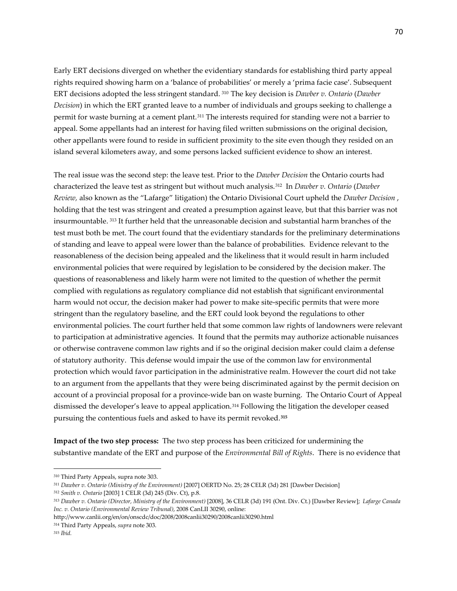Early ERT decisions diverged on whether the evidentiary standards for establishing third party appeal rights required showing harm on a 'balance of probabilities' or merely a 'prima facie case'. Subsequent ERT decisions adopted the less stringent standard. [310](#page-69-0) The key decision is *Dawber v. Ontario* (*Dawber Decision*) in which the ERT granted leave to a number of individuals and groups seeking to challenge a permit for waste burning at a cement plant.[311](#page-69-1) The interests required for standing were not a barrier to appeal. Some appellants had an interest for having filed written submissions on the original decision, other appellants were found to reside in sufficient proximity to the site even though they resided on an island several kilometers away, and some persons lacked sufficient evidence to show an interest.

The real issue was the second step: the leave test. Prior to the *Dawber Decision* the Ontario courts had characterized the leave test as stringent but without much analysis.[312](#page-69-2) In *Dawber v. Ontario* (*Dawber Review,* also known as the "Lafarge" litigation) the Ontario Divisional Court upheld the *Dawber Decision* , holding that the test was stringent and created a presumption against leave, but that this barrier was not insurmountable. [313](#page-69-3) It further held that the unreasonable decision and substantial harm branches of the test must both be met. The court found that the evidentiary standards for the preliminary determinations of standing and leave to appeal were lower than the balance of probabilities. Evidence relevant to the reasonableness of the decision being appealed and the likeliness that it would result in harm included environmental policies that were required by legislation to be considered by the decision maker. The questions of reasonableness and likely harm were not limited to the question of whether the permit complied with regulations as regulatory compliance did not establish that significant environmental harm would not occur, the decision maker had power to make site-specific permits that were more stringent than the regulatory baseline, and the ERT could look beyond the regulations to other environmental policies. The court further held that some common law rights of landowners were relevant to participation at administrative agencies. It found that the permits may authorize actionable nuisances or otherwise contravene common law rights and if so the original decision maker could claim a defense of statutory authority. This defense would impair the use of the common law for environmental protection which would favor participation in the administrative realm. However the court did not take to an argument from the appellants that they were being discriminated against by the permit decision on account of a provincial proposal for a province-wide ban on waste burning. The Ontario Court of Appeal dismissed the developer's leave to appeal application.[314](#page-69-4) Following the litigation the developer ceased pursuing the contentious fuels and asked to have its permit revoked.**[315](#page-69-5)**

**Impact of the two step process:** The two step process has been criticized for undermining the substantive mandate of the ERT and purpose of the *Environmental Bill of Rights*. There is no evidence that

<span id="page-69-0"></span><sup>310</sup> Third Party Appeals, supra note 303.

<span id="page-69-1"></span><sup>311</sup> *Dawber v. Ontario (Ministry of the Environment)* [2007] OERTD No. 25; 28 CELR (3d) 281 [Dawber Decision]

<span id="page-69-2"></span><sup>312</sup> *Smith v. Ontario* [2003] 1 CELR (3d) 245 (Div. Ct), p.8.

<span id="page-69-3"></span><sup>313</sup> *Dawber v. Ontario (Director, Ministry of the Environment)* [2008], 36 CELR (3d) 191 (Ont. Div. Ct.) [Dawber Review]; *Lafarge Canada Inc. v. Ontario (Environmental Review Tribunal)*, 2008 CanLII 30290, online:

http://www.canlii.org/en/on/onscdc/doc/2008/2008canlii30290/2008canlii30290.html

<span id="page-69-5"></span><span id="page-69-4"></span><sup>314</sup> Third Party Appeals, *supra* note 303.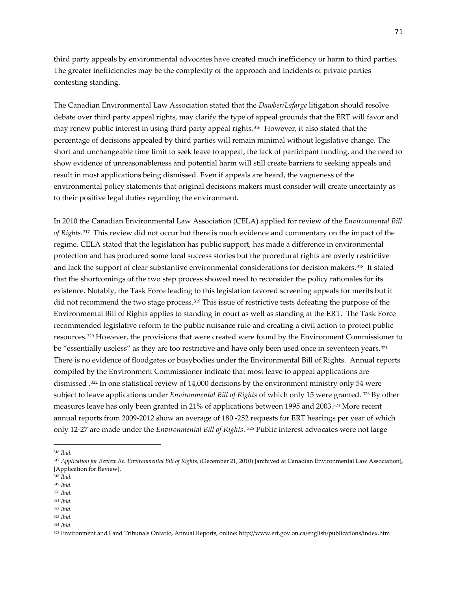third party appeals by environmental advocates have created much inefficiency or harm to third parties. The greater inefficiencies may be the complexity of the approach and incidents of private parties contesting standing.

The Canadian Environmental Law Association stated that the *Dawber/Lafarge* litigation should resolve debate over third party appeal rights, may clarify the type of appeal grounds that the ERT will favor and may renew public interest in using third party appeal rights.[316](#page-70-0) However, it also stated that the percentage of decisions appealed by third parties will remain minimal without legislative change. The short and unchangeable time limit to seek leave to appeal, the lack of participant funding, and the need to show evidence of unreasonableness and potential harm will still create barriers to seeking appeals and result in most applications being dismissed. Even if appeals are heard, the vagueness of the environmental policy statements that original decisions makers must consider will create uncertainty as to their positive legal duties regarding the environment.

In 2010 the Canadian Environmental Law Association (CELA) applied for review of the *Environmental Bill of Rights.*[317](#page-70-1) This review did not occur but there is much evidence and commentary on the impact of the regime. CELA stated that the legislation has public support, has made a difference in environmental protection and has produced some local success stories but the procedural rights are overly restrictive and lack the support of clear substantive environmental considerations for decision makers.[318](#page-70-2) It stated that the shortcomings of the two step process showed need to reconsider the policy rationales for its existence. Notably, the Task Force leading to this legislation favored screening appeals for merits but it did not recommend the two stage process.[319](#page-70-3) This issue of restrictive tests defeating the purpose of the Environmental Bill of Rights applies to standing in court as well as standing at the ERT. The Task Force recommended legislative reform to the public nuisance rule and creating a civil action to protect public resources.[320](#page-70-4) However, the provisions that were created were found by the Environment Commissioner to be "essentially useless" as they are too restrictive and have only been used once in seventeen years.<sup>[321](#page-70-5)</sup> There is no evidence of floodgates or busybodies under the Environmental Bill of Rights. Annual reports compiled by the Environment Commissioner indicate that most leave to appeal applications are dismissed .[322](#page-70-6) In one statistical review of 14,000 decisions by the environment ministry only 54 were subject to leave applications under *Environmental Bill of Rights* of which only 15 were granted. [323](#page-70-7) By other measures leave has only been granted in 21% of applications between 1995 and 2003.[324](#page-70-8) More recent annual reports from 2009-2012 show an average of 180 -252 requests for ERT hearings per year of which only 12-27 are made under the *Environmental Bill of Rights*. [325](#page-70-9) Public interest advocates were not large

l

<span id="page-70-0"></span><sup>316</sup> *Ibid.*

<span id="page-70-1"></span><sup>317</sup> *Application for Review Re. Environmental Bill of Rights*, (December 21, 2010) [archived at Canadian Environmental Law Association], [Application for Review].

<span id="page-70-2"></span><sup>318</sup> *Ibid.*

<span id="page-70-3"></span><sup>319</sup> *Ibid.*

<span id="page-70-4"></span><sup>320</sup> *Ibid.*

<span id="page-70-5"></span><sup>321</sup> *Ibid.* <sup>322</sup> *Ibid.*

<span id="page-70-7"></span><span id="page-70-6"></span><sup>323</sup> *Ibid.*

<span id="page-70-8"></span><sup>324</sup> *Ibid.*

<span id="page-70-9"></span><sup>325</sup> Environment and Land Tribunals Ontario, Annual Reports, online: http://www.ert.gov.on.ca/english/publications/index.htm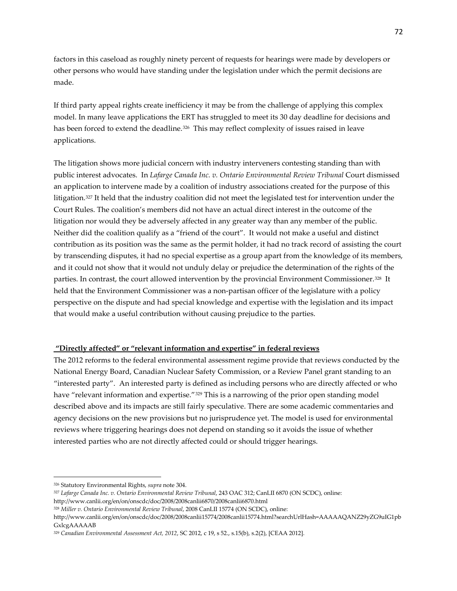factors in this caseload as roughly ninety percent of requests for hearings were made by developers or other persons who would have standing under the legislation under which the permit decisions are made.

If third party appeal rights create inefficiency it may be from the challenge of applying this complex model. In many leave applications the ERT has struggled to meet its 30 day deadline for decisions and has been forced to extend the deadline.<sup>[326](#page-71-0)</sup> This may reflect complexity of issues raised in leave applications.

The litigation shows more judicial concern with industry interveners contesting standing than with public interest advocates. In *Lafarge Canada Inc. v. Ontario Environmental Review Tribunal* Court dismissed an application to intervene made by a coalition of industry associations created for the purpose of this litigation.[327](#page-71-1) It held that the industry coalition did not meet the legislated test for intervention under the Court Rules. The coalition's members did not have an actual direct interest in the outcome of the litigation nor would they be adversely affected in any greater way than any member of the public. Neither did the coalition qualify as a "friend of the court". It would not make a useful and distinct contribution as its position was the same as the permit holder, it had no track record of assisting the court by transcending disputes, it had no special expertise as a group apart from the knowledge of its members, and it could not show that it would not unduly delay or prejudice the determination of the rights of the parties. In contrast, the court allowed intervention by the provincial Environment Commissioner.[328](#page-71-2) It held that the Environment Commissioner was a non-partisan officer of the legislature with a policy perspective on the dispute and had special knowledge and expertise with the legislation and its impact that would make a useful contribution without causing prejudice to the parties.

# **"Directly affected" or "relevant information and expertise" in federal reviews**

The 2012 reforms to the federal environmental assessment regime provide that reviews conducted by the National Energy Board, Canadian Nuclear Safety Commission, or a Review Panel grant standing to an "interested party". An interested party is defined as including persons who are directly affected or who have "relevant information and expertise."<sup>[329](#page-71-3)</sup> This is a narrowing of the prior open standing model described above and its impacts are still fairly speculative. There are some academic commentaries and agency decisions on the new provisions but no jurisprudence yet. The model is used for environmental reviews where triggering hearings does not depend on standing so it avoids the issue of whether interested parties who are not directly affected could or should trigger hearings.

<span id="page-71-0"></span><sup>326</sup> Statutory Environmental Rights, *supra* note 304.

<span id="page-71-1"></span><sup>327</sup> *Lafarge Canada Inc. v. Ontario Environmental Review Tribunal*, 243 OAC 312; CanLII 6870 (ON SCDC), online: http://www.canlii.org/en/on/onscdc/doc/2008/2008canlii6870/2008canlii6870.html

<span id="page-71-2"></span><sup>328</sup> *Miller v. Ontario Environmental Review Tribunal*, 2008 CanLII 15774 (ON SCDC), online:

http://www.canlii.org/en/on/onscdc/doc/2008/2008canlii15774/2008canlii15774.html?searchUrlHash=AAAAAQANZ29yZG9uIG1pb GxlcgAAAAAB

<span id="page-71-3"></span><sup>329</sup> *[Canadian Environmental Assessment Act, 2012](http://www.canlii.org/en/ca/laws/stat/sc-2012-c-19-s-52/latest/sc-2012-c-19-s-52.html)*, SC 2012, c 19, s 52., s.15(b), s.2(2), [CEAA 2012].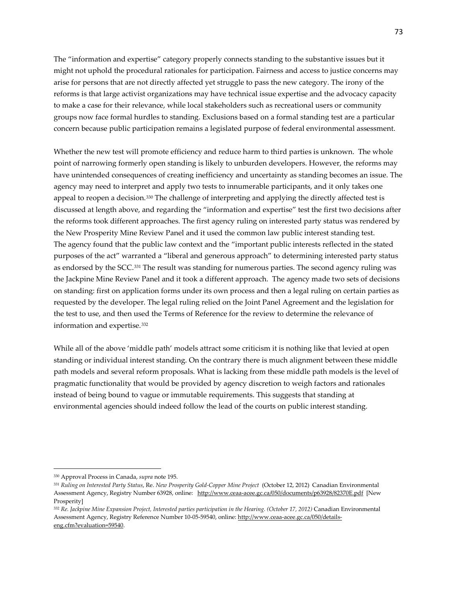The "information and expertise" category properly connects standing to the substantive issues but it might not uphold the procedural rationales for participation. Fairness and access to justice concerns may arise for persons that are not directly affected yet struggle to pass the new category. The irony of the reforms is that large activist organizations may have technical issue expertise and the advocacy capacity to make a case for their relevance, while local stakeholders such as recreational users or community groups now face formal hurdles to standing. Exclusions based on a formal standing test are a particular concern because public participation remains a legislated purpose of federal environmental assessment.

Whether the new test will promote efficiency and reduce harm to third parties is unknown. The whole point of narrowing formerly open standing is likely to unburden developers. However, the reforms may have unintended consequences of creating inefficiency and uncertainty as standing becomes an issue. The agency may need to interpret and apply two tests to innumerable participants, and it only takes one appeal to reopen a decision.<sup>[330](#page-72-0)</sup> The challenge of interpreting and applying the directly affected test is discussed at length above, and regarding the "information and expertise" test the first two decisions after the reforms took different approaches. The first agency ruling on interested party status was rendered by the New Prosperity Mine Review Panel and it used the common law public interest standing test. The agency found that the public law context and the "important public interests reflected in the stated purposes of the act" warranted a "liberal and generous approach" to determining interested party status as endorsed by the SCC.[331](#page-72-1) The result was standing for numerous parties. The second agency ruling was the Jackpine Mine Review Panel and it took a different approach. The agency made two sets of decisions on standing: first on application forms under its own process and then a legal ruling on certain parties as requested by the developer. The legal ruling relied on the Joint Panel Agreement and the legislation for the test to use, and then used the Terms of Reference for the review to determine the relevance of information and expertise.[332](#page-72-2)

While all of the above 'middle path' models attract some criticism it is nothing like that levied at open standing or individual interest standing. On the contrary there is much alignment between these middle path models and several reform proposals. What is lacking from these middle path models is the level of pragmatic functionality that would be provided by agency discretion to weigh factors and rationales instead of being bound to vague or immutable requirements. This suggests that standing at environmental agencies should indeed follow the lead of the courts on public interest standing.

<span id="page-72-0"></span><sup>330</sup> Approval Process in Canada, *supra* note 195.

<span id="page-72-1"></span><sup>331</sup> *Ruling on Interested Party Status*, Re. *New Prosperity Gold-Copper Mine Project* (October 12, 2012) Canadian Environmental Assessment Agency, Registry Number 63928, online: <http://www.ceaa-acee.gc.ca/050/documents/p63928/82370E.pdf>[New **Prosperity** 

<span id="page-72-2"></span><sup>332</sup> *Re. Jackpine Mine Expansion Project, Interested parties participation in the Hearing. (October 17, 2012)* Canadian Environmental Assessment Agency, Registry Reference Number 10-05-59540, online[: http://www.ceaa-acee.gc.ca/050/details](http://www.ceaa-acee.gc.ca/050/details-eng.cfm?evaluation=59540)[eng.cfm?evaluation=59540.](http://www.ceaa-acee.gc.ca/050/details-eng.cfm?evaluation=59540)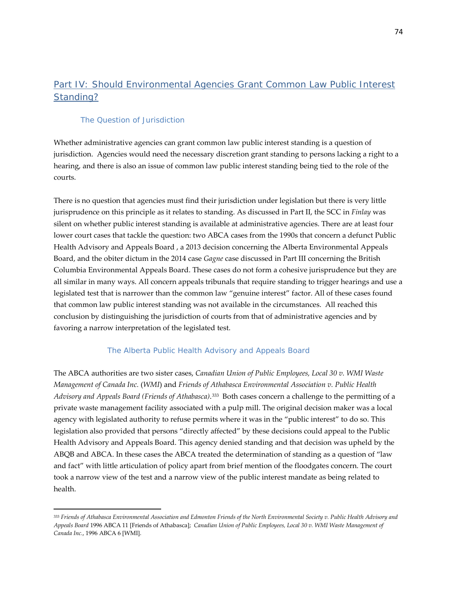# Part IV: Should Environmental Agencies Grant Common Law Public Interest Standing?

## The Question of Jurisdiction

l

Whether administrative agencies can grant common law public interest standing is a question of jurisdiction. Agencies would need the necessary discretion grant standing to persons lacking a right to a hearing, and there is also an issue of common law public interest standing being tied to the role of the courts.

There is no question that agencies must find their jurisdiction under legislation but there is very little jurisprudence on this principle as it relates to standing. As discussed in Part II, the SCC in *Finlay* was silent on whether public interest standing is available at administrative agencies. There are at least four lower court cases that tackle the question: two ABCA cases from the 1990s that concern a defunct Public Health Advisory and Appeals Board , a 2013 decision concerning the Alberta Environmental Appeals Board, and the obiter dictum in the 2014 case *Gagne* case discussed in Part III concerning the British Columbia Environmental Appeals Board. These cases do not form a cohesive jurisprudence but they are all similar in many ways. All concern appeals tribunals that require standing to trigger hearings and use a legislated test that is narrower than the common law "genuine interest" factor. All of these cases found that common law public interest standing was not available in the circumstances. All reached this conclusion by distinguishing the jurisdiction of courts from that of administrative agencies and by favoring a narrow interpretation of the legislated test.

## *The Alberta Public Health Advisory and Appeals Board*

The ABCA authorities are two sister cases, *Canadian Union of Public Employees, Local 30 v. WMI Waste Management of Canada Inc.* (*WMI*) and *Friends of Athabasca Environmental Association v. Public Health Advisory and Appeals Board (Friends of Athabasca)*.[333](#page-73-0) Both cases concern a challenge to the permitting of a private waste management facility associated with a pulp mill. The original decision maker was a local agency with legislated authority to refuse permits where it was in the "public interest" to do so. This legislation also provided that persons "directly affected" by these decisions could appeal to the Public Health Advisory and Appeals Board. This agency denied standing and that decision was upheld by the ABQB and ABCA. In these cases the ABCA treated the determination of standing as a question of "law and fact" with little articulation of policy apart from brief mention of the floodgates concern. The court took a narrow view of the test and a narrow view of the public interest mandate as being related to health.

<span id="page-73-0"></span><sup>333</sup> *Friends of Athabasca Environmental Association and Edmonton Friends of the North Environmental Society v. Public Health Advisory and Appeals Board* 1996 ABCA 11 [Friends of Athabasca]; *Canadian Union of Public Employees, Local 30 v. WMI Waste Management of Canada Inc.*, 1996 ABCA 6 [WMI].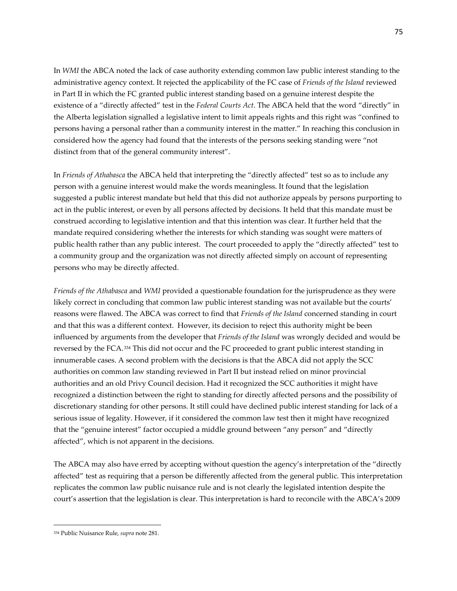In *WMI* the ABCA noted the lack of case authority extending common law public interest standing to the administrative agency context. It rejected the applicability of the FC case of *Friends of the Island* reviewed in Part II in which the FC granted public interest standing based on a genuine interest despite the existence of a "directly affected" test in the *Federal Courts Act*. The ABCA held that the word "directly" in the Alberta legislation signalled a legislative intent to limit appeals rights and this right was "confined to persons having a personal rather than a community interest in the matter." In reaching this conclusion in considered how the agency had found that the interests of the persons seeking standing were "not distinct from that of the general community interest".

In *Friends of Athabasca* the ABCA held that interpreting the "directly affected" test so as to include any person with a genuine interest would make the words meaningless. It found that the legislation suggested a public interest mandate but held that this did not authorize appeals by persons purporting to act in the public interest, or even by all persons affected by decisions. It held that this mandate must be construed according to legislative intention and that this intention was clear. It further held that the mandate required considering whether the interests for which standing was sought were matters of public health rather than any public interest. The court proceeded to apply the "directly affected" test to a community group and the organization was not directly affected simply on account of representing persons who may be directly affected.

*Friends of the Athabasca* and *WMI* provided a questionable foundation for the jurisprudence as they were likely correct in concluding that common law public interest standing was not available but the courts' reasons were flawed. The ABCA was correct to find that *Friends of the Island* concerned standing in court and that this was a different context. However, its decision to reject this authority might be been influenced by arguments from the developer that *Friends of the Island* was wrongly decided and would be reversed by the FCA.[334](#page-74-0) This did not occur and the FC proceeded to grant public interest standing in innumerable cases. A second problem with the decisions is that the ABCA did not apply the SCC authorities on common law standing reviewed in Part II but instead relied on minor provincial authorities and an old Privy Council decision. Had it recognized the SCC authorities it might have recognized a distinction between the right to standing for directly affected persons and the possibility of discretionary standing for other persons. It still could have declined public interest standing for lack of a serious issue of legality. However, if it considered the common law test then it might have recognized that the "genuine interest" factor occupied a middle ground between "any person" and "directly affected", which is not apparent in the decisions.

The ABCA may also have erred by accepting without question the agency's interpretation of the "directly affected" test as requiring that a person be differently affected from the general public. This interpretation replicates the common law public nuisance rule and is not clearly the legislated intention despite the court's assertion that the legislation is clear. This interpretation is hard to reconcile with the ABCA's 2009

<span id="page-74-0"></span><sup>334</sup> Public Nuisance Rule, *supra* note 281.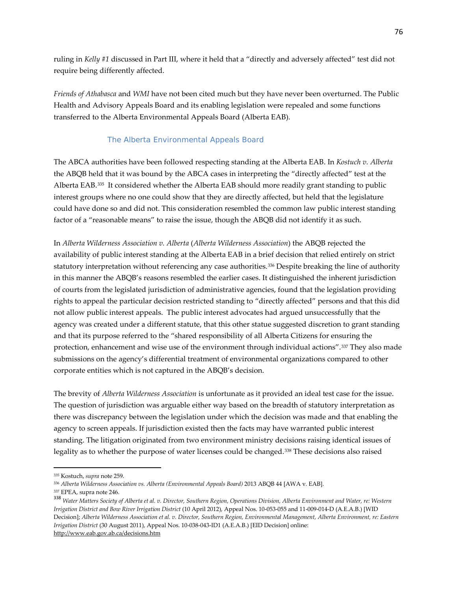ruling in *Kelly #1* discussed in Part III, where it held that a "directly and adversely affected" test did not require being differently affected.

*Friends of Athabasca* and *WMI* have not been cited much but they have never been overturned. The Public Health and Advisory Appeals Board and its enabling legislation were repealed and some functions transferred to the Alberta Environmental Appeals Board (Alberta EAB).

## *The Alberta Environmental Appeals Board*

The ABCA authorities have been followed respecting standing at the Alberta EAB. In *Kostuch v. Alberta* the ABQB held that it was bound by the ABCA cases in interpreting the "directly affected" test at the Alberta EAB.[335](#page-75-0) It considered whether the Alberta EAB should more readily grant standing to public interest groups where no one could show that they are directly affected, but held that the legislature could have done so and did not. This consideration resembled the common law public interest standing factor of a "reasonable means" to raise the issue, though the ABQB did not identify it as such.

In *Alberta Wilderness Association v. Alberta* (*Alberta Wilderness Association*) the ABQB rejected the availability of public interest standing at the Alberta EAB in a brief decision that relied entirely on strict statutory interpretation without referencing any case authorities.<sup>[336](#page-75-1)</sup> Despite breaking the line of authority in this manner the ABQB's reasons resembled the earlier cases. It distinguished the inherent jurisdiction of courts from the legislated jurisdiction of administrative agencies, found that the legislation providing rights to appeal the particular decision restricted standing to "directly affected" persons and that this did not allow public interest appeals. The public interest advocates had argued unsuccessfully that the agency was created under a different statute, that this other statue suggested discretion to grant standing and that its purpose referred to the "shared responsibility of all Alberta Citizens for ensuring the protection, enhancement and wise use of the environment through individual actions".[337](#page-75-2) They also made submissions on the agency's differential treatment of environmental organizations compared to other corporate entities which is not captured in the ABQB's decision.

The brevity of *Alberta Wilderness Association* is unfortunate as it provided an ideal test case for the issue. The question of jurisdiction was arguable either way based on the breadth of statutory interpretation as there was discrepancy between the legislation under which the decision was made and that enabling the agency to screen appeals. If jurisdiction existed then the facts may have warranted public interest standing. The litigation originated from two environment ministry decisions raising identical issues of legality as to whether the purpose of water licenses could be changed.[338](#page-75-3) These decisions also raised

<span id="page-75-0"></span><sup>335</sup> Kostuch, *supra* note 259.

<span id="page-75-1"></span><sup>336</sup> *Alberta Wilderness Association vs. Alberta (Environmental Appeals Board)* 2013 ABQB 44 [AWA v. EAB].

<sup>337</sup> EPEA, supra note 246.

<span id="page-75-3"></span><span id="page-75-2"></span><sup>338</sup> *Water Matters Society of Alberta et al. v. Director, Southern Region, Operations Division, Alberta Environment and Water, re: Western Irrigation District and Bow River Irrigation District* (10 April 2012), Appeal Nos. 10-053-055 and 11-009-014-D (A.E.A.B.) [WID Decision]; *Alberta Wilderness Association et al. v. Director, Southern Region, Environmental Management, Alberta Environment, re: Eastern Irrigation District* (30 August 2011), Appeal Nos. 10-038-043-ID1 (A.E.A.B.) [EID Decision] online: <http://www.eab.gov.ab.ca/decisions.htm>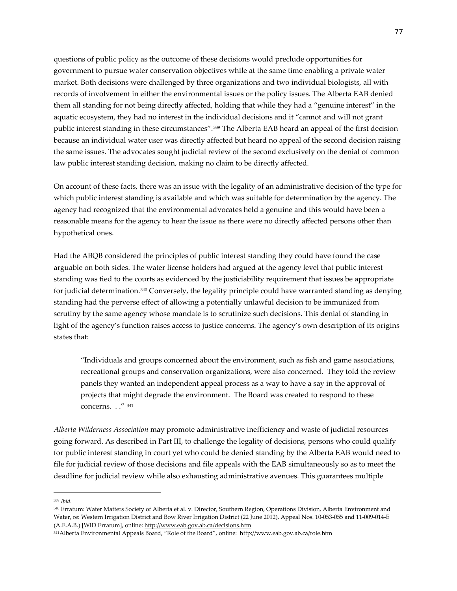questions of public policy as the outcome of these decisions would preclude opportunities for government to pursue water conservation objectives while at the same time enabling a private water market. Both decisions were challenged by three organizations and two individual biologists, all with records of involvement in either the environmental issues or the policy issues. The Alberta EAB denied them all standing for not being directly affected, holding that while they had a "genuine interest" in the aquatic ecosystem, they had no interest in the individual decisions and it "cannot and will not grant public interest standing in these circumstances".[339](#page-76-0) The Alberta EAB heard an appeal of the first decision because an individual water user was directly affected but heard no appeal of the second decision raising the same issues. The advocates sought judicial review of the second exclusively on the denial of common law public interest standing decision, making no claim to be directly affected.

On account of these facts, there was an issue with the legality of an administrative decision of the type for which public interest standing is available and which was suitable for determination by the agency. The agency had recognized that the environmental advocates held a genuine and this would have been a reasonable means for the agency to hear the issue as there were no directly affected persons other than hypothetical ones.

Had the ABQB considered the principles of public interest standing they could have found the case arguable on both sides. The water license holders had argued at the agency level that public interest standing was tied to the courts as evidenced by the justiciability requirement that issues be appropriate for judicial determination.[340](#page-76-1) Conversely, the legality principle could have warranted standing as denying standing had the perverse effect of allowing a potentially unlawful decision to be immunized from scrutiny by the same agency whose mandate is to scrutinize such decisions. This denial of standing in light of the agency's function raises access to justice concerns. The agency's own description of its origins states that:

"Individuals and groups concerned about the environment, such as fish and game associations, recreational groups and conservation organizations, were also concerned. They told the review panels they wanted an independent appeal process as a way to have a say in the approval of projects that might degrade the environment. The Board was created to respond to these concerns. . ." [341](#page-76-2)

*Alberta Wilderness Association* may promote administrative inefficiency and waste of judicial resources going forward. As described in Part III, to challenge the legality of decisions, persons who could qualify for public interest standing in court yet who could be denied standing by the Alberta EAB would need to file for judicial review of those decisions and file appeals with the EAB simultaneously so as to meet the deadline for judicial review while also exhausting administrative avenues. This guarantees multiple

<span id="page-76-0"></span><sup>339</sup> *Ibid.*

<span id="page-76-1"></span><sup>340</sup> Erratum: Water Matters Society of Alberta et al. v. Director, Southern Region, Operations Division, Alberta Environment and Water, re: Western Irrigation District and Bow River Irrigation District (22 June 2012), Appeal Nos. 10-053-055 and 11-009-014-E (A.E.A.B.) [WID Erratum], online[: http://www.eab.gov.ab.ca/decisions.htm](http://www.eab.gov.ab.ca/decisions.htm)

<span id="page-76-2"></span><sup>341</sup>Alberta Environmental Appeals Board, "Role of the Board", online: http://www.eab.gov.ab.ca/role.htm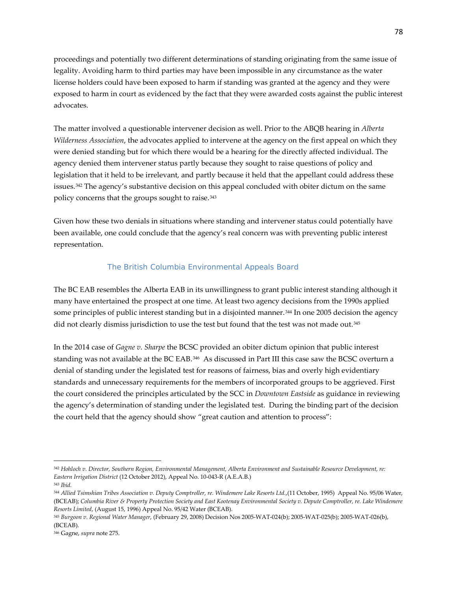proceedings and potentially two different determinations of standing originating from the same issue of legality. Avoiding harm to third parties may have been impossible in any circumstance as the water license holders could have been exposed to harm if standing was granted at the agency and they were exposed to harm in court as evidenced by the fact that they were awarded costs against the public interest advocates.

The matter involved a questionable intervener decision as well. Prior to the ABQB hearing in *Alberta Wilderness Association*, the advocates applied to intervene at the agency on the first appeal on which they were denied standing but for which there would be a hearing for the directly affected individual. The agency denied them intervener status partly because they sought to raise questions of policy and legislation that it held to be irrelevant, and partly because it held that the appellant could address these issues.[342](#page-77-0) The agency's substantive decision on this appeal concluded with obiter dictum on the same policy concerns that the groups sought to raise.[343](#page-77-1)

Given how these two denials in situations where standing and intervener status could potentially have been available, one could conclude that the agency's real concern was with preventing public interest representation.

## *The British Columbia Environmental Appeals Board*

The BC EAB resembles the Alberta EAB in its unwillingness to grant public interest standing although it many have entertained the prospect at one time. At least two agency decisions from the 1990s applied some principles of public interest standing but in a disjointed manner.<sup>[344](#page-77-2)</sup> In one 2005 decision the agency did not clearly dismiss jurisdiction to use the test but found that the test was not made out.<sup>345</sup>

In the 2014 case of *Gagne v. Sharpe* the BCSC provided an obiter dictum opinion that public interest standing was not available at the BC EAB.[346](#page-77-4) As discussed in Part III this case saw the BCSC overturn a denial of standing under the legislated test for reasons of fairness, bias and overly high evidentiary standards and unnecessary requirements for the members of incorporated groups to be aggrieved. First the court considered the principles articulated by the SCC in *Downtown Eastside* as guidance in reviewing the agency's determination of standing under the legislated test. During the binding part of the decision the court held that the agency should show "great caution and attention to process":

<span id="page-77-0"></span><sup>342</sup> *Hohloch v. Director, Southern Region, Environmental Management, Alberta Environment and Sustainable Resource Development, re: Eastern Irrigation District* (12 October 2012), Appeal No. 10-043-R (A.E.A.B.)

<span id="page-77-1"></span><sup>343</sup> *Ibid.*

<span id="page-77-2"></span><sup>344</sup> *Allied Tsimshian Tribes Association v. Deputy Comptroller, re. Windemere Lake Resorts Ltd.*,(11 October, 1995) Appeal No. 95/06 Water, (BCEAB); *Columbia River & Property Protection Society and East Kootenay Environmental Society v. Depute Comptroller, re. Lake Windemere Resorts Limited*, (August 15, 1996) Appeal No. 95/42 Water (BCEAB).

<span id="page-77-3"></span><sup>345</sup> *Burgoon v. Regional Water Manager*, (February 29, 2008) Decision Nos 2005-WAT-024(b); 2005-WAT-025(b); 2005-WAT-026(b), (BCEAB).

<span id="page-77-4"></span><sup>346</sup> Gagne, *supra* note 275.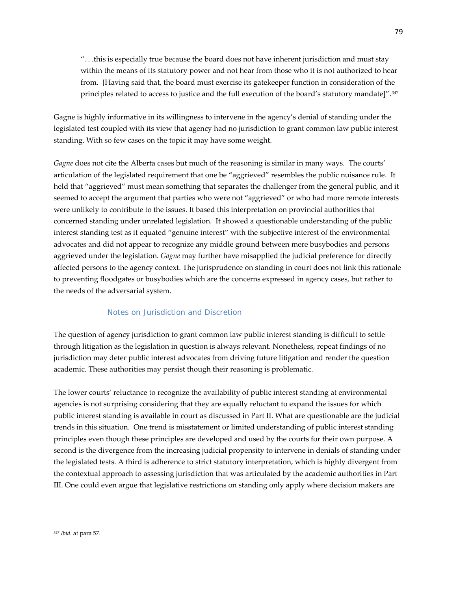". . .this is especially true because the board does not have inherent jurisdiction and must stay within the means of its statutory power and not hear from those who it is not authorized to hear from. [Having said that, the board must exercise its gatekeeper function in consideration of the principles related to access to justice and the full execution of the board's statutory mandate]".[347](#page-78-0)

Gagne is highly informative in its willingness to intervene in the agency's denial of standing under the legislated test coupled with its view that agency had no jurisdiction to grant common law public interest standing. With so few cases on the topic it may have some weight.

*Gagne* does not cite the Alberta cases but much of the reasoning is similar in many ways. The courts' articulation of the legislated requirement that one be "aggrieved" resembles the public nuisance rule. It held that "aggrieved" must mean something that separates the challenger from the general public, and it seemed to accept the argument that parties who were not "aggrieved" or who had more remote interests were unlikely to contribute to the issues. It based this interpretation on provincial authorities that concerned standing under unrelated legislation. It showed a questionable understanding of the public interest standing test as it equated "genuine interest" with the subjective interest of the environmental advocates and did not appear to recognize any middle ground between mere busybodies and persons aggrieved under the legislation. *Gagne* may further have misapplied the judicial preference for directly affected persons to the agency context. The jurisprudence on standing in court does not link this rationale to preventing floodgates or busybodies which are the concerns expressed in agency cases, but rather to the needs of the adversarial system.

## *Notes on Jurisdiction and Discretion*

The question of agency jurisdiction to grant common law public interest standing is difficult to settle through litigation as the legislation in question is always relevant. Nonetheless, repeat findings of no jurisdiction may deter public interest advocates from driving future litigation and render the question academic. These authorities may persist though their reasoning is problematic.

The lower courts' reluctance to recognize the availability of public interest standing at environmental agencies is not surprising considering that they are equally reluctant to expand the issues for which public interest standing is available in court as discussed in Part II. What are questionable are the judicial trends in this situation. One trend is misstatement or limited understanding of public interest standing principles even though these principles are developed and used by the courts for their own purpose. A second is the divergence from the increasing judicial propensity to intervene in denials of standing under the legislated tests. A third is adherence to strict statutory interpretation, which is highly divergent from the contextual approach to assessing jurisdiction that was articulated by the academic authorities in Part III. One could even argue that legislative restrictions on standing only apply where decision makers are

<span id="page-78-0"></span><sup>347</sup> *Ibid*. at para 57.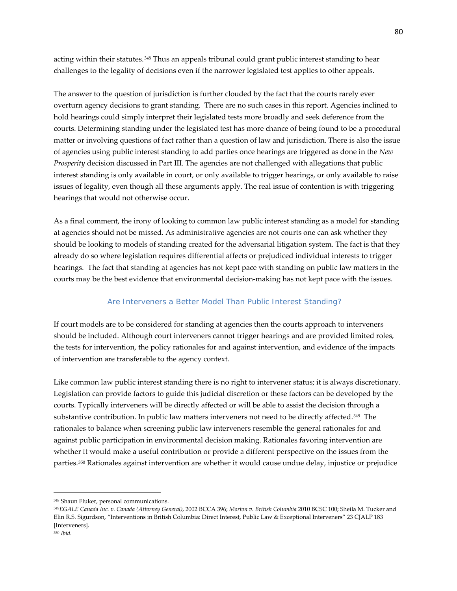acting within their statutes. [348](#page-79-0) Thus an appeals tribunal could grant public interest standing to hear challenges to the legality of decisions even if the narrower legislated test applies to other appeals.

The answer to the question of jurisdiction is further clouded by the fact that the courts rarely ever overturn agency decisions to grant standing. There are no such cases in this report. Agencies inclined to hold hearings could simply interpret their legislated tests more broadly and seek deference from the courts. Determining standing under the legislated test has more chance of being found to be a procedural matter or involving questions of fact rather than a question of law and jurisdiction. There is also the issue of agencies using public interest standing to add parties once hearings are triggered as done in the *New Prosperity* decision discussed in Part III. The agencies are not challenged with allegations that public interest standing is only available in court, or only available to trigger hearings, or only available to raise issues of legality, even though all these arguments apply. The real issue of contention is with triggering hearings that would not otherwise occur.

As a final comment, the irony of looking to common law public interest standing as a model for standing at agencies should not be missed. As administrative agencies are not courts one can ask whether they should be looking to models of standing created for the adversarial litigation system. The fact is that they already do so where legislation requires differential affects or prejudiced individual interests to trigger hearings. The fact that standing at agencies has not kept pace with standing on public law matters in the courts may be the best evidence that environmental decision-making has not kept pace with the issues.

## *Are Interveners a Better Model Than Public Interest Standing?*

If court models are to be considered for standing at agencies then the courts approach to interveners should be included. Although court interveners cannot trigger hearings and are provided limited roles, the tests for intervention, the policy rationales for and against intervention, and evidence of the impacts of intervention are transferable to the agency context.

Like common law public interest standing there is no right to intervener status; it is always discretionary. Legislation can provide factors to guide this judicial discretion or these factors can be developed by the courts. Typically interveners will be directly affected or will be able to assist the decision through a substantive contribution. In public law matters interveners not need to be directly affected.[349](#page-79-1) The rationales to balance when screening public law interveners resemble the general rationales for and against public participation in environmental decision making. Rationales favoring intervention are whether it would make a useful contribution or provide a different perspective on the issues from the parties.[350](#page-79-2) Rationales against intervention are whether it would cause undue delay, injustice or prejudice

<span id="page-79-0"></span><sup>348</sup> Shaun Fluker, personal communications.

<span id="page-79-1"></span><sup>349</sup>*EGALE Canada Inc. v. Canada (Attorney General)*, 2002 BCCA 396; *Morton v. British Columbia* 2010 BCSC 100; Sheila M. Tucker and Elin R.S. Sigurdson, "Interventions in British Columbia: Direct Interest, Public Law & Exceptional Interveners" 23 CJALP 183 [Interveners].

<span id="page-79-2"></span><sup>350</sup> *Ibid.*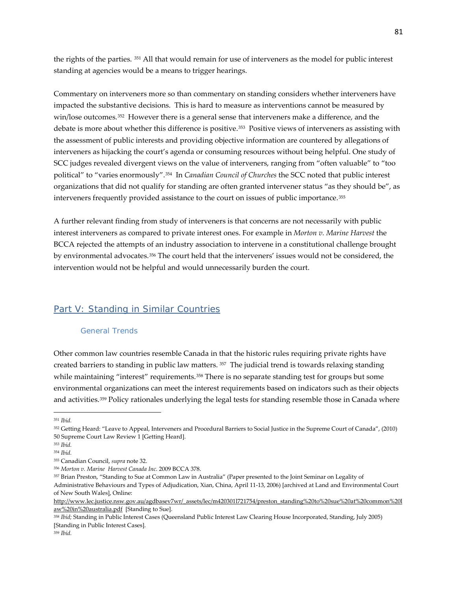the rights of the parties. [351](#page-80-0) All that would remain for use of interveners as the model for public interest standing at agencies would be a means to trigger hearings.

Commentary on interveners more so than commentary on standing considers whether interveners have impacted the substantive decisions. This is hard to measure as interventions cannot be measured by win/lose outcomes.<sup>352</sup> However there is a general sense that interveners make a difference, and the debate is more about whether this difference is positive.[353](#page-80-2) Positive views of interveners as assisting with the assessment of public interests and providing objective information are countered by allegations of interveners as hijacking the court's agenda or consuming resources without being helpful. One study of SCC judges revealed divergent views on the value of interveners, ranging from "often valuable" to "too political" to "varies enormously".[354](#page-80-3) In *Canadian Council of Churches* the SCC noted that public interest organizations that did not qualify for standing are often granted intervener status "as they should be", as interveners frequently provided assistance to the court on issues of public importance.[355](#page-80-4) 

A further relevant finding from study of interveners is that concerns are not necessarily with public interest interveners as compared to private interest ones. For example in *Morton v. Marine Harvest* the BCCA rejected the attempts of an industry association to intervene in a constitutional challenge brought by environmental advocates.[356](#page-80-5) The court held that the interveners' issues would not be considered, the intervention would not be helpful and would unnecessarily burden the court.

## Part V: Standing in Similar Countries

#### General Trends

Other common law countries resemble Canada in that the historic rules requiring private rights have created barriers to standing in public law matters. [357](#page-80-6) The judicial trend is towards relaxing standing while maintaining "interest" requirements.<sup>[358](#page-80-7)</sup> There is no separate standing test for groups but some environmental organizations can meet the interest requirements based on indicators such as their objects and activities.[359](#page-80-8) Policy rationales underlying the legal tests for standing resemble those in Canada where

<span id="page-80-0"></span><sup>351</sup> *Ibid.*

<span id="page-80-1"></span><sup>352</sup> Getting Heard: "Leave to Appeal, Interveners and Procedural Barriers to Social Justice in the Supreme Court of Canada", (2010) 50 Supreme Court Law Review 1 [Getting Heard].

<span id="page-80-2"></span><sup>353</sup> *Ibid.*

<span id="page-80-3"></span><sup>354</sup> *Ibid.*

<span id="page-80-4"></span><sup>355</sup> Canadian Council, *supra* note 32.

<span id="page-80-5"></span><sup>356</sup> *Morton v. Marine Harvest Canada Inc*. 2009 BCCA 378.

<span id="page-80-6"></span><sup>357</sup> Brian Preston, "Standing to Sue at Common Law in Australia" (Paper presented to the Joint Seminar on Legality of Administrative Behaviours and Types of Adjudication, Xian, China, April 11-13, 2006) [archived at Land and Environmental Court of New South Wales], Online:

[http://www.lec.justice.nsw.gov.au/agdbasev7wr/\\_assets/lec/m420301l721754/preston\\_standing%20to%20sue%20at%20common%20l](http://www.lec.justice.nsw.gov.au/agdbasev7wr/_assets/lec/m420301l721754/preston_standing%20to%20sue%20at%20common%20law%20in%20australia.pdf) [aw%20in%20australia.pdf](http://www.lec.justice.nsw.gov.au/agdbasev7wr/_assets/lec/m420301l721754/preston_standing%20to%20sue%20at%20common%20law%20in%20australia.pdf) [Standing to Sue].

<span id="page-80-8"></span><span id="page-80-7"></span><sup>358</sup> *Ibid;* Standing in Public Interest Cases (Queensland Public Interest Law Clearing House Incorporated, Standing, July 2005) [Standing in Public Interest Cases].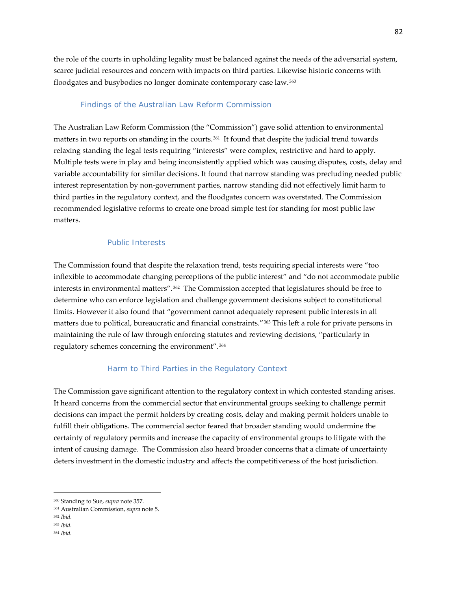the role of the courts in upholding legality must be balanced against the needs of the adversarial system, scarce judicial resources and concern with impacts on third parties. Likewise historic concerns with floodgates and busybodies no longer dominate contemporary case law. [360](#page-81-0)

#### Findings of the Australian Law Reform Commission

The Australian Law Reform Commission (the "Commission") gave solid attention to environmental matters in two reports on standing in the courts.[361](#page-81-1) It found that despite the judicial trend towards relaxing standing the legal tests requiring "interests" were complex, restrictive and hard to apply. Multiple tests were in play and being inconsistently applied which was causing disputes, costs, delay and variable accountability for similar decisions. It found that narrow standing was precluding needed public interest representation by non-government parties, narrow standing did not effectively limit harm to third parties in the regulatory context, and the floodgates concern was overstated. The Commission recommended legislative reforms to create one broad simple test for standing for most public law matters.

## *Public Interests*

The Commission found that despite the relaxation trend, tests requiring special interests were "too inflexible to accommodate changing perceptions of the public interest" and "do not accommodate public interests in environmental matters".[362](#page-81-2) The Commission accepted that legislatures should be free to determine who can enforce legislation and challenge government decisions subject to constitutional limits. However it also found that "government cannot adequately represent public interests in all matters due to political, bureaucratic and financial constraints."[363](#page-81-3) This left a role for private persons in maintaining the rule of law through enforcing statutes and reviewing decisions, "particularly in regulatory schemes concerning the environment".[364](#page-81-4) 

## *Harm to Third Parties in the Regulatory Context*

The Commission gave significant attention to the regulatory context in which contested standing arises. It heard concerns from the commercial sector that environmental groups seeking to challenge permit decisions can impact the permit holders by creating costs, delay and making permit holders unable to fulfill their obligations. The commercial sector feared that broader standing would undermine the certainty of regulatory permits and increase the capacity of environmental groups to litigate with the intent of causing damage. The Commission also heard broader concerns that a climate of uncertainty deters investment in the domestic industry and affects the competitiveness of the host jurisdiction.

<span id="page-81-0"></span><sup>360</sup> Standing to Sue, *supra* note 357.

<span id="page-81-1"></span><sup>361</sup> Australian Commission, *supra* note 5.

<span id="page-81-2"></span><sup>362</sup> *Ibid.*

<span id="page-81-3"></span><sup>363</sup> *Ibid.*

<span id="page-81-4"></span><sup>364</sup> *Ibid.*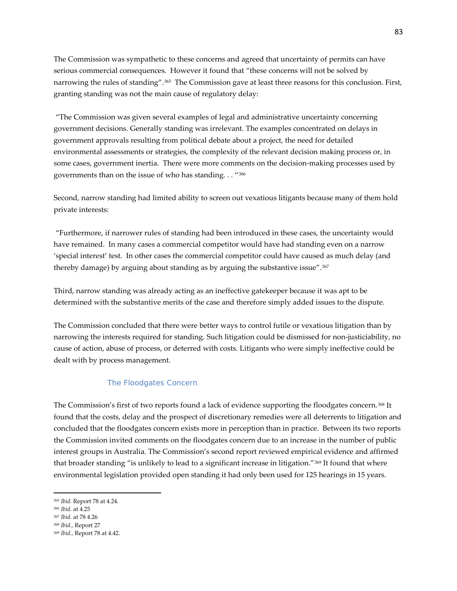The Commission was sympathetic to these concerns and agreed that uncertainty of permits can have serious commercial consequences. However it found that "these concerns will not be solved by narrowing the rules of standing".<sup>[365](#page-82-0)</sup> The Commission gave at least three reasons for this conclusion. First, granting standing was not the main cause of regulatory delay:

"The Commission was given several examples of legal and administrative uncertainty concerning government decisions. Generally standing was irrelevant. The examples concentrated on delays in government approvals resulting from political debate about a project, the need for detailed environmental assessments or strategies, the complexity of the relevant decision making process or, in some cases, government inertia. There were more comments on the decision-making processes used by governments than on the issue of who has standing. . . "[366](#page-82-1)

Second, narrow standing had limited ability to screen out vexatious litigants because many of them hold private interests:

"Furthermore, if narrower rules of standing had been introduced in these cases, the uncertainty would have remained. In many cases a commercial competitor would have had standing even on a narrow 'special interest' test. In other cases the commercial competitor could have caused as much delay (and thereby damage) by arguing about standing as by arguing the substantive issue".[367](#page-82-2)

Third, narrow standing was already acting as an ineffective gatekeeper because it was apt to be determined with the substantive merits of the case and therefore simply added issues to the dispute.

The Commission concluded that there were better ways to control futile or vexatious litigation than by narrowing the interests required for standing. Such litigation could be dismissed for non-justiciability, no cause of action, abuse of process, or deterred with costs. Litigants who were simply ineffective could be dealt with by process management.

#### *The Floodgates Concern*

The Commission's first of two reports found a lack of evidence supporting the floodgates concern.[368](#page-82-3) It found that the costs, delay and the prospect of discretionary remedies were all deterrents to litigation and concluded that the floodgates concern exists more in perception than in practice. Between its two reports the Commission invited comments on the floodgates concern due to an increase in the number of public interest groups in Australia. The Commission's second report reviewed empirical evidence and affirmed that broader standing "is unlikely to lead to a significant increase in litigation."<sup>[369](#page-82-4)</sup> It found that where environmental legislation provided open standing it had only been used for 125 hearings in 15 years.

<span id="page-82-0"></span><sup>365</sup> *Ibid.* Report 78 at 4.24.

<span id="page-82-1"></span><sup>366</sup> *Ibid.* at 4.25

<span id="page-82-2"></span><sup>367</sup> *Ibid.* at 78 4.26

<span id="page-82-3"></span><sup>368</sup> *Ibid.,* Report 27

<span id="page-82-4"></span><sup>369</sup> *Ibid.,* Report 78 at 4.42.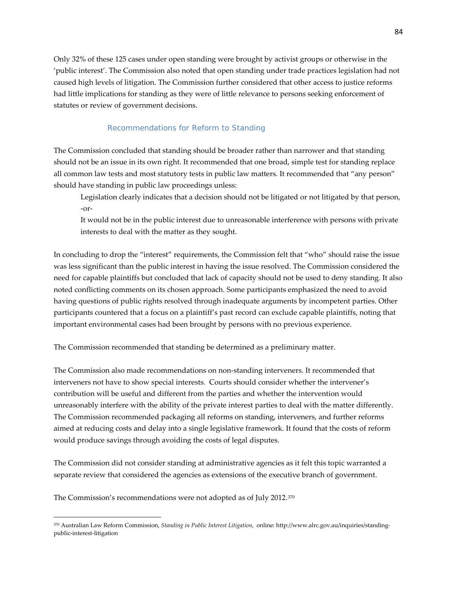Only 32% of these 125 cases under open standing were brought by activist groups or otherwise in the 'public interest'. The Commission also noted that open standing under trade practices legislation had not caused high levels of litigation. The Commission further considered that other access to justice reforms had little implications for standing as they were of little relevance to persons seeking enforcement of statutes or review of government decisions.

## *Recommendations for Reform to Standing*

The Commission concluded that standing should be broader rather than narrower and that standing should not be an issue in its own right. It recommended that one broad, simple test for standing replace all common law tests and most statutory tests in public law matters. It recommended that "any person" should have standing in public law proceedings unless:

Legislation clearly indicates that a decision should not be litigated or not litigated by that person, -or-

It would not be in the public interest due to unreasonable interference with persons with private interests to deal with the matter as they sought.

In concluding to drop the "interest" requirements, the Commission felt that "who" should raise the issue was less significant than the public interest in having the issue resolved. The Commission considered the need for capable plaintiffs but concluded that lack of capacity should not be used to deny standing. It also noted conflicting comments on its chosen approach. Some participants emphasized the need to avoid having questions of public rights resolved through inadequate arguments by incompetent parties. Other participants countered that a focus on a plaintiff's past record can exclude capable plaintiffs, noting that important environmental cases had been brought by persons with no previous experience.

The Commission recommended that standing be determined as a preliminary matter.

The Commission also made recommendations on non-standing interveners. It recommended that interveners not have to show special interests. Courts should consider whether the intervener's contribution will be useful and different from the parties and whether the intervention would unreasonably interfere with the ability of the private interest parties to deal with the matter differently. The Commission recommended packaging all reforms on standing, interveners, and further reforms aimed at reducing costs and delay into a single legislative framework. It found that the costs of reform would produce savings through avoiding the costs of legal disputes.

The Commission did not consider standing at administrative agencies as it felt this topic warranted a separate review that considered the agencies as extensions of the executive branch of government.

The Commission's recommendations were not adopted as of July 2012.[370](#page-83-0)

<span id="page-83-0"></span><sup>370</sup> Australian Law Reform Commission, *Standing in Public Interest Litigation*, online: http://www.alrc.gov.au/inquiries/standingpublic-interest-litigation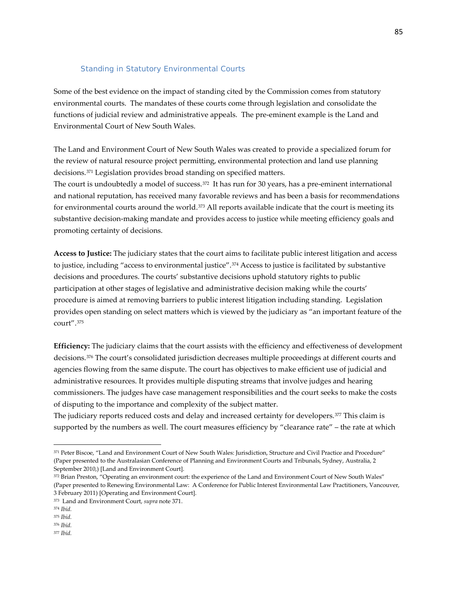### Standing in Statutory Environmental Courts

Some of the best evidence on the impact of standing cited by the Commission comes from statutory environmental courts. The mandates of these courts come through legislation and consolidate the functions of judicial review and administrative appeals. The pre-eminent example is the Land and Environmental Court of New South Wales.

The Land and Environment Court of New South Wales was created to provide a specialized forum for the review of natural resource project permitting, environmental protection and land use planning decisions.[371](#page-84-0) Legislation provides broad standing on specified matters.

The court is undoubtedly a model of success.<sup>[372](#page-84-1)</sup> It has run for 30 years, has a pre-eminent international and national reputation, has received many favorable reviews and has been a basis for recommendations for environmental courts around the world.[373](#page-84-2) All reports available indicate that the court is meeting its substantive decision-making mandate and provides access to justice while meeting efficiency goals and promoting certainty of decisions.

**Access to Justice:** The judiciary states that the court aims to facilitate public interest litigation and access to justice, including "access to environmental justice".[374](#page-84-3) Access to justice is facilitated by substantive decisions and procedures. The courts' substantive decisions uphold statutory rights to public participation at other stages of legislative and administrative decision making while the courts' procedure is aimed at removing barriers to public interest litigation including standing. Legislation provides open standing on select matters which is viewed by the judiciary as "an important feature of the court".[375](#page-84-4)

**Efficiency:** The judiciary claims that the court assists with the efficiency and effectiveness of development decisions.[376](#page-84-5) The court's consolidated jurisdiction decreases multiple proceedings at different courts and agencies flowing from the same dispute. The court has objectives to make efficient use of judicial and administrative resources. It provides multiple disputing streams that involve judges and hearing commissioners. The judges have case management responsibilities and the court seeks to make the costs of disputing to the importance and complexity of the subject matter.

The judiciary reports reduced costs and delay and increased certainty for developers.[377](#page-84-6) This claim is supported by the numbers as well. The court measures efficiency by "clearance rate" – the rate at which

<span id="page-84-0"></span><sup>371</sup> Peter Biscoe, "Land and Environment Court of New South Wales: Jurisdiction, Structure and Civil Practice and Procedure" (Paper presented to the Australasian Conference of Planning and Environment Courts and Tribunals, Sydney, Australia, 2 September 2010,) [Land and Environment Court].

<span id="page-84-1"></span><sup>372</sup> Brian Preston, "Operating an environment court: the experience of the Land and Environment Court of New South Wales" (Paper presented to Renewing Environmental Law: A Conference for Public Interest Environmental Law Practitioners, Vancouver, 3 February 2011) [Operating and Environment Court].

<span id="page-84-2"></span><sup>373</sup> Land and Environment Court, *supra* note 371.

<span id="page-84-3"></span><sup>374</sup> *Ibid.*

<span id="page-84-4"></span><sup>375</sup> *Ibid.*

<span id="page-84-6"></span><span id="page-84-5"></span><sup>376</sup> *Ibid.*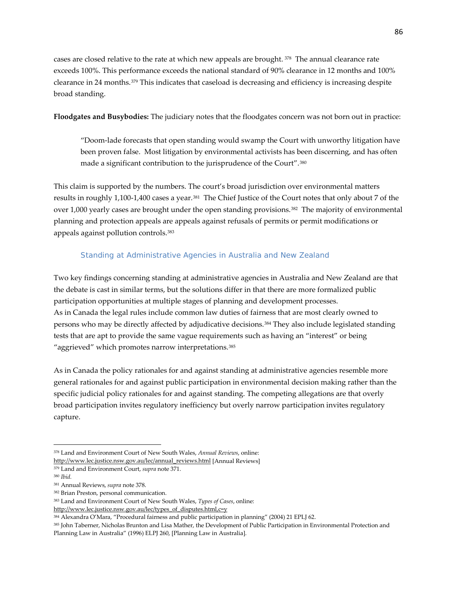cases are closed relative to the rate at which new appeals are brought. [378](#page-85-0) The annual clearance rate exceeds 100%. This performance exceeds the national standard of 90% clearance in 12 months and 100% clearance in 24 months.[379](#page-85-1) This indicates that caseload is decreasing and efficiency is increasing despite broad standing.

**Floodgates and Busybodies:** The judiciary notes that the floodgates concern was not born out in practice:

"Doom-lade forecasts that open standing would swamp the Court with unworthy litigation have been proven false. Most litigation by environmental activists has been discerning, and has often made a significant contribution to the jurisprudence of the Court".[380](#page-85-2)

This claim is supported by the numbers. The court's broad jurisdiction over environmental matters results in roughly 1,100-1,400 cases a year.[381](#page-85-3) The Chief Justice of the Court notes that only about 7 of the over 1,000 yearly cases are brought under the open standing provisions.[382](#page-85-4) The majority of environmental planning and protection appeals are appeals against refusals of permits or permit modifications or appeals against pollution controls.[383](#page-85-5)

## Standing at Administrative Agencies in Australia and New Zealand

Two key findings concerning standing at administrative agencies in Australia and New Zealand are that the debate is cast in similar terms, but the solutions differ in that there are more formalized public participation opportunities at multiple stages of planning and development processes. As in Canada the legal rules include common law duties of fairness that are most clearly owned to persons who may be directly affected by adjudicative decisions.[384](#page-85-6) They also include legislated standing tests that are apt to provide the same vague requirements such as having an "interest" or being "aggrieved" which promotes narrow interpretations.<sup>385</sup>

As in Canada the policy rationales for and against standing at administrative agencies resemble more general rationales for and against public participation in environmental decision making rather than the specific judicial policy rationales for and against standing. The competing allegations are that overly broad participation invites regulatory inefficiency but overly narrow participation invites regulatory capture.

<span id="page-85-0"></span><sup>378</sup> Land and Environment Court of New South Wales, *Annual Reviews*, online: [http://www.lec.justice.nsw.gov.au/lec/annual\\_reviews.html](http://www.lec.justice.nsw.gov.au/lec/annual_reviews.html) [Annual Reviews]

<span id="page-85-1"></span><sup>379</sup> Land and Environment Court, *supra* note 371.

<span id="page-85-2"></span><sup>380</sup> *Ibid.*

<span id="page-85-3"></span><sup>381</sup> Annual Reviews, *supra* note 378.

<span id="page-85-4"></span><sup>382</sup> Brian Preston, personal communication.

<span id="page-85-5"></span><sup>383</sup> Land and Environment Court of New South Wales, *Types of Cases*, online:

[http://www.lec.justice.nsw.gov.au/lec/types\\_of\\_disputes.html,c=y](http://www.lec.justice.nsw.gov.au/lec/types_of_disputes.html,c=y)

<span id="page-85-6"></span><sup>384</sup> Alexandra O'Mara, "Procedural fairness and public participation in planning" (2004) 21 EPLJ 62.

<span id="page-85-7"></span><sup>385</sup> John Taberner, Nicholas Brunton and Lisa Mather, the Development of Public Participation in Environmental Protection and Planning Law in Australia" (1996) ELPJ 260, [Planning Law in Australia].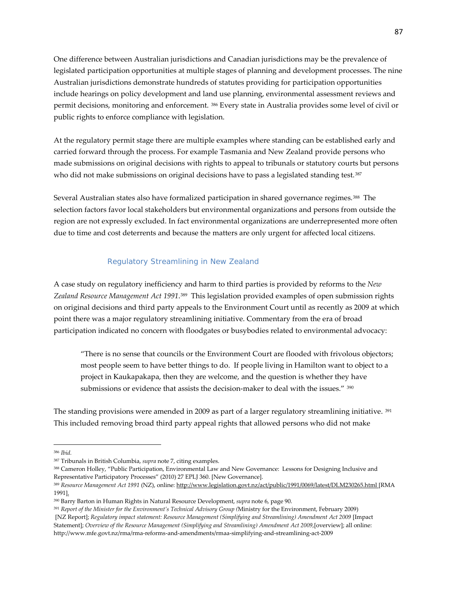One difference between Australian jurisdictions and Canadian jurisdictions may be the prevalence of legislated participation opportunities at multiple stages of planning and development processes. The nine Australian jurisdictions demonstrate hundreds of statutes providing for participation opportunities include hearings on policy development and land use planning, environmental assessment reviews and permit decisions, monitoring and enforcement. [386](#page-86-0) Every state in Australia provides some level of civil or public rights to enforce compliance with legislation.

At the regulatory permit stage there are multiple examples where standing can be established early and carried forward through the process. For example Tasmania and New Zealand provide persons who made submissions on original decisions with rights to appeal to tribunals or statutory courts but persons who did not make submissions on original decisions have to pass a legislated standing test.<sup>[387](#page-86-1)</sup>

Several Australian states also have formalized participation in shared governance regimes.[388](#page-86-2) The selection factors favor local stakeholders but environmental organizations and persons from outside the region are not expressly excluded. In fact environmental organizations are underrepresented more often due to time and cost deterrents and because the matters are only urgent for affected local citizens.

### *Regulatory Streamlining in New Zealand*

A case study on regulatory inefficiency and harm to third parties is provided by reforms to the *New Zealand Resource Management Act 1991*.[389](#page-86-3) This legislation provided examples of open submission rights on original decisions and third party appeals to the Environment Court until as recently as 2009 at which point there was a major regulatory streamlining initiative. Commentary from the era of broad participation indicated no concern with floodgates or busybodies related to environmental advocacy:

"There is no sense that councils or the Environment Court are flooded with frivolous objectors; most people seem to have better things to do. If people living in Hamilton want to object to a project in Kaukapakapa, then they are welcome, and the question is whether they have submissions or evidence that assists the decision-maker to deal with the issues." <sup>[390](#page-86-4)</sup>

The standing provisions were amended in 2009 as part of a larger regulatory streamlining initiative. [391](#page-86-5) This included removing broad third party appeal rights that allowed persons who did not make

<span id="page-86-0"></span><sup>386</sup> *Ibid.*

<span id="page-86-1"></span><sup>387</sup> Tribunals in British Columbia, *supra* note 7, citing examples.

<span id="page-86-2"></span><sup>388</sup> Cameron Holley, "Public Participation, Environmental Law and New Governance: Lessons for Designing Inclusive and Representative Participatory Processes" (2010) 27 EPLJ 360. [New Governance].

<span id="page-86-3"></span><sup>389</sup> *Resource Management Act 1991* (NZ), online[: http://www.legislation.govt.nz/act/public/1991/0069/latest/DLM230265.html](http://www.legislation.govt.nz/act/public/1991/0069/latest/DLM230265.html) [RMA 1991].

<span id="page-86-4"></span><sup>390</sup> Barry Barton in Human Rights in Natural Resource Development, *supra* note 6, page 90.

<span id="page-86-5"></span><sup>391</sup> *Report of the Minister for the Environment's Technical Advisory Group (*Ministry for the Environment, February 2009)

<sup>[</sup>NZ Report]; *Regulatory impact statement: Resource Management (Simplifying and Streamlining) Amendment Act 2009* [Impact Statement]; *Overview of the Resource Management (Simplifying and Streamlining) Amendment Act 2009*,[overview]; all online: http://www.mfe.govt.nz/rma/rma-reforms-and-amendments/rmaa-simplifying-and-streamlining-act-2009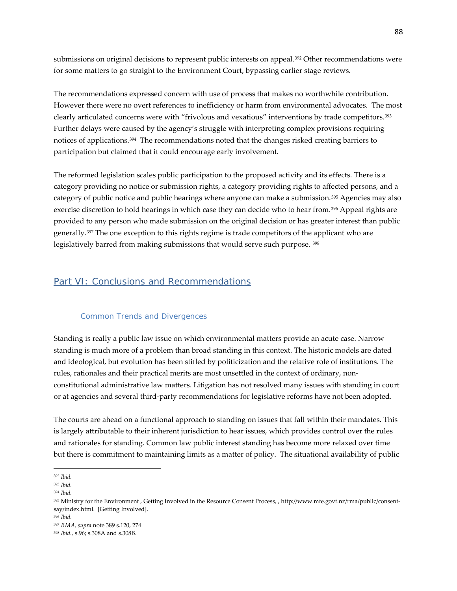submissions on original decisions to represent public interests on appeal.<sup>[392](#page-87-0)</sup> Other recommendations were for some matters to go straight to the Environment Court, bypassing earlier stage reviews.

The recommendations expressed concern with use of process that makes no worthwhile contribution. However there were no overt references to inefficiency or harm from environmental advocates. The most clearly articulated concerns were with "frivolous and vexatious" interventions by trade competitors.<sup>[393](#page-87-1)</sup> Further delays were caused by the agency's struggle with interpreting complex provisions requiring notices of applications.<sup>394</sup> The recommendations noted that the changes risked creating barriers to participation but claimed that it could encourage early involvement.

The reformed legislation scales public participation to the proposed activity and its effects. There is a category providing no notice or submission rights, a category providing rights to affected persons, and a category of public notice and public hearings where anyone can make a submission.[395](#page-87-3) Agencies may also exercise discretion to hold hearings in which case they can decide who to hear from.<sup>[396](#page-87-4)</sup> Appeal rights are provided to any person who made submission on the original decision or has greater interest than public generally.[397](#page-87-5) The one exception to this rights regime is trade competitors of the applicant who are legislatively barred from making submissions that would serve such purpose. [398](#page-87-6)

## Part VI: Conclusions and Recommendations

#### Common Trends and Divergences

Standing is really a public law issue on which environmental matters provide an acute case. Narrow standing is much more of a problem than broad standing in this context. The historic models are dated and ideological, but evolution has been stifled by politicization and the relative role of institutions. The rules, rationales and their practical merits are most unsettled in the context of ordinary, nonconstitutional administrative law matters. Litigation has not resolved many issues with standing in court or at agencies and several third-party recommendations for legislative reforms have not been adopted.

The courts are ahead on a functional approach to standing on issues that fall within their mandates. This is largely attributable to their inherent jurisdiction to hear issues, which provides control over the rules and rationales for standing. Common law public interest standing has become more relaxed over time but there is commitment to maintaining limits as a matter of policy. The situational availability of public

<sup>392</sup> *Ibid.*  $\overline{\phantom{a}}$ 

<span id="page-87-1"></span><span id="page-87-0"></span><sup>393</sup> *Ibid.*

<span id="page-87-2"></span><sup>394</sup> *Ibid.*

<span id="page-87-3"></span><sup>395</sup> Ministry for the Environment , Getting Involved in the Resource Consent Process, , http://www.mfe.govt.nz/rma/public/consentsay/index.html. [Getting Involved].

<span id="page-87-4"></span><sup>396</sup> *Ibid.*

<span id="page-87-5"></span><sup>397</sup> *RMA, supra* note 389 s.120, 274

<span id="page-87-6"></span><sup>398</sup> *Ibid.,* s.96; s.308A and s.308B.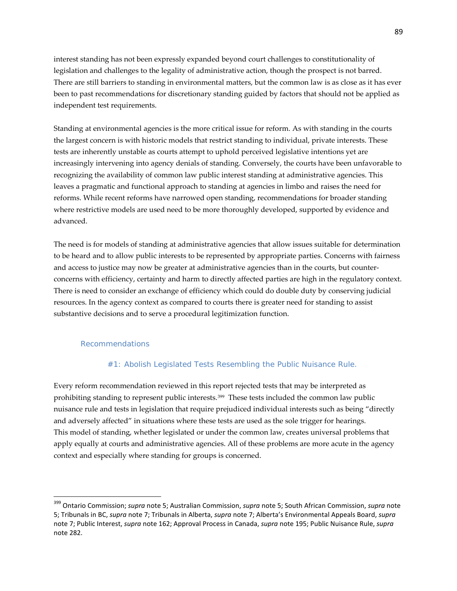interest standing has not been expressly expanded beyond court challenges to constitutionality of legislation and challenges to the legality of administrative action, though the prospect is not barred. There are still barriers to standing in environmental matters, but the common law is as close as it has ever been to past recommendations for discretionary standing guided by factors that should not be applied as independent test requirements.

Standing at environmental agencies is the more critical issue for reform. As with standing in the courts the largest concern is with historic models that restrict standing to individual, private interests. These tests are inherently unstable as courts attempt to uphold perceived legislative intentions yet are increasingly intervening into agency denials of standing. Conversely, the courts have been unfavorable to recognizing the availability of common law public interest standing at administrative agencies. This leaves a pragmatic and functional approach to standing at agencies in limbo and raises the need for reforms. While recent reforms have narrowed open standing, recommendations for broader standing where restrictive models are used need to be more thoroughly developed, supported by evidence and advanced.

The need is for models of standing at administrative agencies that allow issues suitable for determination to be heard and to allow public interests to be represented by appropriate parties. Concerns with fairness and access to justice may now be greater at administrative agencies than in the courts, but counterconcerns with efficiency, certainty and harm to directly affected parties are high in the regulatory context. There is need to consider an exchange of efficiency which could do double duty by conserving judicial resources. In the agency context as compared to courts there is greater need for standing to assist substantive decisions and to serve a procedural legitimization function.

#### Recommendations

 $\overline{\phantom{a}}$ 

### *#1: Abolish Legislated Tests Resembling the Public Nuisance Rule.*

Every reform recommendation reviewed in this report rejected tests that may be interpreted as prohibiting standing to represent public interests.[399](#page-88-0) These tests included the common law public nuisance rule and tests in legislation that require prejudiced individual interests such as being "directly and adversely affected" in situations where these tests are used as the sole trigger for hearings. This model of standing, whether legislated or under the common law, creates universal problems that apply equally at courts and administrative agencies. All of these problems are more acute in the agency context and especially where standing for groups is concerned.

<span id="page-88-0"></span><sup>399</sup> Ontario Commission; *supra* note 5; Australian Commission, *supra* note 5; South African Commission, *supra* note 5; Tribunals in BC, *supra* note 7; Tribunals in Alberta, *supra* note 7; Alberta's Environmental Appeals Board, *supra* note 7; Public Interest, *supra* note 162; Approval Process in Canada, *supra* note 195; Public Nuisance Rule, *supra* note 282.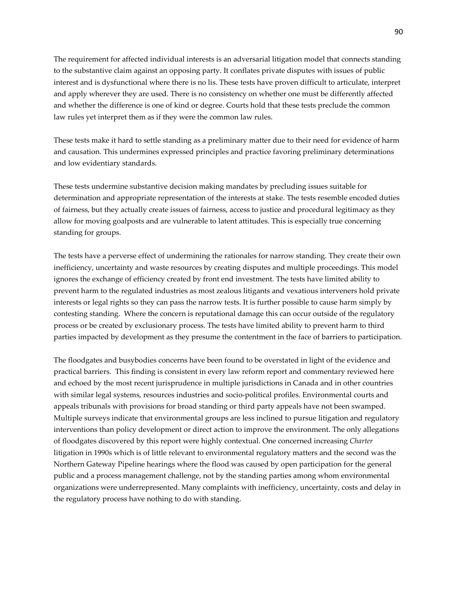The requirement for affected individual interests is an adversarial litigation model that connects standing to the substantive claim against an opposing party. It conflates private disputes with issues of public interest and is dysfunctional where there is no lis. These tests have proven difficult to articulate, interpret and apply wherever they are used. There is no consistency on whether one must be differently affected and whether the difference is one of kind or degree. Courts hold that these tests preclude the common law rules yet interpret them as if they were the common law rules.

These tests make it hard to settle standing as a preliminary matter due to their need for evidence of harm and causation. This undermines expressed principles and practice favoring preliminary determinations and low evidentiary standards.

These tests undermine substantive decision making mandates by precluding issues suitable for determination and appropriate representation of the interests at stake. The tests resemble encoded duties of fairness, but they actually create issues of fairness, access to justice and procedural legitimacy as they allow for moving goalposts and are vulnerable to latent attitudes. This is especially true concerning standing for groups.

The tests have a perverse effect of undermining the rationales for narrow standing. They create their own inefficiency, uncertainty and waste resources by creating disputes and multiple proceedings. This model ignores the exchange of efficiency created by front end investment. The tests have limited ability to prevent harm to the regulated industries as most zealous litigants and vexatious interveners hold private interests or legal rights so they can pass the narrow tests. It is further possible to cause harm simply by contesting standing. Where the concern is reputational damage this can occur outside of the regulatory process or be created by exclusionary process. The tests have limited ability to prevent harm to third parties impacted by development as they presume the contentment in the face of barriers to participation.

The floodgates and busybodies concerns have been found to be overstated in light of the evidence and practical barriers. This finding is consistent in every law reform report and commentary reviewed here and echoed by the most recent jurisprudence in multiple jurisdictions in Canada and in other countries with similar legal systems, resources industries and socio-political profiles. Environmental courts and appeals tribunals with provisions for broad standing or third party appeals have not been swamped. Multiple surveys indicate that environmental groups are less inclined to pursue litigation and regulatory interventions than policy development or direct action to improve the environment. The only allegations of floodgates discovered by this report were highly contextual. One concerned increasing *Charter* litigation in 1990s which is of little relevant to environmental regulatory matters and the second was the Northern Gateway Pipeline hearings where the flood was caused by open participation for the general public and a process management challenge, not by the standing parties among whom environmental organizations were underrepresented. Many complaints with inefficiency, uncertainty, costs and delay in the regulatory process have nothing to do with standing.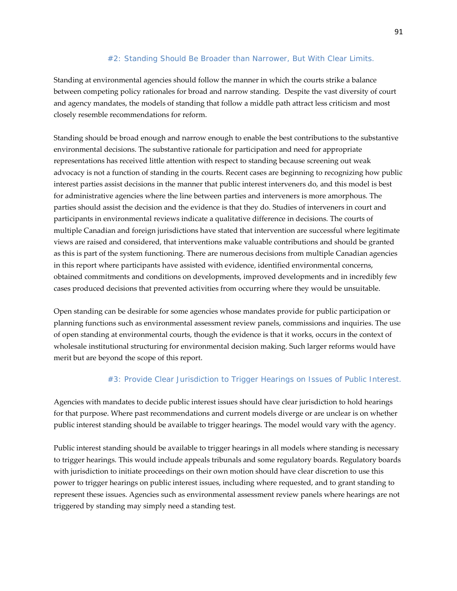## *#2: Standing Should Be Broader than Narrower, But With Clear Limits.*

Standing at environmental agencies should follow the manner in which the courts strike a balance between competing policy rationales for broad and narrow standing. Despite the vast diversity of court and agency mandates, the models of standing that follow a middle path attract less criticism and most closely resemble recommendations for reform.

Standing should be broad enough and narrow enough to enable the best contributions to the substantive environmental decisions. The substantive rationale for participation and need for appropriate representations has received little attention with respect to standing because screening out weak advocacy is not a function of standing in the courts. Recent cases are beginning to recognizing how public interest parties assist decisions in the manner that public interest interveners do, and this model is best for administrative agencies where the line between parties and interveners is more amorphous. The parties should assist the decision and the evidence is that they do. Studies of interveners in court and participants in environmental reviews indicate a qualitative difference in decisions. The courts of multiple Canadian and foreign jurisdictions have stated that intervention are successful where legitimate views are raised and considered, that interventions make valuable contributions and should be granted as this is part of the system functioning. There are numerous decisions from multiple Canadian agencies in this report where participants have assisted with evidence, identified environmental concerns, obtained commitments and conditions on developments, improved developments and in incredibly few cases produced decisions that prevented activities from occurring where they would be unsuitable.

Open standing can be desirable for some agencies whose mandates provide for public participation or planning functions such as environmental assessment review panels, commissions and inquiries. The use of open standing at environmental courts, though the evidence is that it works, occurs in the context of wholesale institutional structuring for environmental decision making. Such larger reforms would have merit but are beyond the scope of this report.

## *#3: Provide Clear Jurisdiction to Trigger Hearings on Issues of Public Interest.*

Agencies with mandates to decide public interest issues should have clear jurisdiction to hold hearings for that purpose. Where past recommendations and current models diverge or are unclear is on whether public interest standing should be available to trigger hearings. The model would vary with the agency.

Public interest standing should be available to trigger hearings in all models where standing is necessary to trigger hearings. This would include appeals tribunals and some regulatory boards. Regulatory boards with jurisdiction to initiate proceedings on their own motion should have clear discretion to use this power to trigger hearings on public interest issues, including where requested, and to grant standing to represent these issues. Agencies such as environmental assessment review panels where hearings are not triggered by standing may simply need a standing test.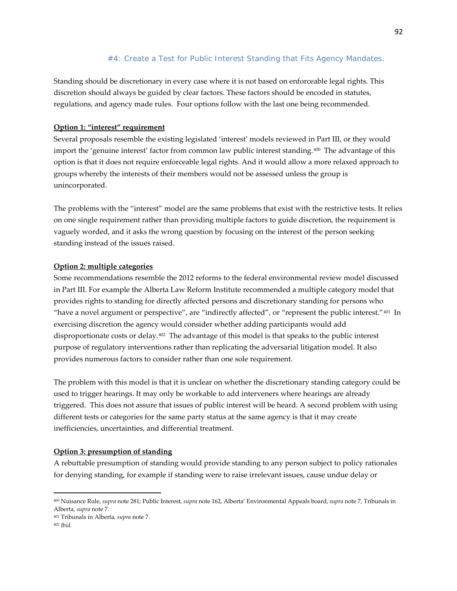## *#4: Create a Test for Public Interest Standing that Fits Agency Mandates.*

Standing should be discretionary in every case where it is not based on enforceable legal rights. This discretion should always be guided by clear factors. These factors should be encoded in statutes, regulations, and agency made rules. Four options follow with the last one being recommended.

## **Option 1: "interest" requirement**

Several proposals resemble the existing legislated 'interest' models reviewed in Part III, or they would import the 'genuine interest' factor from common law public interest standing.[400](#page-91-0) The advantage of this option is that it does not require enforceable legal rights. And it would allow a more relaxed approach to groups whereby the interests of their members would not be assessed unless the group is unincorporated.

The problems with the "interest" model are the same problems that exist with the restrictive tests. It relies on one single requirement rather than providing multiple factors to guide discretion, the requirement is vaguely worded, and it asks the wrong question by focusing on the interest of the person seeking standing instead of the issues raised.

### **Option 2: multiple categories**

Some recommendations resemble the 2012 reforms to the federal environmental review model discussed in Part III. For example the Alberta Law Reform Institute recommended a multiple category model that provides rights to standing for directly affected persons and discretionary standing for persons who "have a novel argument or perspective", are "indirectly affected", or "represent the public interest."[401](#page-91-1) In exercising discretion the agency would consider whether adding participants would add disproportionate costs or delay.[402](#page-91-2) The advantage of this model is that speaks to the public interest purpose of regulatory interventions rather than replicating the adversarial litigation model. It also provides numerous factors to consider rather than one sole requirement.

The problem with this model is that it is unclear on whether the discretionary standing category could be used to trigger hearings. It may only be workable to add interveners where hearings are already triggered. This does not assure that issues of public interest will be heard. A second problem with using different tests or categories for the same party status at the same agency is that it may create inefficiencies, uncertainties, and differential treatment.

### **Option 3: presumption of standing**

A rebuttable presumption of standing would provide standing to any person subject to policy rationales for denying standing, for example if standing were to raise irrelevant issues, cause undue delay or

<span id="page-91-0"></span><sup>400</sup> Nuisance Rule, *supra* note 281; Public Interest, *supra* note 162, Alberta' Environmental Appeals board, *supra* note 7, Tribunals in Alberta, *supra* note 7.

<span id="page-91-1"></span><sup>401</sup> Tribunals in Alberta*, supra* note 7.

<span id="page-91-2"></span><sup>402</sup> *Ibid.*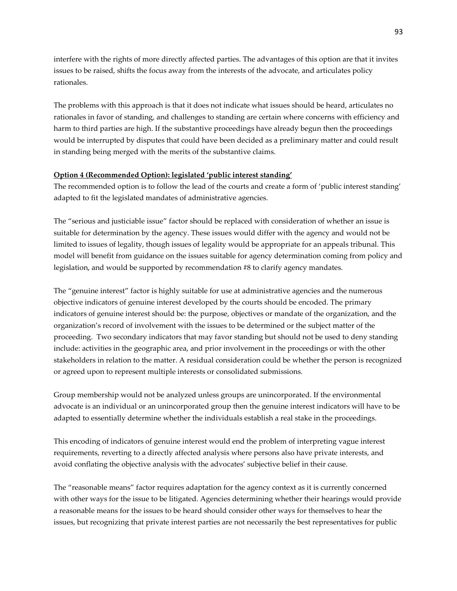interfere with the rights of more directly affected parties. The advantages of this option are that it invites issues to be raised, shifts the focus away from the interests of the advocate, and articulates policy rationales.

The problems with this approach is that it does not indicate what issues should be heard, articulates no rationales in favor of standing, and challenges to standing are certain where concerns with efficiency and harm to third parties are high. If the substantive proceedings have already begun then the proceedings would be interrupted by disputes that could have been decided as a preliminary matter and could result in standing being merged with the merits of the substantive claims.

#### **Option 4 (Recommended Option): legislated 'public interest standing'**

The recommended option is to follow the lead of the courts and create a form of 'public interest standing' adapted to fit the legislated mandates of administrative agencies.

The "serious and justiciable issue" factor should be replaced with consideration of whether an issue is suitable for determination by the agency. These issues would differ with the agency and would not be limited to issues of legality, though issues of legality would be appropriate for an appeals tribunal. This model will benefit from guidance on the issues suitable for agency determination coming from policy and legislation, and would be supported by recommendation #8 to clarify agency mandates.

The "genuine interest" factor is highly suitable for use at administrative agencies and the numerous objective indicators of genuine interest developed by the courts should be encoded. The primary indicators of genuine interest should be: the purpose, objectives or mandate of the organization, and the organization's record of involvement with the issues to be determined or the subject matter of the proceeding. Two secondary indicators that may favor standing but should not be used to deny standing include: activities in the geographic area, and prior involvement in the proceedings or with the other stakeholders in relation to the matter. A residual consideration could be whether the person is recognized or agreed upon to represent multiple interests or consolidated submissions.

Group membership would not be analyzed unless groups are unincorporated. If the environmental advocate is an individual or an unincorporated group then the genuine interest indicators will have to be adapted to essentially determine whether the individuals establish a real stake in the proceedings.

This encoding of indicators of genuine interest would end the problem of interpreting vague interest requirements, reverting to a directly affected analysis where persons also have private interests, and avoid conflating the objective analysis with the advocates' subjective belief in their cause.

The "reasonable means" factor requires adaptation for the agency context as it is currently concerned with other ways for the issue to be litigated. Agencies determining whether their hearings would provide a reasonable means for the issues to be heard should consider other ways for themselves to hear the issues, but recognizing that private interest parties are not necessarily the best representatives for public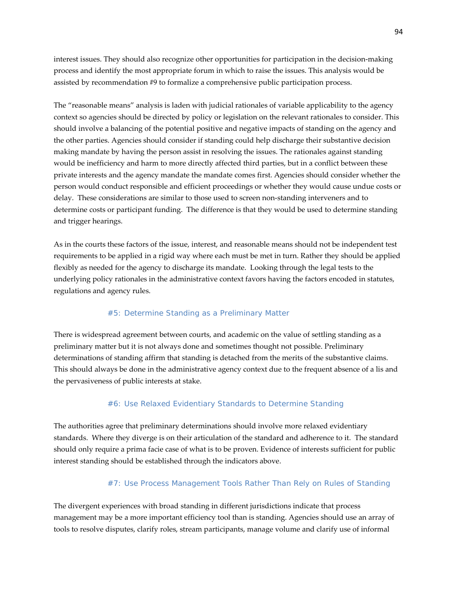interest issues. They should also recognize other opportunities for participation in the decision-making process and identify the most appropriate forum in which to raise the issues. This analysis would be assisted by recommendation #9 to formalize a comprehensive public participation process.

The "reasonable means" analysis is laden with judicial rationales of variable applicability to the agency context so agencies should be directed by policy or legislation on the relevant rationales to consider. This should involve a balancing of the potential positive and negative impacts of standing on the agency and the other parties. Agencies should consider if standing could help discharge their substantive decision making mandate by having the person assist in resolving the issues. The rationales against standing would be inefficiency and harm to more directly affected third parties, but in a conflict between these private interests and the agency mandate the mandate comes first. Agencies should consider whether the person would conduct responsible and efficient proceedings or whether they would cause undue costs or delay. These considerations are similar to those used to screen non-standing interveners and to determine costs or participant funding. The difference is that they would be used to determine standing and trigger hearings.

As in the courts these factors of the issue, interest, and reasonable means should not be independent test requirements to be applied in a rigid way where each must be met in turn. Rather they should be applied flexibly as needed for the agency to discharge its mandate. Looking through the legal tests to the underlying policy rationales in the administrative context favors having the factors encoded in statutes, regulations and agency rules.

### *#5: Determine Standing as a Preliminary Matter*

There is widespread agreement between courts, and academic on the value of settling standing as a preliminary matter but it is not always done and sometimes thought not possible. Preliminary determinations of standing affirm that standing is detached from the merits of the substantive claims. This should always be done in the administrative agency context due to the frequent absence of a lis and the pervasiveness of public interests at stake.

#### *#6: Use Relaxed Evidentiary Standards to Determine Standing*

The authorities agree that preliminary determinations should involve more relaxed evidentiary standards. Where they diverge is on their articulation of the standard and adherence to it. The standard should only require a prima facie case of what is to be proven. Evidence of interests sufficient for public interest standing should be established through the indicators above.

#### *#7: Use Process Management Tools Rather Than Rely on Rules of Standing*

The divergent experiences with broad standing in different jurisdictions indicate that process management may be a more important efficiency tool than is standing. Agencies should use an array of tools to resolve disputes, clarify roles, stream participants, manage volume and clarify use of informal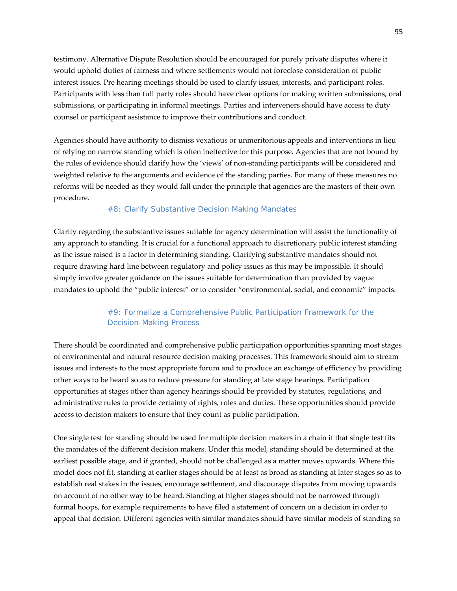testimony. Alternative Dispute Resolution should be encouraged for purely private disputes where it would uphold duties of fairness and where settlements would not foreclose consideration of public interest issues. Pre hearing meetings should be used to clarify issues, interests, and participant roles. Participants with less than full party roles should have clear options for making written submissions, oral submissions, or participating in informal meetings. Parties and interveners should have access to duty counsel or participant assistance to improve their contributions and conduct.

Agencies should have authority to dismiss vexatious or unmeritorious appeals and interventions in lieu of relying on narrow standing which is often ineffective for this purpose. Agencies that are not bound by the rules of evidence should clarify how the 'views' of non-standing participants will be considered and weighted relative to the arguments and evidence of the standing parties. For many of these measures no reforms will be needed as they would fall under the principle that agencies are the masters of their own procedure.

### *#8: Clarify Substantive Decision Making Mandates*

Clarity regarding the substantive issues suitable for agency determination will assist the functionality of any approach to standing. It is crucial for a functional approach to discretionary public interest standing as the issue raised is a factor in determining standing. Clarifying substantive mandates should not require drawing hard line between regulatory and policy issues as this may be impossible. It should simply involve greater guidance on the issues suitable for determination than provided by vague mandates to uphold the "public interest" or to consider "environmental, social, and economic" impacts.

## *#9: Formalize a Comprehensive Public Participation Framework for the Decision-Making Process*

There should be coordinated and comprehensive public participation opportunities spanning most stages of environmental and natural resource decision making processes. This framework should aim to stream issues and interests to the most appropriate forum and to produce an exchange of efficiency by providing other ways to be heard so as to reduce pressure for standing at late stage hearings. Participation opportunities at stages other than agency hearings should be provided by statutes, regulations, and administrative rules to provide certainty of rights, roles and duties. These opportunities should provide access to decision makers to ensure that they count as public participation.

One single test for standing should be used for multiple decision makers in a chain if that single test fits the mandates of the different decision makers. Under this model, standing should be determined at the earliest possible stage, and if granted, should not be challenged as a matter moves upwards. Where this model does not fit, standing at earlier stages should be at least as broad as standing at later stages so as to establish real stakes in the issues, encourage settlement, and discourage disputes from moving upwards on account of no other way to be heard. Standing at higher stages should not be narrowed through formal hoops, for example requirements to have filed a statement of concern on a decision in order to appeal that decision. Different agencies with similar mandates should have similar models of standing so